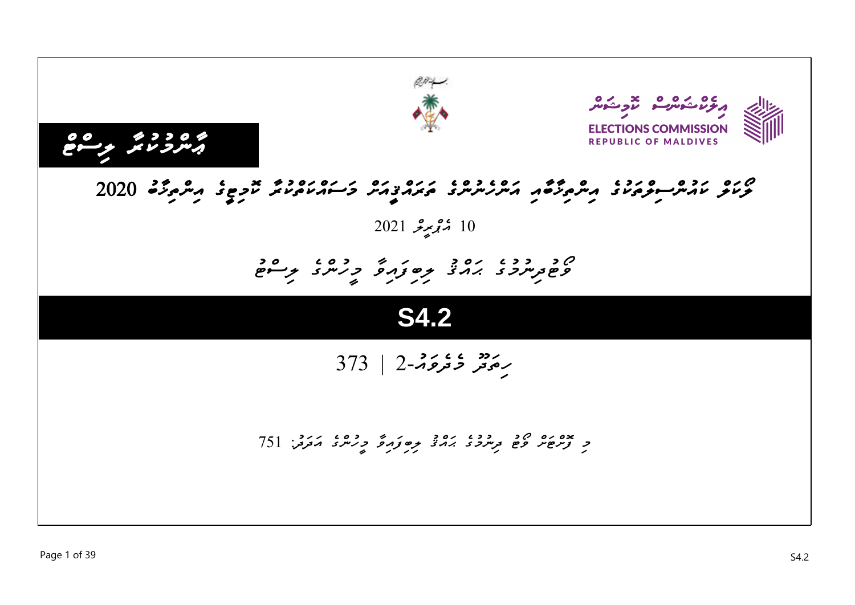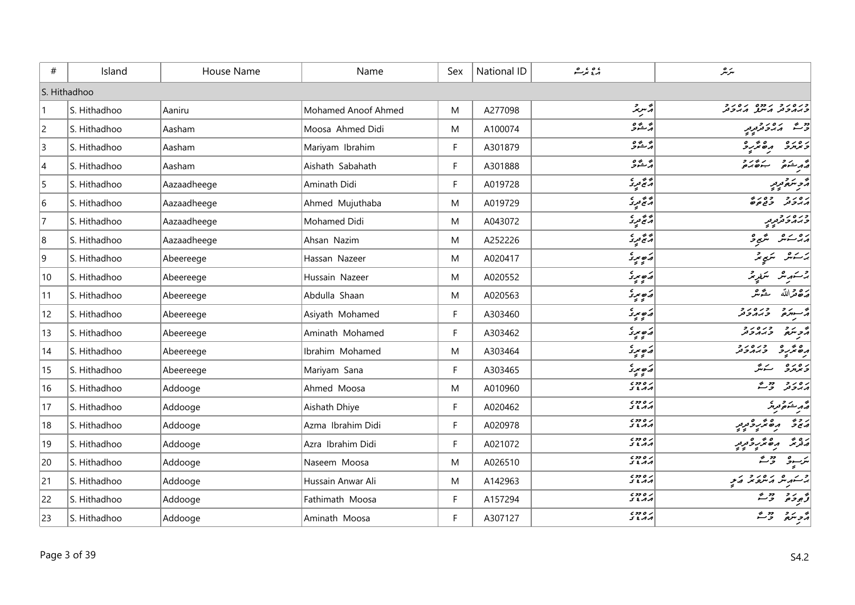| #                | Island       | House Name  | Name                | Sex | National ID | ، ه ، بر <u>م</u>               | ىئرىتر                                             |
|------------------|--------------|-------------|---------------------|-----|-------------|---------------------------------|----------------------------------------------------|
|                  | S. Hithadhoo |             |                     |     |             |                                 |                                                    |
|                  | S. Hithadhoo | Aaniru      | Mohamed Anoof Ahmed | M   | A277098     | رشبریز                          | כנסנכ נחם נסנכ<br>כמהכת הייט המכת                  |
| $\overline{c}$   | S. Hithadhoo | Aasham      | Moosa Ahmed Didi    | M   | A100074     | ۇ شەھ                           |                                                    |
| $\overline{3}$   | S. Hithadhoo | Aasham      | Mariyam Ibrahim     | F   | A301879     | ېز شترو                         | برە ئۆر ۋ<br>ر ه ر ه<br><del>د</del> بربرد         |
| 4                | S. Hithadhoo | Aasham      | Aishath Sabahath    | F   | A301888     | ېژىنشۇ ئ                        | بەھەرە<br>ر<br>پر گرمستوجو                         |
| 5                | S. Hithadhoo | Aazaadheege | Aminath Didi        | F   | A019728     | ا پرځ وړی<br>امريح وړی          | ړٌ تر سَرچ تورتور                                  |
| $\sqrt{6}$       | S. Hithadhoo | Aazaadheege | Ahmed Mujuthaba     | M   | A019729     | پر پر دی۔<br>اثریج توری         | ره رو وه ره<br>مدرو وق                             |
| $\overline{7}$   | S. Hithadhoo | Aazaadheege | Mohamed Didi        | M   | A043072     | پر پر<br>در پخ تور د            | و ر ه ر و<br>د بر پر و ترتدید                      |
| 8                | S. Hithadhoo | Aazaadheege | Ahsan Nazim         | M   | A252226     | پر پچ ور <sup>ج</sup><br>(رسم س | أروك سراهر المترجاني                               |
| $\boldsymbol{9}$ | S. Hithadhoo | Abeereege   | Hassan Nazeer       | M   | A020417     | ر<br>دره مرد                    | ىزىكەش ئىتى بار                                    |
| $10$             | S. Hithadhoo | Abeereege   | Hussain Nazeer      | M   | A020552     | ړ چه مورځ<br>د ځ                | رحم شمر مگر مگر مگر می                             |
| 11               | S. Hithadhoo | Abeereege   | Abdulla Shaan       | M   | A020563     | ر<br>مەھ بىرى                   | برە قراللە<br>شەھر                                 |
| 12               | S. Hithadhoo | Abeereege   | Asiyath Mohamed     | F   | A303460     | ر<br>مەھبىرى                    | و ر ه ر و<br>تر پرتر تر<br>پر مسرد د<br>مر         |
| 13               | S. Hithadhoo | Abeereege   | Aminath Mohamed     | F   | A303462     | ړ ځه مورځ<br>د ځ                | و رە ر د<br><i>د بە</i> د تر<br>ړ څر سرچ           |
| 14               | S. Hithadhoo | Abeereege   | Ibrahim Mohamed     | M   | A303464     | ړ چه مورځ<br>د په               | ەر ھەترىر <i>ۋ</i><br>و ره ر و<br><i>و پر د</i> تر |
| 15               | S. Hithadhoo | Abeereege   | Mariyam Sana        | F   | A303465     | پر جو بر <sup>ج</sup>           | ر ه ر ه<br><del>و</del> بربرو                      |
| 16               | S. Hithadhoo | Addooge     | Ahmed Moosa         | M   | A010960     | 5301                            | دومعه<br>بر 2 ر 1<br>مربر <del>5</del> تر          |
| 17               | S. Hithadhoo | Addooge     | Aishath Dhiye       | F   | A020462     | 530 /                           | و مگر مشور تو در در<br>مگر مشور تو در در           |
| 18               | S. Hithadhoo | Addooge     | Azma Ibrahim Didi   | F   | A020978     | 5301                            | ر و د<br>در س<br>ە ھ ئەر كەندىر<br>رەھ ئەر كەندى   |
| 19               | S. Hithadhoo | Addooge     | Azra Ibrahim Didi   | F   | A021072     | 5301                            | رەپ رەپرىۋىرىر                                     |
| 20               | S. Hithadhoo | Addooge     | Naseem Moosa        | M   | A026510     | 5501                            | ديو مشر<br>ىئرسەۋ                                  |
| 21               | S. Hithadhoo | Addooge     | Hussain Anwar Ali   | M   | A142963     | 530 /                           | ج سەمەھ مەسھەم مەم                                 |
| 22               | S. Hithadhoo | Addooge     | Fathimath Moosa     | F   | A157294     | 530 /                           | ۇ بوخ <sup>ە</sup>                                 |
| 23               | S. Hithadhoo | Addooge     | Aminath Moosa       | F   | A307127     | 5300                            | أزوينهم وحمش                                       |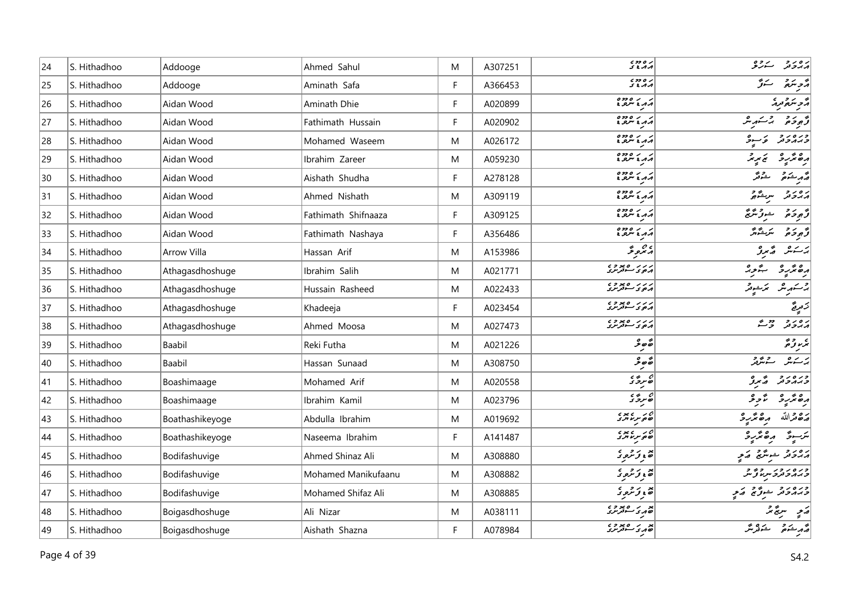| 24 | S. Hithadhoo | Addooge            | Ahmed Sahul         | M  | A307251 | 5301                                                             | رەر دەر                                      |
|----|--------------|--------------------|---------------------|----|---------|------------------------------------------------------------------|----------------------------------------------|
| 25 | S. Hithadhoo | Addooge            | Aminath Safa        | F. | A366453 | 530 /                                                            | أثر حريحهم<br>ر مەنۇ                         |
| 26 | S. Hithadhoo | Aidan Wood         | Aminath Dhie        | F. | A020899 | $\sqrt{270}$                                                     | ۇ بەر ئىسىمبەر<br>مەس                        |
| 27 | S. Hithadhoo | Aidan Wood         | Fathimath Hussain   | F. | A020902 | 220220                                                           | جە سە <sub>م</sub> بىر<br>ۇ بوز <sub>ە</sub> |
| 28 | S. Hithadhoo | Aidan Wood         | Mohamed Waseem      | M  | A026172 | أزمر ۽ سره ۽                                                     | ورەرو كەسوۋ                                  |
| 29 | S. Hithadhoo | Aidan Wood         | Ibrahim Zareer      | M  | A059230 | ה ה צ'ייפי 2                                                     | ەر ھەتمەر 2<br>ر<br>ىج ئىرىتمە               |
| 30 | S. Hithadhoo | Aidan Wood         | Aishath Shudha      | F. | A278128 | ה' ה' ביבים<br>ה' ה' ביבים                                       | پھر دیکھیے<br>حداد سنگھی<br>سشەتگر           |
| 31 | S. Hithadhoo | Aidan Wood         | Ahmed Nishath       | M  | A309119 | 220211                                                           | أرور ومستقبر                                 |
| 32 | S. Hithadhoo | Aidan Wood         | Fathimath Shifnaaza | F  | A309125 | 8,8,9,6,7,7                                                      | أرموحا وترشع                                 |
| 33 | S. Hithadhoo | Aidan Wood         | Fathimath Nashaya   | F  | A356486 | ה הצייפים<br>ההבייפי                                             | سرڪوگر<br>و مر د<br>اقرامو خانو              |
| 34 | S. Hithadhoo | <b>Arrow Villa</b> | Hassan Arif         | M  | A153986 | لىر مۇھ قە                                                       | برسەش ئەيرۇ                                  |
| 35 | S. Hithadhoo | Athagasdhoshuge    | Ibrahim Salih       | M  | A021771 | ر ر ر ر ه پر و ء<br>پر <i>ه</i> ک                                | ە ھەترىرى<br>بر ھەترىرى<br>سِدَّورُ          |
| 36 | S. Hithadhoo | Athagasdhoshuge    | Hussain Rasheed     | M  | A022433 | بر بر بر ۱۵ بیو و ۲<br>درجوی سسوفرمزی                            | چرىسىمە ئىر ئىبار ئىسىمىدىنى<br>ئاموقى       |
| 37 | S. Hithadhoo | Athagasdhoshuge    | Khadeeja            | F  | A023454 | بر بر بر ۱۵ بیو و ۲<br>درجوی سسوفرس                              |                                              |
| 38 | S. Hithadhoo | Athagasdhoshuge    | Ahmed Moosa         | M  | A027473 | بر بر بر ۱۵ بیو و ۲<br>درجوی سسوفرس                              | بر 2 د حر<br>م <i>ر</i> کر 5 مر<br>ديسته     |
| 39 | S. Hithadhoo | Baabil             | Reki Futha          | M  | A021226 | ر<br>ئەھىر                                                       | ې به دي<br>مربو وخ                           |
| 40 | S. Hithadhoo | Baabil             | Hassan Sunaad       | M  | A308750 | قەمۇ                                                             | ىرىكەش سەھرىر                                |
| 41 | S. Hithadhoo | Boashimaage        | Mohamed Arif        | M  | A020558 | ہ بروی<br>حورتری                                                 | ورەر دىگرو                                   |
| 42 | S. Hithadhoo | Boashimaage        | Ibrahim Kamil       | M  | A023796 | ہ مرد د<br>صرو د                                                 | رٌ پر بڑ<br>ەر ھەتمەر 2<br>س                 |
| 43 | S. Hithadhoo | Boathashikeyoge    | Abdulla Ibrahim     | M  | A019692 | ہے کہ دے ہو ہے<br>صحافی مریم ہو ی                                | ەھىراللە<br>رە ئۈرۈ                          |
| 44 | S. Hithadhoo | Boathashikeyoge    | Naseema Ibrahim     | F  | A141487 | ہے کہ رہ ہو ہے<br>صحافی مریم ہو ی                                | ە ئە ئەرچ<br>بەھەترىپە<br>ىئەسىرى            |
| 45 | S. Hithadhoo | Bodifashuvige      | Ahmed Shinaz Ali    | M  | A308880 | * و ئەترە <sub>ر</sub> ى<br>                                     | رورو حرشی کرم                                |
| 46 | S. Hithadhoo | Bodifashuvige      | Mohamed Manikufaanu | M  | A308882 | لېمو ئو تر <sub>حو</sub> ئه                                      | ور ەر در سرد در                              |
| 47 | S. Hithadhoo | Bodifashuvige      | Mohamed Shifaz Ali  | M  | A308885 | په بوتر ش <sub>ره د</sub> ي                                      | ورەرو جودى كەي                               |
| 48 | S. Hithadhoo | Boigasdhoshuge     | Ali Nizar           | M  | A038111 | پور پر دو پود و پر<br>  خ <i>ا</i> م <sub>پ</sub> ی کر سون تر پر | ړې سرچ کړ                                    |
| 49 | S. Hithadhoo | Boigasdhoshuge     | Aishath Shazna      | F. | A078984 | بو پر دوبود و د<br>  ته دې ک                                     | ر<br>دگر شوه شونگر                           |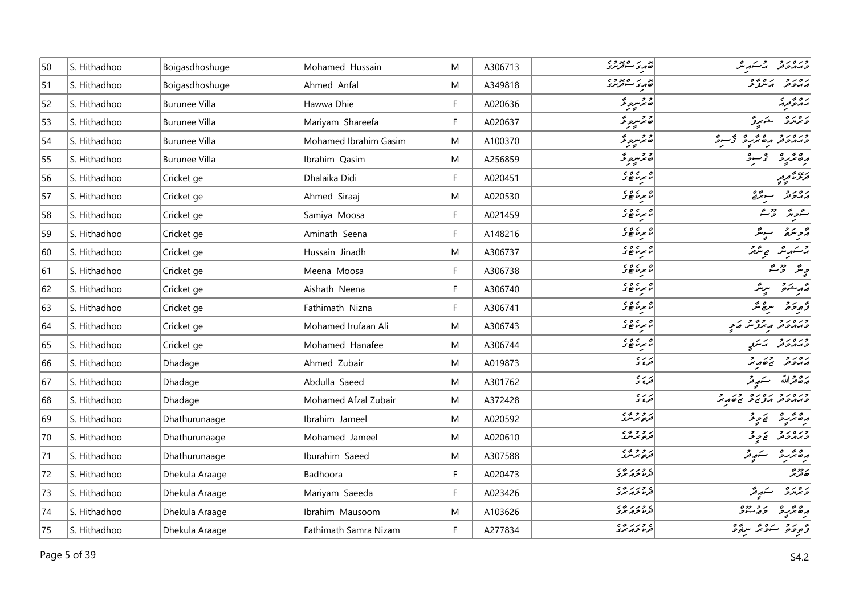| 50 | S. Hithadhoo | Boigasdhoshuge       | Mohamed Hussain       | M  | A306713 | بر بر ۱۵ برو د<br>  ۱۵ بری سوتربرد       | ورەرو ورىدى                              |
|----|--------------|----------------------|-----------------------|----|---------|------------------------------------------|------------------------------------------|
| 51 | S. Hithadhoo | Boigasdhoshuge       | Ahmed Anfal           | M  | A349818 | بر بر ۱۵ برو د<br>  ۱۵ بری سوتربرد       | رەر رەپرە                                |
| 52 | S. Hithadhoo | <b>Burunee Villa</b> | Hawwa Dhie            | F. | A020636 | ە ئەسرە ئ <sup>ۇ</sup><br>ئ              | پر پر و پور کا                           |
| 53 | S. Hithadhoo | <b>Burunee Villa</b> | Mariyam Shareefa      | F. | A020637 | ە ئەسرە بۇ<br>ئ                          | و ه ده شکورگر                            |
| 54 | S. Hithadhoo | <b>Burunee Villa</b> | Mohamed Ibrahim Gasim | M  | A100370 | ە ئەئىبرە م <sup>ۇ</sup>                 | ورەرو مەندە تخسو                         |
| 55 | S. Hithadhoo | <b>Burunee Villa</b> | Ibrahim Qasim         | M  | A256859 | ە ئەسرە بۇ<br>ئ                          |                                          |
| 56 | S. Hithadhoo | Cricket ge           | Dhalaika Didi         | F  | A020451 |                                          | ر،،<br>ترنژنژی توپو                      |
| 57 | S. Hithadhoo | Cricket ge           | Ahmed Siraaj          | M  | A020530 |                                          | $rac{2z}{z}$ - $rac{7}{z}$               |
| 58 | S. Hithadhoo | Cricket ge           | Samiya Moosa          | F  | A021459 | ه په ده و،<br>پا مرتباط د                | ستورش وستم                               |
| 59 | S. Hithadhoo | Cricket ge           | Aminath Seena         | F  | A148216 | ه په ده و،<br>موسر هو د                  | ړې کړه سوسر                              |
| 60 | S. Hithadhoo | Cricket ge           | Hussain Jinadh        | M  | A306737 | ه<br>مريد هو د                           | يزحكمرش ويتزقر                           |
| 61 | S. Hithadhoo | Cricket ge           | Meena Moosa           | F  | A306738 |                                          | دیگر اورانگ                              |
| 62 | S. Hithadhoo | Cricket ge           | Aishath Neena         | F  | A306740 |                                          | و د شو سرس                               |
| 63 | S. Hithadhoo | Cricket ge           | Fathimath Nizna       | F  | A306741 |                                          | ۇ <sub>م</sub> ودۇ سىھىگە                |
| 64 | S. Hithadhoo | Cricket ge           | Mohamed Irufaan Ali   | M  | A306743 |                                          | ورەرو مەركىس كەم                         |
| 65 | S. Hithadhoo | Cricket ge           | Mohamed Hanafee       | M  | A306744 |                                          | ورەرو ئەتكى                              |
| 66 | S. Hithadhoo | Dhadage              | Ahmed Zubair          | M  | A019873 | ىرىر ى<br>تىرى ى                         |                                          |
| 67 | S. Hithadhoo | Dhadage              | Abdulla Saeed         | M  | A301762 | ر ر بر<br>توره ک                         | أرَة قرالله كورتر                        |
| 68 | S. Hithadhoo | Dhadage              | Mohamed Afzal Zubair  | M  | A372428 | ر ر بر<br>توره ژ                         |                                          |
| 69 | S. Hithadhoo | Dhathurunaage        | Ibrahim Jameel        | M  | A020592 | پر و و پر ۽<br>  ترج مرسمد               | رە ئەر ئەر                               |
| 70 | S. Hithadhoo | Dhathurunaage        | Mohamed Jameel        | M  | A020610 | ر و و د پ<br>تره مرس                     | ورەرو ئەچ                                |
| 71 | S. Hithadhoo | Dhathurunaage        | Iburahim Saeed        | M  | A307588 | ر د د و و و<br>تره ترس                   | وە ئۆرۈ<br>سكهرقر                        |
| 72 | S. Hithadhoo | Dhekula Araage       | Badhoora              | F  | A020473 | ے ور ر ر ر<br>تعریف مربوری               | ر دو پر<br>ن قربر                        |
| 73 | S. Hithadhoo | Dhekula Araage       | Mariyam Saeeda        | F  | A023426 | ے ور ر ر پر<br>تورد تحریری               | ويؤبرو<br>سكورقر                         |
| 74 | S. Hithadhoo | Dhekula Araage       | Ibrahim Mausoom       | M  | A103626 | ه ور ر » ،<br>در ر پر                    | ر و دوه<br><del>و</del> جسیو<br>ەھ ئۈر ۋ |
| 75 | S. Hithadhoo | Dhekula Araage       | Fathimath Samra Nizam | F  | A277834 | ے ور ر برے<br>توما <del>تر</del> یم تنزی | توجدة سوتر سنجرد                         |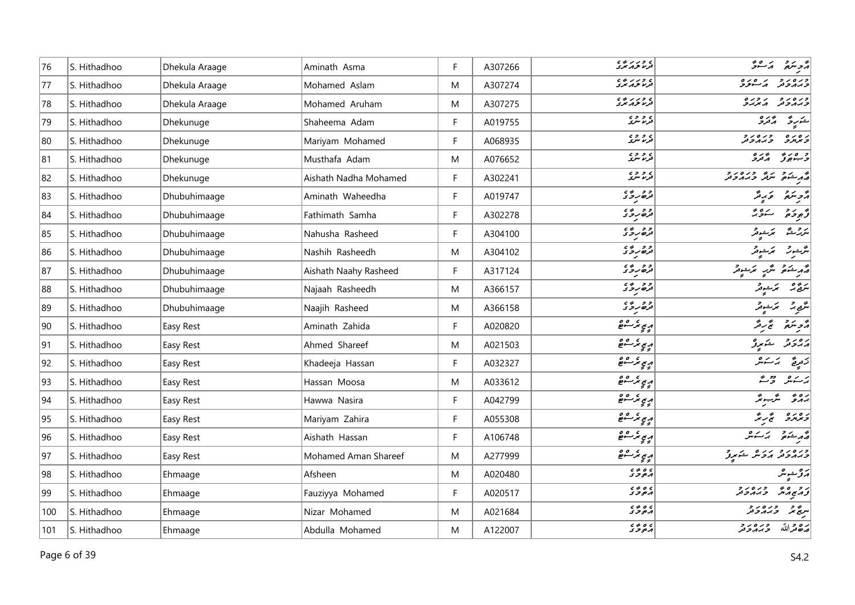| 76  | S. Hithadhoo | Dhekula Araage | Aminath Asma          | F         | A307266 | ه ور ر » ،<br>در ر پر                   | أرتجه سيراث ومسترد                                 |
|-----|--------------|----------------|-----------------------|-----------|---------|-----------------------------------------|----------------------------------------------------|
| 77  | S. Hithadhoo | Dhekula Araage | Mohamed Aslam         | M         | A307274 | ه ور ر ر د<br>در ر بر د                 | ورەرو رەرە<br><i>دىد</i> ەر <del>ى</del> ر مەسور   |
| 78  | S. Hithadhoo | Dhekula Araage | Mohamed Aruham        | ${\sf M}$ | A307275 | ه و ر ر » ه<br>در ر ترک                 | כנסנפ נבנס<br>כגובת גבנב                           |
| 79  | S. Hithadhoo | Dhekunuge      | Shaheema Adam         | F         | A019755 | ړ <i>د د</i> ،<br>تر <i>ماس</i> ر       | ەردە<br>ے کر بڑ<br>م                               |
| 80  | S. Hithadhoo | Dhekunuge      | Mariyam Mohamed       | F         | A068935 | ړ و و ،<br>تر <i>ما</i> سر <sub>ک</sub> | ر ه ر ه<br>د بربرو<br>و رە ر د<br><i>د ب</i> رگەنز |
| 81  | S. Hithadhoo | Dhekunuge      | Musthafa Adam         | M         | A076652 | ړ <i>د د</i> ›<br>تر <i>را س</i> رند    | و ەربە ئەرە                                        |
| 82  | S. Hithadhoo | Dhekunuge      | Aishath Nadha Mohamed | F         | A302241 | ء و و ء<br>تور سری                      |                                                    |
| 83  | S. Hithadhoo | Dhubuhimaage   | Aminath Waheedha      | F         | A019747 | و و په وي<br>مر <i>ه ر</i> و د          | أأرجو سنتمر وأبادتكم                               |
| 84  | S. Hithadhoo | Dhubuhimaage   | Fathimath Samha       | F         | A302278 | و و په په<br><mark>نرخ</mark> رقمه      | و ده سره و                                         |
| 85  | S. Hithadhoo | Dhubuhimaage   | Nahusha Rasheed       | F         | A304100 | و و په وي<br>کر <i>ه پ</i> رترۍ         | ىر قىيىسى ئىم ئىشوقر<br>ئىرىرىش ئىر ئىسىم          |
| 86  | S. Hithadhoo | Dhubuhimaage   | Nashih Rasheedh       | M         | A304102 | در ه رو ء                               | نگرېمور <sup>2</sup> - ترېمونگر<br>مر              |
| 87  | S. Hithadhoo | Dhubuhimaage   | Aishath Naahy Rasheed | F         | A317124 | قرەم ئەسىمى                             | ە<br>مەرشىم شىر ئىشىدە                             |
| 88  | S. Hithadhoo | Dhubuhimaage   | Najaah Rasheedh       | M         | A366157 | در ه رو ء                               | ريوه -<br>سرچ پر سوس                               |
| 89  | S. Hithadhoo | Dhubuhimaage   | Naajih Rasheed        | ${\sf M}$ | A366158 | و و په و،<br>مرگ                        | شھرت مگرشونڈ<br>سر                                 |
| 90  | S. Hithadhoo | Easy Rest      | Aminath Zahida        | F         | A020820 | پرېږ شرعو                               | أأروسكو بمج سرقد                                   |
| 91  | S. Hithadhoo | Easy Rest      | Ahmed Shareef         | ${\sf M}$ | A021503 | پرېږ تکر شور ه                          | رەرو شىرو                                          |
| 92  | S. Hithadhoo | Easy Rest      | Khadeeja Hassan       | F         | A032327 | پېږې تر شوی                             | زَمِرِيحَ   بَرَسَهْرُ                             |
| 93  | S. Hithadhoo | Easy Rest      | Hassan Moosa          | M         | A033612 | پرېږي څی <b>ن</b> ې                     | ير سەش ئۇسىگە                                      |
| 94  | S. Hithadhoo | Easy Rest      | Hawwa Nasira          | F         | A042799 | پرېږ شرعو                               | مترسونتر<br>برەپچ                                  |
| 95  | S. Hithadhoo | Easy Rest      | Mariyam Zahira        | F         | A055308 | پرېږ شرعو                               | ومره محرقه                                         |
| 96  | S. Hithadhoo | Easy Rest      | Aishath Hassan        | F         | A106748 | ږېږ تر <u>۵</u> ۵                       | ۇرمىشقى ئەسكەش                                     |
| 97  | S. Hithadhoo | Easy Rest      | Mohamed Aman Shareef  | ${\sf M}$ | A277999 | ریپوتر شویح                             | ورەر دىرى ئەيرۇ                                    |
| 98  | S. Hithadhoo | Ehmaage        | Afsheen               | ${\sf M}$ | A020480 | <br>  پره د د د                         | ر و<br>په وسومبر                                   |
| 99  | S. Hithadhoo | Ehmaage        | Fauziyya Mohamed      | F         | A020517 | ی ه ≉ ی<br>مرح <del>و</del> و           | צגאת פיטיב                                         |
| 100 | S. Hithadhoo | Ehmaage        | Nizar Mohamed         | M         | A021684 | ، ه و و ،<br>پرجو <del>ر</del>          | سرچ دره دره                                        |
| 101 | S. Hithadhoo | Ehmaage        | Abdulla Mohamed       | ${\sf M}$ | A122007 | ، ه و د ،<br>پرجو <del>ر</del>          | رە دالله درەرد                                     |
|     |              |                |                       |           |         |                                         |                                                    |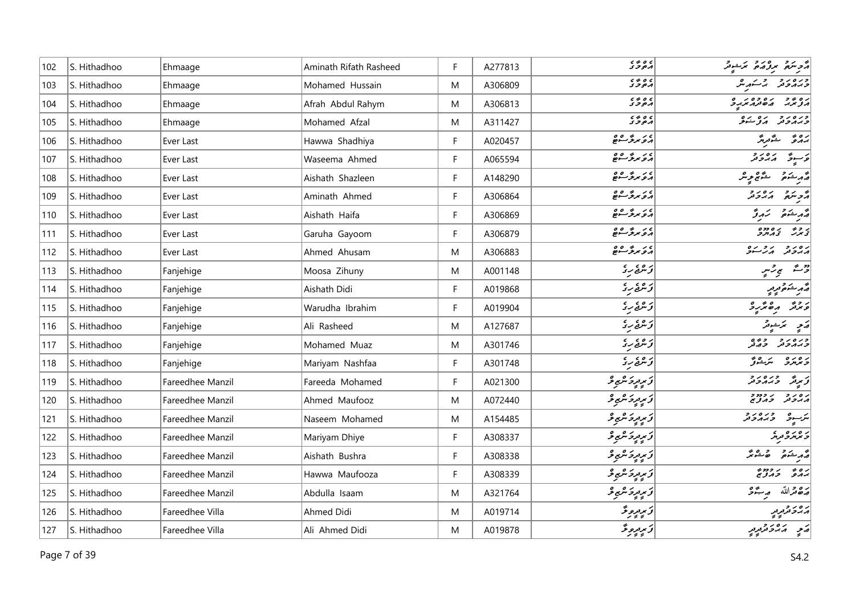| 102 | S. Hithadhoo | Ehmaage          | Aminath Rifath Rasheed | F           | A277813 | ، ه و و ،<br>پرچونو                           | أأوسكم برؤام كالمجموم                  |
|-----|--------------|------------------|------------------------|-------------|---------|-----------------------------------------------|----------------------------------------|
| 103 | S. Hithadhoo | Ehmaage          | Mohamed Hussain        | M           | A306809 | ې ه پر ې<br>د پرو تر                          | ورەرو ورىدىر                           |
| 104 | S. Hithadhoo | Ehmaage          | Afrah Abdul Rahym      | M           | A306813 | ، ه و و ،<br>پرچونو <sub>ک</sub>              | رەپر رەدەررە                           |
| 105 | S. Hithadhoo | Ehmaage          | Mohamed Afzal          | M           | A311427 | ) ده و د<br>مرح د                             | ورەرو رەپ دو                           |
| 106 | S. Hithadhoo | Ever Last        | Hawwa Shadhiya         | $\mathsf F$ | A020457 | ى ئەسرىۋىسى <i>م</i>                          | رە بە شەر <i>ەر</i>                    |
| 107 | S. Hithadhoo | Ever Last        | Waseema Ahmed          | $\mathsf F$ | A065594 | ى ئەرگەر <i>2</i> ° ھ                         | ى سوڭ مەردىر<br>ج                      |
| 108 | S. Hithadhoo | Ever Last        | Aishath Shazleen       | $\mathsf F$ | A148290 | ى بەر بۇرماھ<br>مەكەبىر ئۇسسو                 | ۇرىشى ھەج بە                           |
| 109 | S. Hithadhoo | Ever Last        | Aminath Ahmed          | F           | A306864 | ى بە بەرگە ھ<br>مەن ئەرگە سىز                 | أأروسكم الملاحظ                        |
| 110 | S. Hithadhoo | Ever Last        | Aishath Haifa          | F           | A306869 | ى ئەرگەر <i>2</i> ° ھ                         | ومرشكم كرمرق                           |
| 111 | S. Hithadhoo | Ever Last        | Garuha Gayoom          | F           | A306879 | ى ئەرگەر <i>2</i> ° ھ                         | $\frac{1}{2}$                          |
| 112 | S. Hithadhoo | Ever Last        | Ahmed Ahusam           | M           | A306883 | ى بە بە ئۇر مەھ                               | גפיק גלגיק                             |
| 113 | S. Hithadhoo | Fanjehige        | Moosa Zihuny           | M           | A001148 | ئۇيترىقى سرىتى                                |                                        |
| 114 | S. Hithadhoo | Fanjehige        | Aishath Didi           | F           | A019868 | ىر مەيزىيە<br>مەسىرىيەتى                      | ر<br>د کمړ څخه تو تو تو                |
| 115 | S. Hithadhoo | Fanjehige        | Warudha Ibrahim        | $\mathsf F$ | A019904 | ۇ ئىرقى س <sup>ى</sup> ر                      | و دو مره تر د                          |
| 116 | S. Hithadhoo | Fanjehige        | Ali Rasheed            | M           | A127687 | تر شرچ رِ تح                                  | أة موسوقر                              |
| 117 | S. Hithadhoo | Fanjehige        | Mohamed Muaz           | M           | A301746 | ۇ ئىرۇ                                        | ورەر د دەھ<br><i>دىد</i> مەدىر دەھ     |
| 118 | S. Hithadhoo | Fanjehige        | Mariyam Nashfaa        | F           | A301748 | ئۇيقرىقى س <sup>ى</sup> رى<br>                | رەرە سەشۇ                              |
| 119 | S. Hithadhoo | Fareedhee Manzil | Fareeda Mohamed        | F           | A021300 | ۇ بېرىر 5 ىگرى 3                              | توپر دره د د                           |
| 120 | S. Hithadhoo | Fareedhee Manzil | Ahmed Maufooz          | M           | A072440 | ۇپرىرچەشبوقە                                  | גם גם גבובב<br>הגבה בהצא               |
| 121 | S. Hithadhoo | Fareedhee Manzil | Naseem Mohamed         | M           | A154485 |                                               | و ره ر و<br><i>د ب</i> رگرمر<br>ىئرسەۋ |
| 122 | S. Hithadhoo | Fareedhee Manzil | Mariyam Dhiye          | F           | A308337 | ئەسپە ئەشمىر قىلەر<br> -                      | ر ه ر ه ر ه                            |
| 123 | S. Hithadhoo | Fareedhee Manzil | Aishath Bushra         | F           | A308338 | زَ <sub>موِ</sub> موِرَ مُرْ <sub>مو</sub> كر | وكرم شده وهشمكر                        |
| 124 | S. Hithadhoo | Fareedhee Manzil | Hawwa Maufooza         | E           | A308339 | زَ برِ برِ برَ شَهْ بِرْ وَ                   | ره د دوده<br>پردې کردنۍ                |
| 125 | S. Hithadhoo | Fareedhee Manzil | Abdulla Isaam          | M           | A321764 | زىر بېرىكتى توقى<br>                          | صقعرالله<br>ەربىۋ                      |
| 126 | S. Hithadhoo | Fareedhee Villa  | <b>Ahmed Didi</b>      | M           | A019714 | ترىپە بورگە                                   | رے روپر<br> پربر تر تر تر تر           |
| 127 | S. Hithadhoo | Fareedhee Villa  | Ali Ahmed Didi         | M           | A019878 | ۇ <sub>مو</sub> موم <sub>ۇ</sub> ئۇ           | ړي پر د وروپر                          |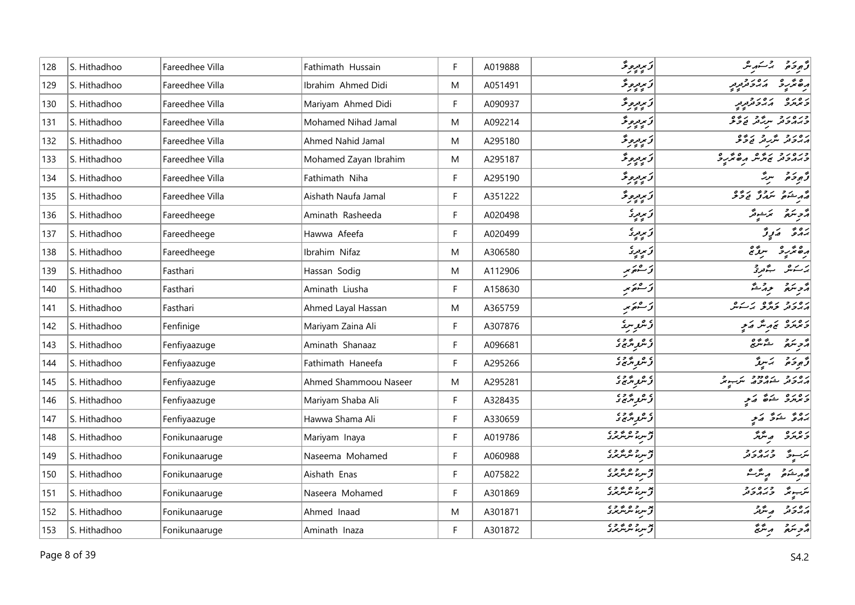| 128 | S. Hithadhoo | Fareedhee Villa | Fathimath Hussain     | F  | A019888 | ۇ <sub>مو</sub> بورو گ <sup>ە</sup>                 | قرموخي برسكريمر                                   |
|-----|--------------|-----------------|-----------------------|----|---------|-----------------------------------------------------|---------------------------------------------------|
| 129 | S. Hithadhoo | Fareedhee Villa | Ibrahim Ahmed Didi    | M  | A051491 | ۇ برىرە ئ <sup>ۇ</sup><br>ئىقلىقى                   | رە ئرىر ھىركى ئىرىدىر                             |
| 130 | S. Hithadhoo | Fareedhee Villa | Mariyam Ahmed Didi    | F. | A090937 | ۇ برىرە ئ <sup>ۇ</sup>                              | ر ه ر ه بر د د ورور<br>د بر ر بر بر د تر تر ته    |
| 131 | S. Hithadhoo | Fareedhee Villa | Mohamed Nihad Jamal   | M  | A092214 | ترىرىرە ئىچ                                         | ورەرو سرگە ئەۋى                                   |
| 132 | S. Hithadhoo | Fareedhee Villa | Ahmed Nahid Jamal     | M  | A295180 | ۇ <sub>مو</sub> بورو گ <sup>ە</sup>                 | גפגב ותגב גבב                                     |
| 133 | S. Hithadhoo | Fareedhee Villa | Mohamed Zayan Ibrahim | M  | A295187 | ا کو بردره د گر<br><u>سیست م</u>                    | כנסגב גבס בסיפים<br>בגהכת התית השתקב              |
| 134 | S. Hithadhoo | Fareedhee Villa | Fathimath Niha        | F  | A295190 | ۇ <sub>مو</sub> درە ئ <sup>ۇ</sup>                  | قرموخرة المبرر                                    |
| 135 | S. Hithadhoo | Fareedhee Villa | Aishath Naufa Jamal   | F  | A351222 | ا تر بردره د گر<br><u>استقرار</u>                   | و در در در ده در ده                               |
| 136 | S. Hithadhoo | Fareedheege     | Aminath Rasheeda      | F  | A020498 | ۇ موموڭ<br>ئەس                                      | أزويتم تمشيقه                                     |
| 137 | S. Hithadhoo | Fareedheege     | Hawwa Afeefa          | F  | A020499 | ۇ موموڭ<br>ئەس                                      | رەپ كەرگە                                         |
| 138 | S. Hithadhoo | Fareedheege     | Ibrahim Nifaz         | M  | A306580 | ۇ ئېرىدى<br>ئەس                                     | وەشرىر سرزى                                       |
| 139 | S. Hithadhoo | Fasthari        | Hassan Sodig          | M  | A112906 | أقرستفحوسر                                          | ئەسەمىر سەھرىچ                                    |
| 140 | S. Hithadhoo | Fasthari        | Aminath Liusha        | F  | A158630 | وَسْقَعَ مِرِ                                       | أزجا سرقم المحرم ورشش                             |
| 141 | S. Hithadhoo | Fasthari        | Ahmed Layal Hassan    | M  | A365759 | ۇ شەھ بىر                                           | رەرد روم ئەسەر<br>مەدوىر <mark>ت</mark> وشى ئەسەر |
| 142 | S. Hithadhoo | Fenfinige       | Mariyam Zaina Ali     | F  | A307876 | ۇشرېبرى                                             | ويمارو تماريثر أيامي                              |
| 143 | S. Hithadhoo | Fenfiyaazuge    | Aminath Shanaaz       | F  | A096681 | ې شر <sub>و</sub> پر دې<br>نرمرين                   | ۇ ئەسكە ئەسكە                                     |
| 144 | S. Hithadhoo | Fenfiyaazuge    | Fathimath Haneefa     | F. | A295266 | ئۇ شرىر ش <sup>ىرى</sup> ئ                          | أوالمحافظ والمستحق                                |
| 145 | S. Hithadhoo | Fenfiyaazuge    | Ahmed Shammoou Naseer | M  | A295281 | ې شر <sub>و</sub> رېږي د                            | גם גם הכמיד הגבית.<br>ההכת ההתכם יתיים ה          |
| 146 | S. Hithadhoo | Fenfiyaazuge    | Mariyam Shaba Ali     | F  | A328435 | ع عروج دي.<br> زينزپورتبن <sub>ک</sub>              | $5\frac{2}{3}$                                    |
| 147 | S. Hithadhoo | Fenfiyaazuge    | Hawwa Shama Ali       | F. | A330659 | ع ش <sub>ر پر پ</sub> ر د ،<br> زیند پر پر بی       | پروڅ شکو کرې                                      |
| 148 | S. Hithadhoo | Fonikunaaruge   | Mariyam Inaya         | F  | A019786 | بی <sub>ر سریم</sub> عرضه و ،<br>قرمبریم مکر پیرندی | و ده ده مرگز                                      |
| 149 | S. Hithadhoo | Fonikunaaruge   | Naseema Mohamed       | F  | A060988 | پر په ده ورو و د                                    | و ره ر و<br>تر پر تر تر<br>ىئرسىدى                |
| 150 | S. Hithadhoo | Fonikunaaruge   | Aishath Enas          | F  | A075822 | بر در دره در در در با                               | وكرمشكم ويترك                                     |
| 151 | S. Hithadhoo | Fonikunaaruge   | Naseera Mohamed       | F  | A301869 | بر در دره در در در با                               | و ره ر و<br>تر پر ژنر<br>  يئرسونتر               |
| 152 | S. Hithadhoo | Fonikunaaruge   | Ahmed Inaad           | M  | A301871 | بر در دره در در در با                               | גם ג' ב בית.<br>הגבע היית                         |
| 153 | S. Hithadhoo | Fonikunaaruge   | Aminath Inaza         | F  | A301872 | بر سره مرسر د ،<br>زمیره مرسر بر د                  | أأترجع مرتثثي                                     |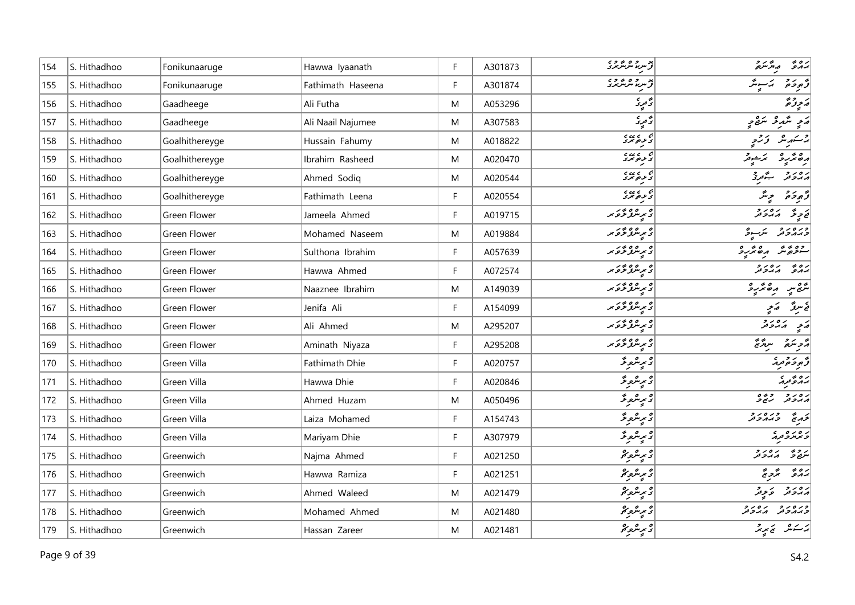| 154 | S. Hithadhoo | Fonikunaaruge       | Hawwa Iyaanath    | F           | A301873 | پر سره مرغ و ،<br>  زمیره مرغزی                                                                                                                                                                                                          | رە ئەر ئەر                                                                                    |
|-----|--------------|---------------------|-------------------|-------------|---------|------------------------------------------------------------------------------------------------------------------------------------------------------------------------------------------------------------------------------------------|-----------------------------------------------------------------------------------------------|
| 155 | S. Hithadhoo | Fonikunaaruge       | Fathimath Haseena | F           | A301874 | بد په ده وه وه<br>تر سربا سرسربوري                                                                                                                                                                                                       | برسىسىگە<br>$\frac{7}{5}$<br>$\frac{7}{5}$<br>$\frac{7}{5}$<br>$\frac{7}{5}$<br>$\frac{7}{5}$ |
| 156 | S. Hithadhoo | Gaadheege           | Ali Futha         | M           | A053296 | و<br>تر ورگر<br>و                                                                                                                                                                                                                        |                                                                                               |
| 157 | S. Hithadhoo | Gaadheege           | Ali Naail Najumee | M           | A307583 | ۇ م <sub>و</sub> رى<br>كەنتىچە                                                                                                                                                                                                           | وَ پِهِ مِنْ الله عَلَمَ الله عَلَيْ                                                          |
| 158 | S. Hithadhoo | Goalhithereyge      | Hussain Fahumy    | M           | A018822 | ج<br>کو عرص مر <sub>ک</sub>                                                                                                                                                                                                              | يز سكر مشر وكرجي                                                                              |
| 159 | S. Hithadhoo | Goalhithereyge      | Ibrahim Rasheed   | M           | A020470 | ان<br>انح عرض مری                                                                                                                                                                                                                        | ە ھەترىرى<br>برھەترىرى<br>ىمەسىيەتىر                                                          |
| 160 | S. Hithadhoo | Goalhithereyge      | Ahmed Sodiq       | M           | A020544 | ج<br>کوعرحو مورد<br>ک                                                                                                                                                                                                                    | رەرد پەرد                                                                                     |
| 161 | S. Hithadhoo | Goalhithereyge      | Fathimath Leena   | F           | A020554 | ہ ، ، ، ،<br>وعروبور                                                                                                                                                                                                                     | ۇۋەدە بېر                                                                                     |
| 162 | S. Hithadhoo | Green Flower        | Jameela Ahmed     | F           | A019715 | ە يەش <i>رىگۈچ</i> ىر                                                                                                                                                                                                                    | ق و د مدور د                                                                                  |
| 163 | S. Hithadhoo | Green Flower        | Mohamed Naseem    | M           | A019884 | <sub>م</sub> ى پىرىش ئۇ ئەسر                                                                                                                                                                                                             | ورەرو شرىدۇ                                                                                   |
| 164 | S. Hithadhoo | Green Flower        | Sulthona Ibrahim  | F           | A057639 | ە بەر ئەرگەر<br>ئ                                                                                                                                                                                                                        | رووير مەيزىرە                                                                                 |
| 165 | S. Hithadhoo | Green Flower        | Hawwa Ahmed       | F           | A072574 | <sub>ئەسم</sub> ىدىگرىمىسىدە كىيەت كىيەت كىيەت كىيەت كىيەت كىيەت كىيەت كىيەت كىيەت كىيەت كىيەت كىيەت كىيەت كىيەت كىيەت<br>كىيات كىيات كىيات كىيات كىيات كىيات كىيات كىيات كىيات كىيات كىيات كىيات كىيات كىيات كىيات كىيات كىيات كىيات كى | پروژی<br>برەپچ                                                                                |
| 166 | S. Hithadhoo | Green Flower        | Naaznee Ibrahim   | M           | A149039 | ە يەر ئەرگەر<br>ئ                                                                                                                                                                                                                        | ە ھەترىرى<br>رەھىرىرى<br>ابترچ میر                                                            |
| 167 | S. Hithadhoo | <b>Green Flower</b> | Jenifa Ali        | F           | A154099 | <sub>2 مو</sub> ي <i>ترو څو ته</i>                                                                                                                                                                                                       | ئى سر <u>گ</u> ە<br>ەنىيە                                                                     |
| 168 | S. Hithadhoo | Green Flower        | Ali Ahmed         | M           | A295207 | ە يەر مۇغرىر<br>كەنبە يىر مۇغرىر                                                                                                                                                                                                         | ړې پره ده.                                                                                    |
| 169 | S. Hithadhoo | Green Flower        | Aminath Niyaza    | F           | A295208 | ە بەر ئەرگەر<br>ئ                                                                                                                                                                                                                        |                                                                                               |
| 170 | S. Hithadhoo | Green Villa         | Fathimath Dhie    | F           | A020757 | <mark>ۇ <sub>مو</sub>ىتر<sub>ىر</sub> ئە</mark>                                                                                                                                                                                          | ارم<br>اگرېم <i>د کار</i> و                                                                   |
| 171 | S. Hithadhoo | Green Villa         | Hawwa Dhie        | F           | A020846 | ە بېرىئر <sub>ى</sub> رگە                                                                                                                                                                                                                | رە ء بەر<br>بەھ قىرەر                                                                         |
| 172 | S. Hithadhoo | Green Villa         | Ahmed Huzam       | M           | A050496 | ە بېرىئر <sub>ى</sub> رگە                                                                                                                                                                                                                | ر ەر د<br>ریج و                                                                               |
| 173 | S. Hithadhoo | Green Villa         | Laiza Mohamed     | F           | A154743 | ە بېرىئرى <i>م</i> ۇ                                                                                                                                                                                                                     | و ر ه ر و<br>تر پر ژ تر<br>ځه پخ                                                              |
| 174 | S. Hithadhoo | Green Villa         | Mariyam Dhie      | $\mathsf F$ | A307979 | ە بەيدىدۇ.<br>ئ                                                                                                                                                                                                                          | ر ه ر ه ر<br><del>د</del> بربرد تر پر                                                         |
| 175 | S. Hithadhoo | Greenwich           | Najma Ahmed       | $\mathsf F$ | A021250 | ە بېرىتر <i>وڭ</i> ر                                                                                                                                                                                                                     | ىر و بە<br>سرچ <sub>ە</sub> ت<br>بر ه بر د<br>م <i>ر</i> بر <del>د</del> تر                   |
| 176 | S. Hithadhoo | Greenwich           | Hawwa Ramiza      | $\mathsf F$ | A021251 | <sup>9</sup> سٍ سرعر سرحر                                                                                                                                                                                                                | رەپچ<br>پروگ<br>ترَّرةً                                                                       |
| 177 | S. Hithadhoo | Greenwich           | Ahmed Waleed      | M           | A021479 | ە بېرىتر <i>ول</i> ۇ                                                                                                                                                                                                                     | پروتر کردیگر                                                                                  |
| 178 | S. Hithadhoo | Greenwich           | Mohamed Ahmed     | M           | A021480 | <sub>م</sub> حمد مشرور همر<br>  محمد س <sub>ی</sub> ر مشرور محمد                                                                                                                                                                         | و رە ر د<br><i>د بر</i> گەر تر<br>پره پر و                                                    |
| 179 | S. Hithadhoo | Greenwich           | Hassan Zareer     | M           | A021481 | ء س <sub>ي</sub> سمو پھ                                                                                                                                                                                                                  | ىر سەنتى سىم يېرىتى                                                                           |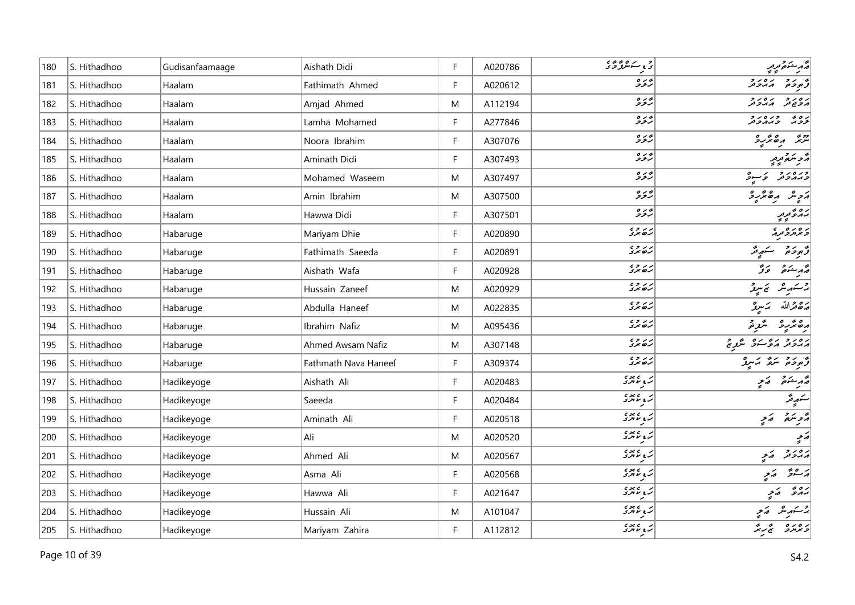| 180 | S. Hithadhoo | Gudisanfaamaage | Aishath Didi         | F           | A020786 | دې سنده دي.<br>  دې سند مرد د | و در شوه ورور<br>در شوه ورور                                                                                                   |
|-----|--------------|-----------------|----------------------|-------------|---------|-------------------------------|--------------------------------------------------------------------------------------------------------------------------------|
| 181 | S. Hithadhoo | Haalam          | Fathimath Ahmed      | F           | A020612 | رژو                           | و دو دورو                                                                                                                      |
| 182 | S. Hithadhoo | Haalam          | Amjad Ahmed          | M           | A112194 | رًى و                         |                                                                                                                                |
| 183 | S. Hithadhoo | Haalam          | Lamha Mohamed        | $\mathsf F$ | A277846 | رژو                           | پره په<br>و رە ر د<br><i>د بر</i> گرىر                                                                                         |
| 184 | S. Hithadhoo | Haalam          | Noora Ibrahim        | $\mathsf F$ | A307076 | رحمزو                         | دوره مره نگر ده.<br>سرنگر                                                                                                      |
| 185 | S. Hithadhoo | Haalam          | Aminath Didi         | $\mathsf F$ | A307493 | رًى و                         | و گړې شره ور په کليمونه کليمونه کليمونه د کليمونه کليمونه کليمونه کليمونه کليمونه کليمونه کليمونه کليمونه کليم<br>مرکز کليمونه |
| 186 | S. Hithadhoo | Haalam          | Mohamed Waseem       | M           | A307497 | رًى و                         | $rac{1}{2}$                                                                                                                    |
| 187 | S. Hithadhoo | Haalam          | Amin Ibrahim         | M           | A307500 | رًى و                         |                                                                                                                                |
| 188 | S. Hithadhoo | Haalam          | Hawwa Didi           | F           | A307501 | رحمزو                         | <br>  پر ژگورې<br>  ۱۶۰۰ کې                                                                                                    |
| 189 | S. Hithadhoo | Habaruge        | Mariyam Dhie         | $\mathsf F$ | A020890 | ر ر و ،<br>رَ@ىرى             | גם גם גם<br>ב"ז <i>נ</i> ת <i>ב</i> ינה                                                                                        |
| 190 | S. Hithadhoo | Habaruge        | Fathimath Saeeda     | F           | A020891 | ژه بو ۽                       | وً و ده د سکوړنگر                                                                                                              |
| 191 | S. Hithadhoo | Habaruge        | Aishath Wafa         | F           | A020928 | ژه نو ه                       | ړ ده وگ                                                                                                                        |
| 192 | S. Hithadhoo | Habaruge        | Hussain Zaneef       | M           | A020929 | ر ر د ه<br>ره مرد             | بر سنهر شه الجامعة                                                                                                             |
| 193 | S. Hithadhoo | Habaruge        | Abdulla Haneef       | M           | A022835 | ر ر و ،<br>رَ@ىرى             | رە قراللە كەسپۇ                                                                                                                |
| 194 | S. Hithadhoo | Habaruge        | Ibrahim Nafiz        | M           | A095436 | ر ر د ،<br>ره بر د            | ە ئەسىر ئىسىر ئىسىر ئىسىر<br>مەسىر ئىسىر ئىسىر                                                                                 |
| 195 | S. Hithadhoo | Habaruge        | Ahmed Awsam Nafiz    | M           | A307148 | ر رو ء                        | ره د د ده ده شوره<br>دروند ده سو شوره                                                                                          |
| 196 | S. Hithadhoo | Habaruge        | Fathmath Nava Haneef | F           | A309374 | ر ر د ه<br>ره مرد             | توجوجو تتق بمبرقه                                                                                                              |
| 197 | S. Hithadhoo | Hadikeyoge      | Aishath Ali          | F           | A020483 | ر پر پر پر<br>گروندور         |                                                                                                                                |
| 198 | S. Hithadhoo | Hadikeyoge      | Saeeda               | F           | A020484 |                               |                                                                                                                                |
| 199 | S. Hithadhoo | Hadikeyoge      | Aminath Ali          | F           | A020518 | ر میده<br>ترویو در            | ەتىر                                                                                                                           |
| 200 | S. Hithadhoo | Hadikeyoge      | Ali                  | M           | A020520 | ر<br>سرو با مرد<br>سر         | ربيبه                                                                                                                          |
| 201 | S. Hithadhoo | Hadikeyoge      | Ahmed Ali            | M           | A020567 |                               | ره د د کار د که د                                                                                                              |
| 202 | S. Hithadhoo | Hadikeyoge      | Asma Ali             | F           | A020568 | ر<br>سر ۽ مذهري               | رمعتر<br>ەنىپە                                                                                                                 |
| 203 | S. Hithadhoo | Hadikeyoge      | Hawwa Ali            | F           | A021647 | ر پر پر پر<br>سر پر مرد       | $5.6$ $5.7$                                                                                                                    |
| 204 | S. Hithadhoo | Hadikeyoge      | Hussain Ali          | M           | A101047 | ر<br>سرو با مرد<br>سر         | برسكهر شركم                                                                                                                    |
| 205 | S. Hithadhoo | Hadikeyoge      | Mariyam Zahira       | F           | A112812 | ر<br>سرو بر مرد د             | أو مرده و محررتگ                                                                                                               |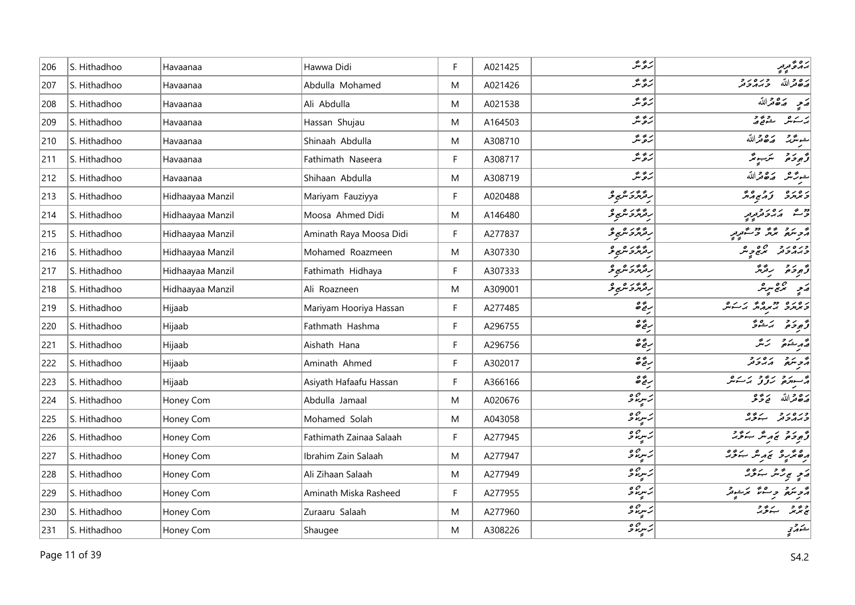| 206 | S. Hithadhoo | Havaanaa         | Hawwa Didi              | F           | A021425 | ىر ئەمە<br>سىرىپىتىر                        | پر ژ و درد<br>  پر ژ و درد                  |
|-----|--------------|------------------|-------------------------|-------------|---------|---------------------------------------------|---------------------------------------------|
| 207 | S. Hithadhoo | Havaanaa         | Abdulla Mohamed         | M           | A021426 | ر پەيتر                                     | مەھىراللە<br>و ر ه ر د<br>تر پروتر          |
| 208 | S. Hithadhoo | Havaanaa         | Ali Abdulla             | M           | A021538 | ر پەيۇ<br>رەڭ ئىش                           | أقه قاديم الله                              |
| 209 | S. Hithadhoo | Havaanaa         | Hassan Shujau           | M           | A164503 | ىر ئەشر                                     |                                             |
| 210 | S. Hithadhoo | Havaanaa         | Shinaah Abdulla         | M           | A308710 | ر پو پژ                                     | حو <i>سر برد وقر</i> الله                   |
| 211 | S. Hithadhoo | Havaanaa         | Fathimath Naseera       | F           | A308717 | ىر ئەس<br>مەھ                               | قرم و ترجيد                                 |
| 212 | S. Hithadhoo | Havaanaa         | Shihaan Abdulla         | M           | A308719 | ر پەيۇ<br>رەڭ ئىش                           | خوتر مَرْهُ قراللّه                         |
| 213 | S. Hithadhoo | Hidhaayaa Manzil | Mariyam Fauziyya        | F           | A020488 | ر قر <del>م</del> ر څر شر <sub>م</sub> و څه | במתכ צהבתת                                  |
| 214 | S. Hithadhoo | Hidhaayaa Manzil | Moosa Ahmed Didi        | M           | A146480 | رِ مُرْتَرُدَ سُرْبِرِ وُ                   | وحث مهاد وترتزير                            |
| 215 | S. Hithadhoo | Hidhaayaa Manzil | Aminath Raya Moosa Didi | $\mathsf F$ | A277837 | ر پژوگر شهې په                              | و د د و و د و ورد د                         |
| 216 | S. Hithadhoo | Hidhaayaa Manzil | Mohamed Roazmeen        | M           | A307330 | ر قەر قەسىم قە                              |                                             |
| 217 | S. Hithadhoo | Hidhaayaa Manzil | Fathimath Hidhaya       | F           | A307333 | - ئۇزۇ ئىز بور<br>بەن <i>ز</i> ىر ئىز بور   | وٌمودَهُ رِمَّرُّرٌ                         |
| 218 | S. Hithadhoo | Hidhaayaa Manzil | Ali Roazneen            | M           | A309001 | ر قر گرځ شر <sub>م</sub> و                  | ر<br>مرد مرد سر مرد مرد مرد مرد استرا       |
| 219 | S. Hithadhoo | Hijaab           | Mariyam Hooriya Hassan  | F           | A277485 | رقع ھ                                       | גם גם כדי סוף גם.<br>בינחבר הינגות האייניות |
| 220 | S. Hithadhoo | Hijaab           | Fathmath Hashma         | F           | A296755 | رِيَّ ھ                                     | ۇي <sub>م</sub> وچە كەشى                    |
| 221 | S. Hithadhoo | Hijaab           | Aishath Hana            | F           | A296756 | رِيَّ ھ                                     | أقهر شوقو المرتقل                           |
| 222 | S. Hithadhoo | Hijaab           | Aminath Ahmed           | F           | A302017 | رِيَّ صَ                                    | و ده ده ده ده د                             |
| 223 | S. Hithadhoo | Hijaab           | Asiyath Hafaafu Hassan  | F           | A366166 | رقع                                         | ەسىدە رود برخى                              |
| 224 | S. Hithadhoo | Honey Com        | Abdulla Jamaal          | M           | A020676 | ئە بىر بەرە<br>ئە                           | مَدَّهْ مَرْ اللَّهُ ۖ مَحْرٌ حَرْ          |
| 225 | S. Hithadhoo | Honey Com        | Mohamed Solah           | M           | A043058 | ر<br>سرچو                                   | ورەرو بەدە<br>ۋىرەرو بىۋە                   |
| 226 | S. Hithadhoo | Honey Com        | Fathimath Zainaa Salaah | F.          | A277945 | ر<br>سرچو                                   | ژوده نم شر بنور                             |
| 227 | S. Hithadhoo | Honey Com        | Ibrahim Zain Salaah     | M           | A277947 | ر<br>سرچو                                   | رە ئرىرو ، ئار شرىر بىدۇر                   |
| 228 | S. Hithadhoo | Honey Com        | Ali Zihaan Salaah       | M           | A277949 | ر<br>سرچو                                   | ړې پر شمر ښوده                              |
| 229 | S. Hithadhoo | Honey Com        | Aminath Miska Rasheed   | F           | A277955 | ر<br>سرچو                                   | و برد و مع بر دور                           |
| 230 | S. Hithadhoo | Honey Com        | Zuraaru Salaah          | M           | A277960 | ئە بىر بەر<br>ئە                            | د پر د<br>سی تنر تنر<br>ىبە بۇر             |
| 231 | S. Hithadhoo | Honey Com        | Shaugee                 | M           | A308226 | ر<br>رسوره د                                | شەدقم تو                                    |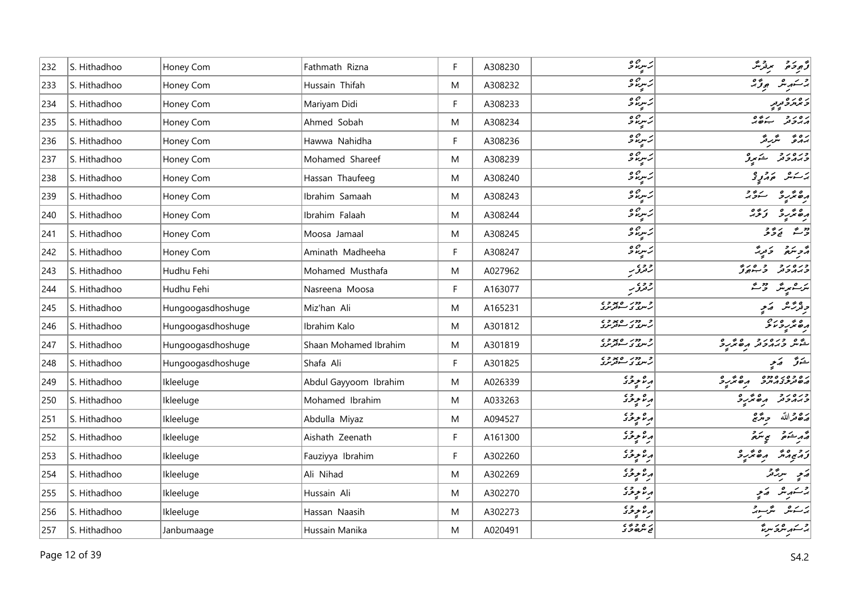| 232 | S. Hithadhoo | Honey Com         | Fathmath Rizna        | F  | A308230 | ر<br>رسم ده<br>د                                       | ۇ بەر ئەرەپتىگە<br>ئىسىمىتىلىكىنىڭ                |
|-----|--------------|-------------------|-----------------------|----|---------|--------------------------------------------------------|---------------------------------------------------|
| 233 | S. Hithadhoo | Honey Com         | Hussain Thifah        | M  | A308232 | ر سرچ ه<br>په سرچ                                      | - ئەسىر بىر<br>ە ئۇ بر                            |
| 234 | S. Hithadhoo | Honey Com         | Mariyam Didi          | F. | A308233 | ر<br>رسم ده<br>س                                       | <br>  تر چربر 3 در در                             |
| 235 | S. Hithadhoo | Honey Com         | Ahmed Sobah           | M  | A308234 | ر<br>سرچو                                              | ره رو دره و                                       |
| 236 | S. Hithadhoo | Honey Com         | Hawwa Nahidha         | F  | A308236 | تسرىمى                                                 | پره پی سرگردگر                                    |
| 237 | S. Hithadhoo | Honey Com         | Mohamed Shareef       | M  | A308239 | ر<br>سرچو                                              | ورەر دىمبۇ                                        |
| 238 | S. Hithadhoo | Honey Com         | Hassan Thaufeeg       | M  | A308240 | ر<br>سرچو                                              | بركستو المروافي                                   |
| 239 | S. Hithadhoo | Honey Com         | Ibrahim Samaah        | M  | A308243 | ر<br>سرچو                                              | أرە ئەر ئەر ئە                                    |
| 240 | S. Hithadhoo | Honey Com         | Ibrahim Falaah        | M  | A308244 | ر سرچ و<br>په سرچ                                      | مەھترىرى زىمى                                     |
| 241 | S. Hithadhoo | Honey Com         | Moosa Jamaal          | M  | A308245 | ر<br>سرچو                                              | در مرور<br>  وستر مح                              |
| 242 | S. Hithadhoo | Honey Com         | Aminath Madheeha      | F  | A308247 | ئە بىر بەر<br>ئە                                       | أأروبتهم وتربا                                    |
| 243 | S. Hithadhoo | Hudhu Fehi        | Mohamed Musthafa      | M  | A027962 | روء پر                                                 | ورەرو وەرە<br><i>جەم</i> ەدىر دىببوتى             |
| 244 | S. Hithadhoo | Hudhu Fehi        | Nasreena Moosa        | F  | A163077 | د وي<br>ر ترو ب                                        | لتركولي المحر المحر المحر المستكم                 |
| 245 | S. Hithadhoo | Hungoogasdhoshuge | Miz'han Ali           | M  | A165231 | و میں دو بر و د<br>رسری <sub>کی</sub> سوفرس            | ح فرشش المستحيث                                   |
| 246 | S. Hithadhoo | Hungoogasdhoshuge | Ibrahim Kalo          | M  | A301812 | و رود ر ه پو د ء<br>رسری <sub>ک</sub> سوتر <i>مر</i> ی | ە ھەمەر 2 مەم<br>بەھەمەر 2 مەم                    |
| 247 | S. Hithadhoo | Hungoogasdhoshuge | Shaan Mohamed Ibrahim | M  | A301819 | و رود ر ه پو د ء<br>رسری <sub>ک</sub> سوتر <i>مر</i> ی | شوه ورورو مصرره                                   |
| 248 | S. Hithadhoo | Hungoogasdhoshuge | Shafa Ali             | F  | A301825 | و سود در ه پر و د<br>مرسونۍ سونتورۍ                    | خترق الكامج                                       |
| 249 | S. Hithadhoo | Ikleeluge         | Abdul Gayyoom Ibrahim | M  | A026339 | پر ناموڅۍ<br> <br>  سرچينې                             | ر ٥ ٥ ٥ ٥ ٥ ٥ ٠٥<br>۵ ته تر تر تر در در<br>ەھەرىر |
| 250 | S. Hithadhoo | Ikleeluge         | Mohamed Ibrahim       | M  | A033263 | در ما پوځه د<br>ر                                      | و ره ر د<br><i>د بر</i> پر تر<br>مەھمەرد          |
| 251 | S. Hithadhoo | Ikleeluge         | Abdulla Miyaz         | M  | A094527 | ىر ئەمرىزى<br>س                                        | ر پر ہ<br>ەھىراللە                                |
| 252 | S. Hithadhoo | Ikleeluge         | Aishath Zeenath       | F  | A161300 | ەر ئەمەدى<br>مەسمەدى                                   | وكرمشكم والمتمر                                   |
| 253 | S. Hithadhoo | Ikleeluge         | Fauziyya Ibrahim      | F  | A302260 | ە ئەمەدى<br>بر ئامورى                                  | נג <sub>א</sub> ת הפתיכ                           |
| 254 | S. Hithadhoo | Ikleeluge         | Ali Nihad             | M  | A302269 | د ره موڅه د<br>ر                                       | ە ئەس سەرتىقىد<br>مەسىر                           |
| 255 | S. Hithadhoo | Ikleeluge         | Hussain Ali           | M  | A302270 | وينموخو                                                | برسكهر شركر                                       |
| 256 | S. Hithadhoo | Ikleeluge         | Hassan Naasih         | M  | A302273 | ەر ئاموچە<br>بر ئاموچە                                 | برسەيىتە                                          |
| 257 | S. Hithadhoo | Janbumaage        | Hussain Manika        | M  | A020491 | ر ه د و »<br>نح سره تر د                               | جر سەمە بىرىدىگە                                  |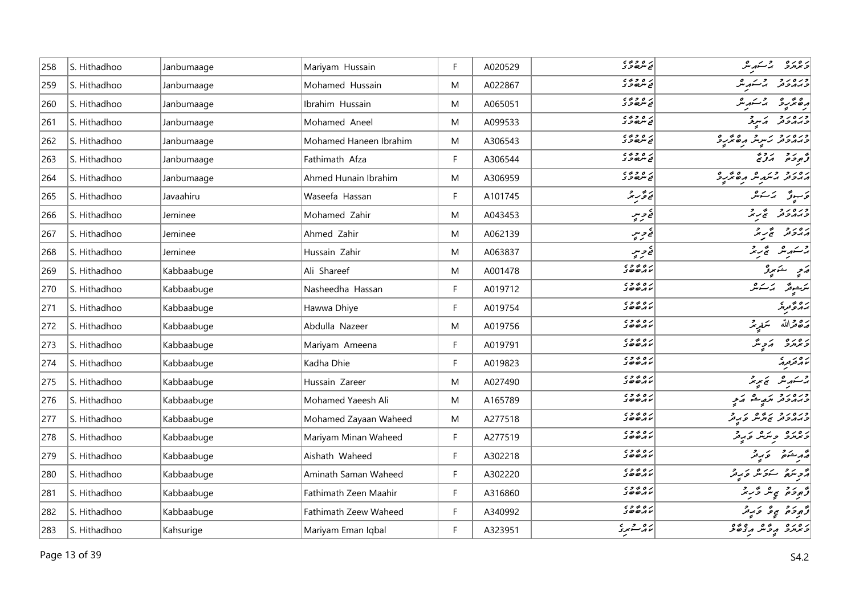|              |              |                        |                 |         |                                        | دەرە جەمرە                                                        |
|--------------|--------------|------------------------|-----------------|---------|----------------------------------------|-------------------------------------------------------------------|
|              |              |                        |                 |         |                                        |                                                                   |
| S. Hithadhoo | Janbumaage   | Mohamed Hussain        | M               | A022867 |                                        | ورەرو ورىدىر                                                      |
| S. Hithadhoo | Janbumaage   | Ibrahim Hussain        | M               | A065051 | ر ه د و »<br>تع سره تر د               | رەنزىر ئىسكىر                                                     |
| S. Hithadhoo | Janbumaage   | Mohamed Aneel          | M               | A099533 | ر ه و و »<br>قع سرچ و ی                | כממכני היית                                                       |
| S. Hithadhoo | Janbumaage   | Mohamed Haneen Ibrahim | M               | A306543 | ر ه د و و ،<br>تع سر <del>ه</del> تر د | وره رو رسر شهره مهم برد                                           |
| S. Hithadhoo | Janbumaage   | Fathimath Afza         | F               | A306544 | ر ه د د »<br>د سره ژ د                 | توجدة روية                                                        |
| S. Hithadhoo | Janbumaage   | Ahmed Hunain Ibrahim   | M               | A306959 | ر ه د د »<br>د سره تر د                | גפנק גיעגיל גם ליב                                                |
| S. Hithadhoo | Javaahiru    | Waseefa Hassan         | F               | A101745 | ئە ئەرىپى<br>م                         | لاسبوق الاسكانكر                                                  |
| S. Hithadhoo | Jeminee      | Mohamed Zahir          | M               | A043453 | قح حر سر<br>م                          | ورەرو ئەرىر                                                       |
| S. Hithadhoo | Jeminee      | Ahmed Zahir            | M               | A062139 |                                        | أرور والمحار والمحمد                                              |
| S. Hithadhoo | Jeminee      | Hussain Zahir          | M               | A063837 | قے <i>ح</i> ر سر<br>مر                 | يز سكر مثل التجاريخه                                              |
| S. Hithadhoo | Kabbaabuge   | Ali Shareef            | M               | A001478 | 50001                                  | ړې خو <i>بې</i> رو                                                |
| S. Hithadhoo | Kabbaabuge   | Nasheedha Hassan       | F.              | A019712 | 50001                                  | للركومي كالمركب كالمركب                                           |
| S. Hithadhoo | Kabbaabuge   | Hawwa Dhiye            | F               | A019754 | 50001                                  | پروڅورنگر                                                         |
| S. Hithadhoo | Kabbaabuge   | Abdulla Nazeer         | M               | A019756 | 50001                                  | رەقەللە س <i>ىنپ</i> ر                                            |
| S. Hithadhoo | Kabbaabuge   | Mariyam Ameena         | F.              | A019791 | 50001                                  | د ەرە بەر ش                                                       |
| S. Hithadhoo | Kabbaabuge   | Kadha Dhie             | F               | A019823 | 50000                                  | ئەھرىرىم                                                          |
| S. Hithadhoo | Kabbaabuge   | Hussain Zareer         | M               | A027490 | 50001                                  | يمسكر مكافي فيريثر                                                |
| S. Hithadhoo | Kabbaabuge   | Mohamed Yaeesh Ali     | M               | A165789 | 50001                                  | כנסגב תקביל הב                                                    |
| S. Hithadhoo | Kabbaabuge   | Mohamed Zayaan Waheed  | M               | A277518 | 50001                                  | ور و د و د پره د بر د<br>د بربرد تر بربر کوبرنر                   |
| S. Hithadhoo | Kabbaabuge   | Mariyam Minan Waheed   | $\mathsf F$     | A277519 | 50000                                  | ويمهزو ويترش وبيتر                                                |
| S. Hithadhoo | Kabbaabuge   | Aishath Waheed         | F               | A302218 | 50001                                  | أقهر شده وكرفر                                                    |
| S. Hithadhoo | Kabbaabuge   | Aminath Saman Waheed   | F               | A302220 | 50001                                  | أأوسم المركز وكالمحمد                                             |
| S. Hithadhoo | Kabbaabuge   | Fathimath Zeen Maahir  | F               | A316860 | 50001                                  | أزَّوِدَةَ بِإِسْ دَّرِيزٌ                                        |
| S. Hithadhoo | Kabbaabuge   | Fathimath Zeew Waheed  | F               | A340992 | 50001                                  | توجد ياء ويد                                                      |
| S. Hithadhoo | Kahsurige    | Mariyam Eman Iqbal     | F               | A323951 | ئەدرىيە                                | دەرە بەۋش بەۋە                                                    |
|              | S. Hithadhoo | Janbumaage             | Mariyam Hussain | F       | A020529                                | ر ه د و و ،<br>ق سره تر د<br>ر ه د و و ،<br>تع سره تر د<br>اقحوسر |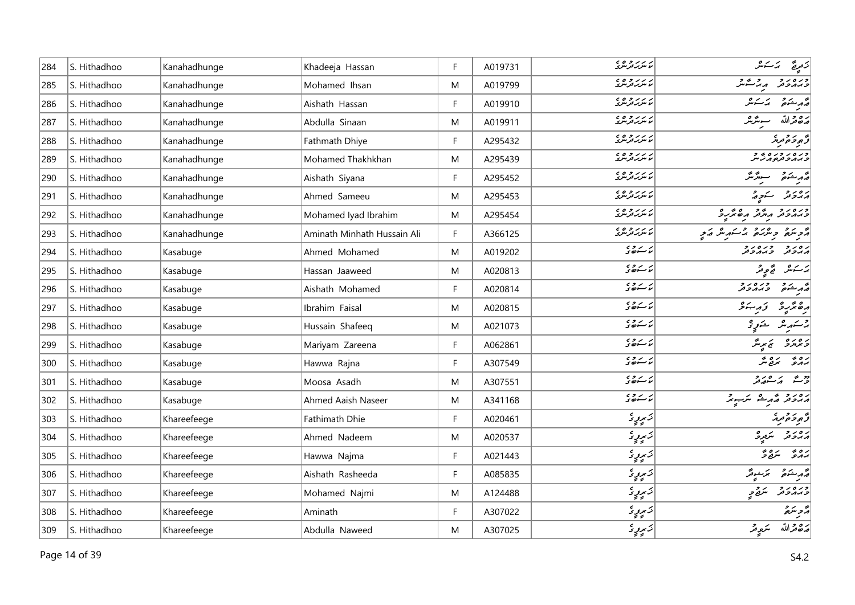| 284 | S. Hithadhoo | Kanahadhunge | Khadeeja Hassan             | F           | A019731 | ر بر بر و ه ،<br>با سربرتوسری | ترىرى <i>غ يەستەنگ</i>                                                                                         |
|-----|--------------|--------------|-----------------------------|-------------|---------|-------------------------------|----------------------------------------------------------------------------------------------------------------|
| 285 | S. Hithadhoo | Kanahadhunge | Mohamed Ihsan               | M           | A019799 | ر ر ر و ه ،<br>را سربر توسری  | ورەرو مەئسگىر                                                                                                  |
| 286 | S. Hithadhoo | Kanahadhunge | Aishath Hassan              | F           | A019910 | ر پر بر و ه پ<br>با سرپرتوسری | مەر ئىك ئەسكەش                                                                                                 |
| 287 | S. Hithadhoo | Kanahadhunge | Abdulla Sinaan              | M           | A019911 | ر بر ر و ه ،<br>با سربرتبرسری | رَة قرالله سومَّرْش                                                                                            |
| 288 | S. Hithadhoo | Kanahadhunge | Fathmath Dhiye              | F           | A295432 | ر ر ر و ه ،<br>را سرر ترسری   | ۇ ب <sub>ە</sub> ر ئەھمىرىگە                                                                                   |
| 289 | S. Hithadhoo | Kanahadhunge | Mohamed Thakhkhan           | M           | A295439 | ر ر ر و ه ،<br>را سرر ترسری   | و ر ه ر و ر ه د و<br><i>د ب</i> ر د تر <sub>م</sub> و د ش                                                      |
| 290 | S. Hithadhoo | Kanahadhunge | Aishath Siyana              | F           | A295452 | ر ر ر و ه ،<br>را سرر ترسری   | أقرم شوقر المستقرمتر                                                                                           |
| 291 | S. Hithadhoo | Kanahadhunge | Ahmed Sameeu                | M           | A295453 | ر ر ر و ه ،<br>ما سربر تعریبی | ړه رول کروړ                                                                                                    |
| 292 | S. Hithadhoo | Kanahadhunge | Mohamed Iyad Ibrahim        | M           | A295454 | ر پر بر و ه پ<br>با سرپرتوسری | כממכני מתני תסתיכ                                                                                              |
| 293 | S. Hithadhoo | Kanahadhunge | Aminath Minhath Hussain Ali | F           | A366125 | ر ر ر و ه ،<br>را سرر توسری   | أدويتم وبثرتم بمسربكه أو                                                                                       |
| 294 | S. Hithadhoo | Kasabuge     | Ahmed Mohamed               | M           | A019202 | بأسكوي                        | ג סגב בג סגב<br>הגבע בגהבע                                                                                     |
| 295 | S. Hithadhoo | Kasabuge     | Hassan Jaaweed              | M           | A020813 | برسەدى                        | پرسەش قے م <sub>و</sub> فر                                                                                     |
| 296 | S. Hithadhoo | Kasabuge     | Aishath Mohamed             | $\mathsf F$ | A020814 | $50 - 7$                      | ه در دره دره<br>په شوه در درد                                                                                  |
| 297 | S. Hithadhoo | Kasabuge     | Ibrahim Faisal              | M           | A020815 | بریرد ،                       | رە ئەر ئەب                                                                                                     |
| 298 | S. Hithadhoo | Kasabuge     | Hussain Shafeeq             | M           | A021073 | بریرد ،                       | چە سەر سىر ئىستىر بىر ئىستان ئىستان ئىشتان ئىشتان ئىشتان ئىشتان ئىشتان ئىشتان ئىشتان ئىشتان ئىشتان ئىشتان ئىشت |
| 299 | S. Hithadhoo | Kasabuge     | Mariyam Zareena             | $\mathsf F$ | A062861 | برسەدى                        | و محمده سم محمد محمد محمد محمد                                                                                 |
| 300 | S. Hithadhoo | Kasabuge     | Hawwa Rajna                 | F           | A307549 | برسەدى                        | برە ئەسىم ئىر                                                                                                  |
| 301 | S. Hithadhoo | Kasabuge     | Moosa Asadh                 | M           | A307551 | برسەدى                        | وژنځ پر ۱۳۵۵ و                                                                                                 |
| 302 | S. Hithadhoo | Kasabuge     | <b>Ahmed Aaish Naseer</b>   | M           | A341168 | بأسكوي                        | גפנד הקים תהיה                                                                                                 |
| 303 | S. Hithadhoo | Khareefeege  | Fathimath Dhie              | F           | A020461 | زىررى<br>                     | و محمود مرکز<br>محمود محمود م                                                                                  |
| 304 | S. Hithadhoo | Khareefeege  | Ahmed Nadeem                | M           | A020537 | زېږږ <sup>ي</sup><br>ځېږ      | رەرو ئېرو                                                                                                      |
| 305 | S. Hithadhoo | Khareefeege  | Hawwa Najma                 | F           | A021443 | زىرد ئ                        | رە بەرە بەر<br>بەرگە سرچار                                                                                     |
| 306 | S. Hithadhoo | Khareefeege  | Aishath Rasheeda            | F           | A085835 | زېږږ <sup>ي</sup><br>په پېړنې | لأرشكم كمرشوش                                                                                                  |
| 307 | S. Hithadhoo | Khareefeege  | Mohamed Najmi               | M           | A124488 | ز برو د<br>په په              | و ره ر و<br><i>و پر پر</i> تر<br>ر و<br>سرچ ج                                                                  |
| 308 | S. Hithadhoo | Khareefeege  | Aminath                     | F           | A307022 | زېږږ <sup>ي</sup><br>ځېږ      | أأرمره                                                                                                         |
| 309 | S. Hithadhoo | Khareefeege  | Abdulla Naweed              | M           | A307025 | زېږږ <sup>ي</sup><br>         | حَدَّقَة مَعِيضًا                                                                                              |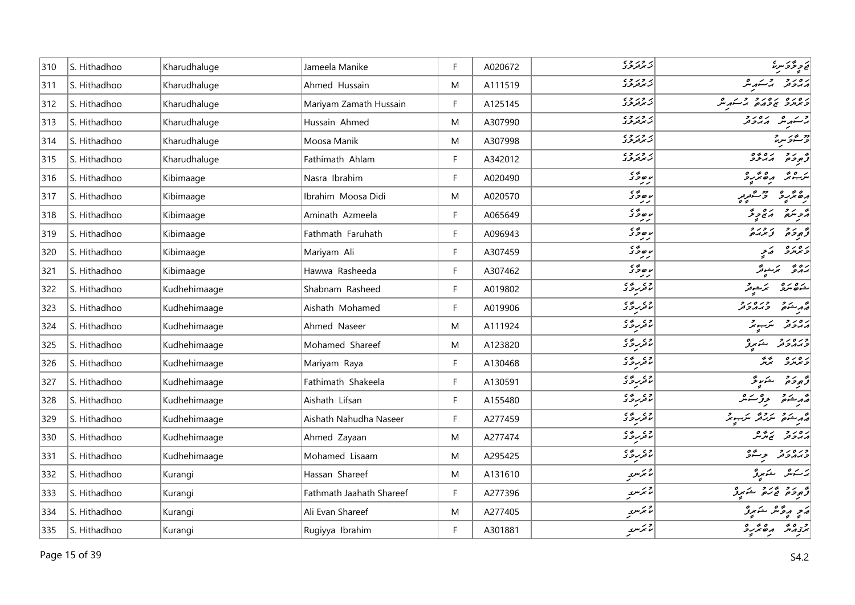| 310 | S. Hithadhoo | Kharudhaluge | Jameela Manike           | F  | A020672 | بر ور و ،<br>تر مرتر و ،             | ئے <sub>تو</sub> تَرَکَرَ سربز                                                                       |
|-----|--------------|--------------|--------------------------|----|---------|--------------------------------------|------------------------------------------------------------------------------------------------------|
| 311 | S. Hithadhoo | Kharudhaluge | Ahmed Hussain            | M  | A111519 | بر ور و ،<br>تر برترنو <sub>ک</sub>  | ره رو د کرده                                                                                         |
| 312 | S. Hithadhoo | Kharudhaluge | Mariyam Zamath Hussain   | F. | A125145 | ز ور و ،<br> ز برترنو د              | 1010 1010 1010                                                                                       |
| 313 | S. Hithadhoo | Kharudhaluge | Hussain Ahmed            | M  | A307990 | ژ ژ ژ ژ ژ<br>  ژ برترنوی             | ير شهر شهر المراجعة المراجعة المراجعة المراجعة المراجعة المراجعة المراجعة المراجعة المراجعة المراجعة |
| 314 | S. Hithadhoo | Kharudhaluge | Moosa Manik              | M  | A307998 | بر ور و ،<br>تر مرتر و ،             | در مشركة مريد<br>مراجع                                                                               |
| 315 | S. Hithadhoo | Kharudhaluge | Fathimath Ahlam          | F  | A342012 | بر ور و ،<br>نر مرتوبو ی             | $55.70$ $25.9$                                                                                       |
| 316 | S. Hithadhoo | Kibimaage    | Nasra Ibrahim            | F  | A020490 | ده وی<br>رم                          |                                                                                                      |
| 317 | S. Hithadhoo | Kibimaage    | Ibrahim Moosa Didi       | M  | A020570 | ده و د<br>رخ                         | رە ئەر ئەستەر بىر<br>بەھەر بەر ئەستەر ئە                                                             |
| 318 | S. Hithadhoo | Kibimaage    | Aminath Azmeela          | F  | A065649 | ره<br>موځون                          |                                                                                                      |
| 319 | S. Hithadhoo | Kibimaage    | Fathmath Faruhath        | F  | A096943 | $550\nu$                             | 5151<br>و مر د<br>اقرامو خاص                                                                         |
| 320 | S. Hithadhoo | Kibimaage    | Mariyam Ali              | F  | A307459 | 550y                                 | د ۱۵ د مړ                                                                                            |
| 321 | S. Hithadhoo | Kibimaage    | Hawwa Rasheeda           | F  | A307462 | $550\nu$                             | رەپە كەنبەن <i>گ</i>                                                                                 |
| 322 | S. Hithadhoo | Kudhehimaage | Shabnam Rasheed          | F  | A019802 | د ،<br>  مورځ د                      | شەھ سىر سىر سىر ئىر                                                                                  |
| 323 | S. Hithadhoo | Kudhehimaage | Aishath Mohamed          | F  | A019906 | د په په په<br>  ما تعرير د په        | ه دره دره دره                                                                                        |
| 324 | S. Hithadhoo | Kudhehimaage | Ahmed Naseer             | M  | A111924 | د ۽ په ۽<br>موريز د                  | ره رو سکه پر                                                                                         |
| 325 | S. Hithadhoo | Kudhehimaage | Mohamed Shareef          | M  | A123820 | د په په<br>  مونرو د                 | ورەرو شەرو                                                                                           |
| 326 | S. Hithadhoo | Kudhehimaage | Mariyam Raya             | F  | A130468 | و ، په ،<br>  مورڅ د                 | برمجرجر<br>ر ه ر ه<br><del>د</del> بربرگ                                                             |
| 327 | S. Hithadhoo | Kudhehimaage | Fathimath Shakeela       | F. | A130591 | ئۇرگە ئ                              | توجوخو المشرقة                                                                                       |
| 328 | S. Hithadhoo | Kudhehimaage | Aishath Lifsan           | F. | A155480 | د ی په په<br>  ما تعریر د ی          | ە مەندە بورىسى                                                                                       |
| 329 | S. Hithadhoo | Kudhehimaage | Aishath Nahudha Naseer   | F  | A277459 | تۇرگە ئە                             | ە ئەسكە ئەرەق ئىرسوم                                                                                 |
| 330 | S. Hithadhoo | Kudhehimaage | Ahmed Zayaan             | M  | A277474 | د ، به ،<br>  ما فربر <del>د</del> د | גם ג' בי המיית.<br>הגבית המיית                                                                       |
| 331 | S. Hithadhoo | Kudhehimaage | Mohamed Lisaam           | M  | A295425 | د ۽ په ۽<br>موريز د                  | ورەرو بورگو                                                                                          |
| 332 | S. Hithadhoo | Kurangi      | Hassan Shareef           | M  | A131610 | الأعرسير                             | ىزىكىش ئىقلىرى                                                                                       |
| 333 | S. Hithadhoo | Kurangi      | Fathmath Jaahath Shareef | F  | A277396 | لأتمرسعه                             | و دو درو شهرو                                                                                        |
| 334 | S. Hithadhoo | Kurangi      | Ali Evan Shareef         | M  | A277405 | لأعرسعه                              | ړې ږوگر ځېږو                                                                                         |
| 335 | S. Hithadhoo | Kurangi      | Rugiyya Ibrahim          | F. | A301881 | الأعرسير                             | برورش رەئزرو                                                                                         |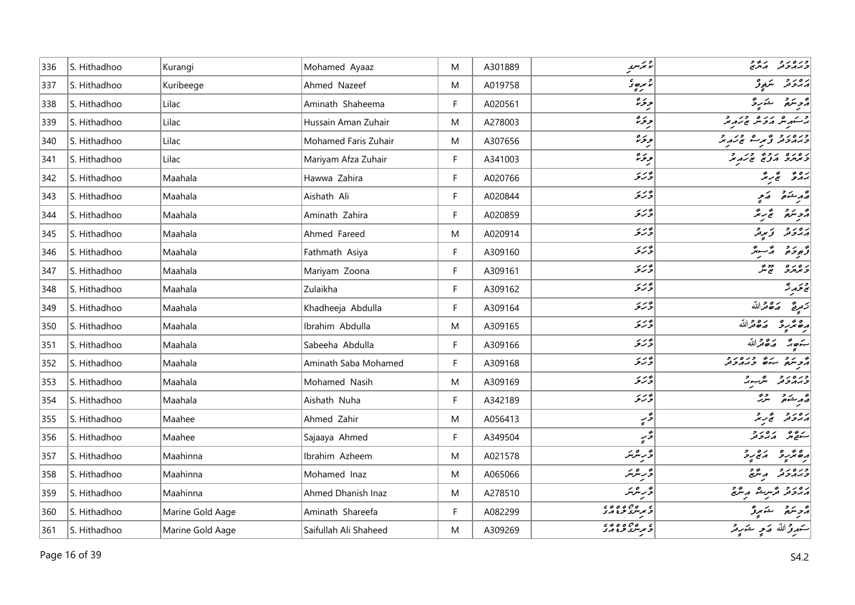| 336 | S. Hithadhoo | Kurangi          | Mohamed Ayaaz         | M  | A301889 | تزيير                           | כנסנכ נבכ                                  |
|-----|--------------|------------------|-----------------------|----|---------|---------------------------------|--------------------------------------------|
| 337 | S. Hithadhoo | Kuribeege        | Ahmed Nazeef          | M  | A019758 | و<br>ما مرحو <sup>ي</sup>       | روز تر تریمو و                             |
| 338 | S. Hithadhoo | Lilac            | Aminath Shaheema      | F. | A020561 | وترثا                           | أأزجر سكاريخ                               |
| 339 | S. Hithadhoo | Lilac            | Hussain Aman Zuhair   | M  | A278003 | وڈرا                            | ج سکه شرکت می شهر می                       |
| 340 | S. Hithadhoo | Lilac            | Mohamed Faris Zuhair  | M  | A307656 | جزيره                           | ورەرد ۋېرے چركرچ                           |
| 341 | S. Hithadhoo | Lilac            | Mariyam Afza Zuhair   | F  | A341003 | جرخره                           | - 2010 152 2016                            |
| 342 | S. Hithadhoo | Maahala          | Hawwa Zahira          | F  | A020766 | ۇرىز                            | برە ئەرىتە                                 |
| 343 | S. Hithadhoo | Maahala          | Aishath Ali           | F  | A020844 | ۇزى                             | $\frac{1}{2}$ $\frac{2}{3}$ $\frac{2}{3}$  |
| 344 | S. Hithadhoo | Maahala          | Aminath Zahira        | F. | A020859 | ۇرىخە                           | أأرمزهم<br>ىچ بەتتىر                       |
| 345 | S. Hithadhoo | Maahala          | Ahmed Fareed          | M  | A020914 | ۇرىز                            | برەر ئەيرىر                                |
| 346 | S. Hithadhoo | Maahala          | Fathmath Asiya        | F  | A309160 | ۇرىز                            | رمح سەدىگە<br>وحجوحهم                      |
| 347 | S. Hithadhoo | Maahala          | Mariyam Zoona         | F  | A309161 | ۇزى                             | دو پر<br>سی سر<br>ر ه بر ه<br>د بربرگ      |
| 348 | S. Hithadhoo | Maahala          | Zulaikha              | F  | A309162 | ۇرىز                            | ح ئۇم <sup>ر</sup> گە<br>م                 |
| 349 | S. Hithadhoo | Maahala          | Khadheeja Abdulla     | F  | A309164 | ۇرىز                            | نزىرىچ<br>ەگەقراللە                        |
| 350 | S. Hithadhoo | Maahala          | Ibrahim Abdulla       | M  | A309165 | ۇزى                             | أرقع تحريح وكالحدالله                      |
| 351 | S. Hithadhoo | Maahala          | Sabeeha Abdulla       | F  | A309166 | ۇرىخە                           | بنويج مكافقه                               |
| 352 | S. Hithadhoo | Maahala          | Aminath Saba Mohamed  | F  | A309168 | ۇزى                             | أرمز به دره دو                             |
| 353 | S. Hithadhoo | Maahala          | Mohamed Nasih         | M  | A309169 | ۇرىز                            | ورەرو ئوسور                                |
| 354 | S. Hithadhoo | Maahala          | Aishath Nuha          | F  | A342189 | ۇزى                             | سرجر<br>پ <sup>و</sup> پر ڪوي <sub>و</sub> |
| 355 | S. Hithadhoo | Maahee           | Ahmed Zahir           | M  | A056413 | وسمية<br>مح                     | رەرو ئېرىر                                 |
| 356 | S. Hithadhoo | Maahee           | Sajaaya Ahmed         | F  | A349504 | $\frac{1}{2}$                   | ر د د به در د<br>سوټی که برونر             |
| 357 | S. Hithadhoo | Maahinna         | Ibrahim Azheem        | M  | A021578 | ۇ <i>ر</i> ىگرىئە               | أرە ئۆر ئەس ئە                             |
| 358 | S. Hithadhoo | Maahinna         | Mohamed Inaz          | M  | A065066 | ۇرىۋىتر                         |                                            |
| 359 | S. Hithadhoo | Maahinna         | Ahmed Dhanish Inaz    | M  | A278510 | ۇ <sub>سە</sub> بىرىتر          | رەرد ئرمرىش رىگەنج<br>مەدونر ئرمرىش رىگەنج |
| 360 | S. Hithadhoo | Marine Gold Aage | Aminath Shareefa      | F  | A082299 | ه وه وه و و و<br>د برسرد مرو اړ | أأترجم المستمرقر                           |
| 361 | S. Hithadhoo | Marine Gold Aage | Saifullah Ali Shaheed | M  | A309269 | ه وه وه وه و<br>د برسد و و و د  | كەرتراللە كەمچ شەرپىر                      |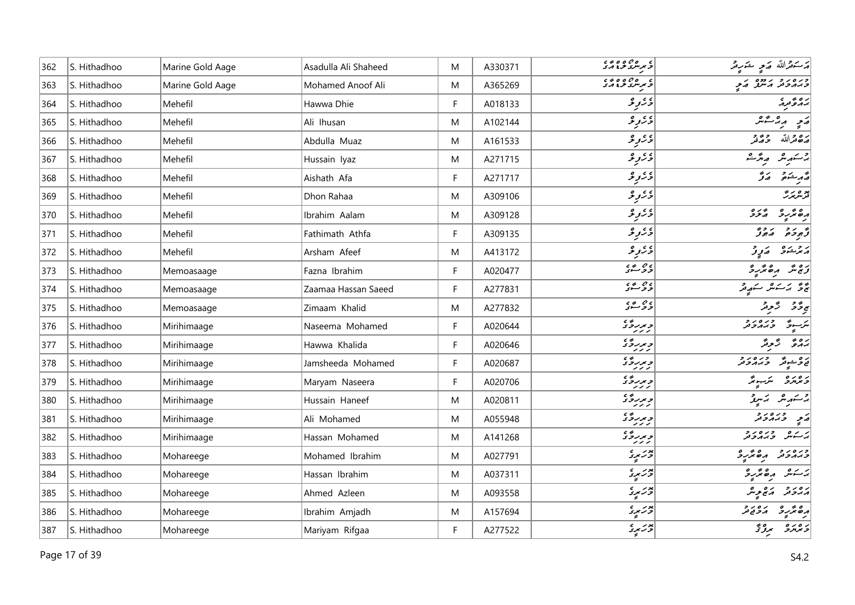| 362 | S. Hithadhoo | Marine Gold Aage | Asadulla Ali Shaheed | M           | A330371 | ، وہ وہ وہ<br>تر پر سر تر وہ دی  | وَسَعَقَدْاللَّهُ وَسِيَّ حَسَنِ وَتَرَ                      |
|-----|--------------|------------------|----------------------|-------------|---------|----------------------------------|--------------------------------------------------------------|
| 363 | S. Hithadhoo | Marine Gold Aage | Mohamed Anoof Ali    | M           | A365269 | ، ره ۵ وه و ،<br>د برس و ۶ و و د | כנסגב גמפס גב                                                |
| 364 | S. Hithadhoo | Mehefil          | Hawwa Dhie           | F           | A018133 | ئۇ ئ <sub>و</sub> رى             | ره د پر<br>بر <sub>م</sub> رگورد                             |
| 365 | S. Hithadhoo | Mehefil          | Ali Ihusan           | M           | A102144 | ئەربۇ                            | ەير مەشقىر                                                   |
| 366 | S. Hithadhoo | Mehefil          | Abdulla Muaz         | M           | A161533 | ئەربۇ                            | ەھىراللە<br>و بو و<br>مرکز فر                                |
| 367 | S. Hithadhoo | Mehefil          | Hussain lyaz         | M           | A271715 | ئەربۇ                            | برستىرىنى پرېژىنگ                                            |
| 368 | S. Hithadhoo | Mehefil          | Aishath Afa          | F           | A271717 | <i>۽ جو</i> عر                   | پ <sup>و</sup> پر شوی <sub>ح</sub><br>ىرىچ                   |
| 369 | S. Hithadhoo | Mehefil          | Dhon Rahaa           | M           | A309106 | ە ئىمر بۇ                        | ير <i>ه پر</i> ېژ                                            |
| 370 | S. Hithadhoo | Mehefil          | Ibrahim Aalam        | M           | A309128 | ئەربۇ                            | ە ھەترىر <sup>ە</sup><br>ەردە                                |
| 371 | S. Hithadhoo | Mehefil          | Fathimath Athfa      | F           | A309135 | ئەربۇ ئى                         | توجدة المعجمة                                                |
| 372 | S. Hithadhoo | Mehefil          | Arsham Afeef         | M           | A413172 | د ژو ژ                           | أروحية وكالمحفية                                             |
| 373 | S. Hithadhoo | Memoasaage       | Fazna Ibrahim        | $\mathsf F$ | A020477 | ې <i>۶ په ۶</i>                  | وسمع مقبره                                                   |
| 374 | S. Hithadhoo | Memoasaage       | Zaamaa Hassan Saeed  | $\mathsf F$ | A277831 | ە ئەھمىيە<br>مەنزىسى             | چ ئەسەھە سەمەتى                                              |
| 375 | S. Hithadhoo | Memoasaage       | Zimaam Khalid        | M           | A277832 | ې <i>۶۴ م</i> ونې                | ىر ئۇ ئۇ ئۇ ئۇ                                               |
| 376 | S. Hithadhoo | Mirihimaage      | Naseema Mohamed      | F           | A020644 | ا و بور و ء<br>ا و بور و د       | و ر ه ر و<br>تر پر ژ تر<br>  مترسوقته                        |
| 377 | S. Hithadhoo | Mirihimaage      | Hawwa Khalida        | F           | A020646 | و بور دی<br>ر ر ر                | رەپ زېر                                                      |
| 378 | S. Hithadhoo | Mirihimaage      | Jamsheeda Mohamed    | F           | A020687 | او بوروی<br>او بوروی             | ره ش <sub>و</sub> تر وبره رو<br>قارش <sub>و</sub> تر وبردوتر |
| 379 | S. Hithadhoo | Mirihimaage      | Maryam Naseera       | F           | A020706 | او برروی<br><u>درو</u> ی         | و مرده سرب پر                                                |
| 380 | S. Hithadhoo | Mirihimaage      | Hussain Haneef       | M           | A020811 | <br> و بور د د د                 | يزخير شريدتي برسير                                           |
| 381 | S. Hithadhoo | Mirihimaage      | Ali Mohamed          | M           | A055948 | او برروی<br><u>ربر</u>           |                                                              |
| 382 | S. Hithadhoo | Mirihimaage      | Hassan Mohamed       | M           | A141268 | د برر دي<br>ر برر د              | يركس وره رو                                                  |
| 383 | S. Hithadhoo | Mohareege        | Mohamed Ibrahim      | M           | A027791 | پرسه په<br>خرسمپرئ               | כנסני השתניק                                                 |
| 384 | S. Hithadhoo | Mohareege        | Hassan Ibrahim       | M           | A037311 | بور<br>حرسم پر                   | برسكش مرەمجرىرى                                              |
| 385 | S. Hithadhoo | Mohareege        | Ahmed Azleen         | M           | A093558 | بور<br>حرسم پر                   | أرەر دە ئەر                                                  |
| 386 | S. Hithadhoo | Mohareege        | Ibrahim Amjadh       | M           | A157694 | پور پر ي<br>  چرنر پرې           | ە ھەترىرى<br>بر ھەترىرى<br>پر 9 پر ج<br>مرکز تحد             |
| 387 | S. Hithadhoo | Mohareege        | Mariyam Rifgaa       | F           | A277522 | بور<br>حرسم پر                   | و وره مروتو                                                  |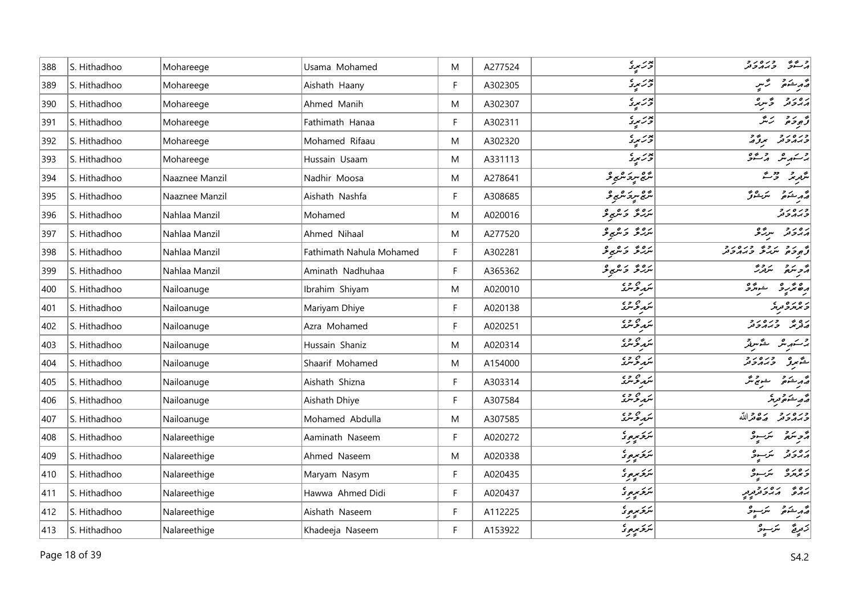| 388 | S. Hithadhoo | Mohareege      | Usama Mohamed            | M           | A277524 | بور<br>حرسم پر                      | و ر ه ر د<br>تر پر ژ تر<br>رژیخ                 |
|-----|--------------|----------------|--------------------------|-------------|---------|-------------------------------------|-------------------------------------------------|
| 389 | S. Hithadhoo | Mohareege      | Aishath Haany            | F           | A302305 | بور<br>حرسم پر                      | و مرکز در<br>مرکز مشور<br>رمحيير                |
| 390 | S. Hithadhoo | Mohareege      | Ahmed Manih              | M           | A302307 | بور<br>حرسم پر                      | پروژو<br>تر سر پر                               |
| 391 | S. Hithadhoo | Mohareege      | Fathimath Hanaa          | F           | A302311 | بور<br>حرسمبرد                      | وحموحهم<br>ترىتر                                |
| 392 | S. Hithadhoo | Mohareege      | Mohamed Rifaau           | M           | A302320 | بور<br>حرسم پر                      | ورەر دەرد<br><i>دى</i> رمەدىر برۇم              |
| 393 | S. Hithadhoo | Mohareege      | Hussain Usaam            | M           | A331113 | بور<br>حرسم پر                      | 2 سەر شەر جەمئىيى                               |
| 394 | S. Hithadhoo | Naaznee Manzil | Nadhir Moosa             | M           | A278641 | مَ <i>نَّجْ بِبِردَ مَرْبِح</i> فَر | شرمر وحرث                                       |
| 395 | S. Hithadhoo | Naaznee Manzil | Aishath Nashfa           | F           | A308685 | م <i>ەڭ بېرى</i> خ مى <i>ڭ ب</i> و  | مەر يىلىقى سىر يىلىقى<br>مەر يىلىقى سىر يىللىقى |
| 396 | S. Hithadhoo | Nahlaa Manzil  | Mohamed                  | M           | A020016 | ىرەۋ كەشپى                          | و ر ه ر و<br><i>و پر</i> پر تر                  |
| 397 | S. Hithadhoo | Nahlaa Manzil  | Ahmed Nihaal             | M           | A277520 | ىررى ئەمبرى                         | أرەر ئىرىگى                                     |
| 398 | S. Hithadhoo | Nahlaa Manzil  | Fathimath Nahula Mohamed | F           | A302281 | بروو دعبود                          |                                                 |
| 399 | S. Hithadhoo | Nahlaa Manzil  | Aminath Nadhuhaa         | F           | A365362 | ىرر ئۇ ئەشرىم ئ                     | أأدبتكم الترفر                                  |
| 400 | S. Hithadhoo | Nailoanuge     | Ibrahim Shiyam           | M           | A020010 | يئىر بۇيىتى                         | د ځې پر د<br>شوپژو                              |
| 401 | S. Hithadhoo | Nailoanuge     | Mariyam Dhiye            | $\mathsf F$ | A020138 | يئد ومحسنة                          | ر ہ ر ہ<br>3 بربر3 تربر                         |
| 402 | S. Hithadhoo | Nailoanuge     | Azra Mohamed             | F           | A020251 | يئد وهميند                          | ره دره در د<br>منرس درگرونر                     |
| 403 | S. Hithadhoo | Nailoanuge     | Hussain Shaniz           | M           | A020314 | يئد وهي                             | رحم شكر مركز المستقلب والمراكز                  |
| 404 | S. Hithadhoo | Nailoanuge     | Shaarif Mohamed          | M           | A154000 | بر و و ،<br>متر تر متر              | شگرو وره دو                                     |
| 405 | S. Hithadhoo | Nailoanuge     | Aishath Shizna           | F           | A303314 | يندوني                              | قەرشكى شوڭ ئىر                                  |
| 406 | S. Hithadhoo | Nailoanuge     | Aishath Dhiye            | F           | A307584 | يئد وهي                             | ە ئەرىشەھ <i>تو</i> رى <i>ر</i>                 |
| 407 | S. Hithadhoo | Nailoanuge     | Mohamed Abdulla          | M           | A307585 | سُمبر بحر پر م                      | وره رو بره دالله                                |
| 408 | S. Hithadhoo | Nalareethige   | Aaminath Naseem          | $\mathsf F$ | A020272 | ىئر ئەسرە ئ<br>ئىسرى                | أأوجع المراسوة                                  |
| 409 | S. Hithadhoo | Nalareethige   | Ahmed Naseem             | M           | A020338 | ىئەبۇ بىرە ئ                        | رەر بەر بەر                                     |
| 410 | S. Hithadhoo | Nalareethige   | Maryam Nasym             | F           | A020435 | ىئرىخە بىرە ئ                       | ويرجو الترسوفي                                  |
| 411 | S. Hithadhoo | Nalareethige   | Hawwa Ahmed Didi         | $\mathsf F$ | A020437 | پرېز <sub>موم</sub><br>مرکز بره د   |                                                 |
| 412 | S. Hithadhoo | Nalareethige   | Aishath Naseem           | F           | A112225 | ىئر ئەسرە ئ                         | ۇرمۇق ئىربو                                     |
| 413 | S. Hithadhoo | Nalareethige   | Khadeeja Naseem          | F           | A153922 | ىئر ئەسرە ئ                         | تزمريح الترسوع                                  |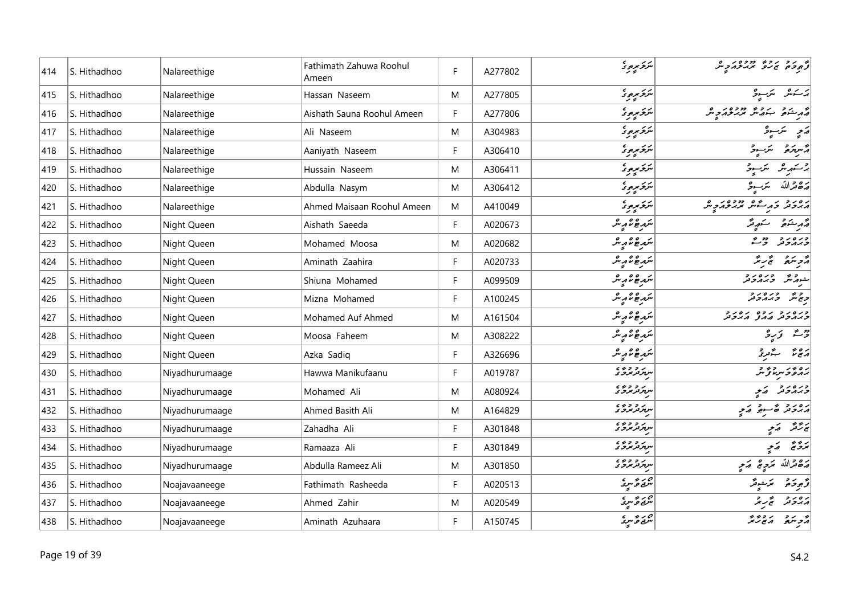| 414 | S. Hithadhoo   | Nalareethige   | Fathimath Zahuwa Roohul<br>Ameen | F. | A277802 | يترئر سرە ئە                          | و رو روه دوه در ه                  |
|-----|----------------|----------------|----------------------------------|----|---------|---------------------------------------|------------------------------------|
| 415 | S. Hithadhoo   | Nalareethige   | Hassan Naseem                    | M  | A277805 | ىئر ئەسرە ئ                           | ىزىكە سىرسوق                       |
| 416 | S. Hithadhoo   | Nalareethige   | Aishath Sauna Roohul Ameen       | F  | A277806 | ىگە ئەسىرە ئە<br>ئە                   |                                    |
| 417 | S. Hithadhoo   | Nalareethige   | Ali Naseem                       | M  | A304983 | ىئە ئەسىرە<br>ئە                      | أرجمع التكريبوقر                   |
| 418 | S. Hithadhoo   | Nalareethige   | Aaniyath Naseem                  | F  | A306410 | ىگە ئەسىرە ئە<br>ئە                   |                                    |
| 419 | S. Hithadhoo   | Nalareethige   | Hussain Naseem                   | M  | A306411 | ىئەبۇ بىرە ئ                          | چرىكى ئىرلىدۇ                      |
| 420 | S. Hithadhoo   | Nalareethige   | Abdulla Nasym                    | M  | A306412 | ىئە ئەسرە ئ                           | مَدْ هُمْ اللّه سَرَ-وَّ           |
| 421 | S. Hithadhoo   | Nalareethige   | Ahmed Maisaan Roohul Ameen       | M  | A410049 | ىئەبۇ بىرە ئ                          | גם גב גם המידי המידיקית            |
| 422 | S. Hithadhoo   | Night Queen    | Aishath Saeeda                   | F. | A020673 | سَر <sub>ە</sub> جەم <sub>ە</sub> بىر | ومرشوم سورقر                       |
| 423 | S. Hithadhoo   | Night Queen    | Mohamed Moosa                    | M  | A020682 | يتدع عامريته                          | ورەرو دوغ                          |
| 424 | S. Hithadhoo   | Night Queen    | Aminath Zaahira                  | F. | A020733 | يئىرغ ئۈر بىر                         | ومحر سنتمر ومحر بالحر              |
| 425 | S. Hithadhoo   | Night Queen    | Shiuna Mohamed                   | F. | A099509 | يئد ع من مريشر                        | شەر شەرەر د                        |
| 426 | S. Hithadhoo   | Night Queen    | Mizna Mohamed                    | F. | A100245 | يئىرغ ئۈمپىر                          | ويمش وره دو                        |
| 427 | S. Hithadhoo   | Night Queen    | Mohamed Auf Ahmed                | M  | A161504 | يتدفع تويثر                           | כנסני ניכס נסני<br>בגמבת המצ מגיבת |
| 428 | S. Hithadhoo   | Night Queen    | Moosa Faheem                     | M  | A308222 | يئىرقۇ ئۈمپىر                         | وحرثته أورو                        |
| 429 | l S. Hithadhoo | Night Queen    | Azka Sadiq                       | F. | A326696 | يتدع عويه                             | رەپر شەرق                          |
| 430 | S. Hithadhoo   | Niyadhurumaaqe | Hawwa Manikufaanu                | F  | A019787 | سر د و و و و<br>سرتر ترو د            | رە بەر بىر تەم<br>بەر ئەخرىر تۈش   |
| 431 | S. Hithadhoo   | Niyadhurumaage | Mohamed Ali                      | M  | A080924 | ر د د و و د<br>سرتر ترد د             | ورەرو كې                           |
| 432 | S. Hithadhoo   | Niyadhurumaage | Ahmed Basith Ali                 | M  | A164829 | سر و و د پ<br>سرتر برتر <sub>ک</sub>  | رورد ځسره کړ                       |
| 433 | S. Hithadhoo   | Niyadhurumaage | Zahadha Ali                      | F  | A301848 | سر و و د پ<br>سرتر برتر <sub>ک</sub>  | ئے تەشر ھەمىيە                     |
| 434 | S. Hithadhoo   | Niyadhurumaage | Ramaaza Ali                      | F. | A301849 | ر و و و ء<br>سیرتربرو <sub>ک</sub>    | $5.6$ $8.5$                        |
| 435 | S. Hithadhoo   | Niyadhurumaage | Abdulla Rameez Ali               | M  | A301850 | سر د و و د و<br>سرتر ترتر د           | رَة قَرَاللّهَ تَرَدِّعُ مَدِّ     |
| 436 | S. Hithadhoo   | Noajavaaneege  | Fathimath Rasheeda               | F. | A020513 | <br> سرچ ځرسري                        | تزود كالمستوفر                     |
| 437 | S. Hithadhoo   | Noajavaaneege  | Ahmed Zahir                      | M  | A020549 | شھرةَ سرِءَ                           | رەرو ئېرىز                         |
| 438 | S. Hithadhoo   | Noajavaaneege  | Aminath Azuhaara                 | F. | A150745 | شرىچە ئە <sub>سمى</sub> كە            | أترجع أتجرجم                       |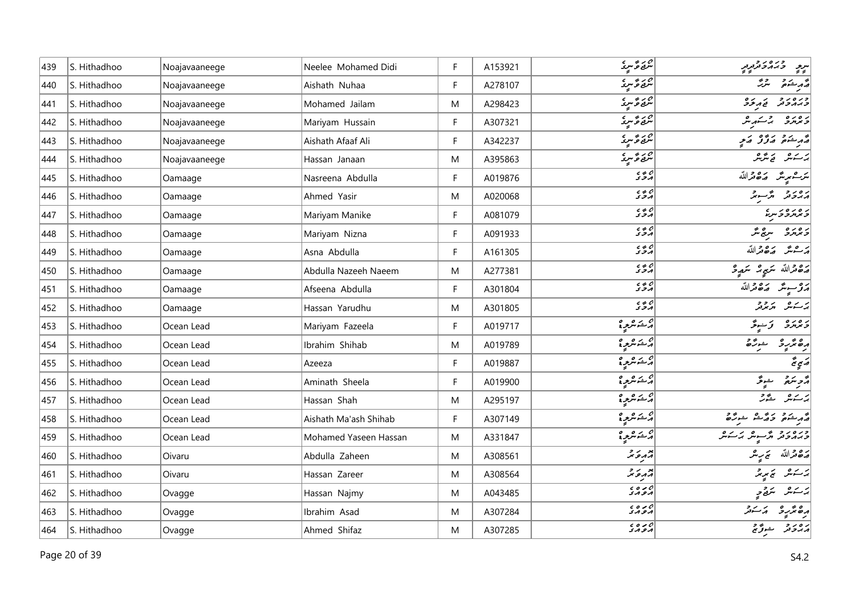| 439 | S. Hithadhoo | Noajavaaneege | Neelee Mohamed Didi   | F         | A153921 | ەر بە<br>سرچ <sub>ە قو</sub> سېرىگە |                                              |
|-----|--------------|---------------|-----------------------|-----------|---------|-------------------------------------|----------------------------------------------|
| 440 | S. Hithadhoo | Noajavaaneege | Aishath Nuhaa         | F         | A278107 | م رید<br>سرچ حرمبری                 | سرو وره رو<br>وو وبرو وترتربو<br>هم شوه سرز  |
| 441 | S. Hithadhoo | Noajavaaneege | Mohamed Jailam        | M         | A298423 | ەر بە ئەيدىگە<br>مەنبۇ قويىتى       | כנסני בתבכ                                   |
| 442 | S. Hithadhoo | Noajavaaneege | Mariyam Hussain       | F         | A307321 | ەر بە<br>سرىئى قرىبېرىگە            |                                              |
| 443 | S. Hithadhoo | Noajavaaneege | Aishath Afaaf Ali     | F         | A342237 | ەر بە<br>سرىئى قرىبرىگە             | أأمر يشكم أمكر والمحمج أمجمج                 |
| 444 | S. Hithadhoo | Noajavaaneege | Hassan Janaan         | M         | A395863 | ەر بە<br>سرىئى قرىبرىگە             | پرستمبر کے مگریش                             |
| 445 | S. Hithadhoo | Oamaage       | Nasreena Abdulla      | F.        | A019876 | پرو ۽                               | <i>ىترىــْمېرىتَر مەھ</i> قراللە             |
| 446 | S. Hithadhoo | Oamaage       | Ahmed Yasir           | M         | A020068 | ج بو ۽<br>مرح ي                     | دەر دەر يەر                                  |
| 447 | S. Hithadhoo | Oamaage       | Mariyam Manike        | F         | A081079 | ە يە ي<br>مەرى                      | د ەرەر پ                                     |
| 448 | S. Hithadhoo | Oamaage       | Mariyam Nizna         | F         | A091933 | ە ئە ئ<br>مەرى                      | دەرە سىمىگە                                  |
| 449 | S. Hithadhoo | Oamaage       | Asna Abdulla          | F         | A161305 | ە ئەسى<br>مەرى                      | مَ عَسَّرَ مَرْهُ مِّرَاللَّه                |
| 450 | S. Hithadhoo | Oamaage       | Abdulla Nazeeh Naeem  | M         | A277381 | ە پە ،<br>مەرى                      | أرَدْهُ مَرْاللَّهُ مَدَى مِنْ مَدَيْرٍ حَرْ |
| 451 | S. Hithadhoo | Oamaage       | Afseena Abdulla       | F         | A301804 | پر و ء<br>  پر <del>و</del> و       | أتروسويتمر الاهتمالله                        |
| 452 | S. Hithadhoo | Oamaage       | Hassan Yarudhu        | M         | A301805 | ە ئە ئ<br>مەرى                      | ىز سەھرى ئەترىتى                             |
| 453 | S. Hithadhoo | Ocean Lead    | Mariyam Fazeela       | F         | A019717 | پر شه مر <sub>مجے</sub> کا          | دەرە تۆسىگە                                  |
| 454 | S. Hithadhoo | Ocean Lead    | Ibrahim Shihab        | ${\sf M}$ | A019789 | پر یئے متنزلینی کا                  | شەرگەنچ<br>ەھ ئ <sup>ۆ</sup> ر ۋ             |
| 455 | S. Hithadhoo | Ocean Lead    | Azeeza                | F         | A019887 | ە ئەكەرىپە يە<br>م                  | $\overline{\acute{c}}$ $\acute{c}$           |
| 456 | S. Hithadhoo | Ocean Lead    | Aminath Sheela        | F         | A019900 | لمشتر معروبي                        | أأروشي<br>حوقر                               |
| 457 | S. Hithadhoo | Ocean Lead    | Hassan Shah           | M         | A295197 | لمشتر معروبي                        | يرك مشرح                                     |
| 458 | S. Hithadhoo | Ocean Lead    | Aishath Ma'ash Shihab | F         | A307149 | پر شه مرموٍ ؟                       | مەرىشى دەك ئىرگە                             |
| 459 | S. Hithadhoo | Ocean Lead    | Mohamed Yaseen Hassan | M         | A331847 | پر <u>ين</u> ه مر <sub>محي</sub> ء  | ورەرو پ <sub>ەسوس</sub> ى ئەسەس              |
| 460 | S. Hithadhoo | Oivaru        | Abdulla Zaheen        | M         | A308561 | لمجموعه                             | أرة قرالله تم يبر                            |
| 461 | S. Hithadhoo | Oivaru        | Hassan Zareer         | M         | A308564 | لترمر بحر                           | ئەسەھرىمىيەتىر                               |
| 462 | S. Hithadhoo | Ovagge        | Hassan Najmy          | M         | A043485 | 2000ء<br> رومر                      | پر سکر مربع ہے ج                             |
| 463 | S. Hithadhoo | Ovagge        | Ibrahim Asad          | M         | A307284 | 0 ر ه ،<br>د و د د                  | وەتمرچ كەسكى                                 |
| 464 | S. Hithadhoo | Ovagge        | Ahmed Shifaz          | M         | A307285 | م ره ،<br>مو د د                    | رەر دۇر.<br>مەدىر شو <i>ۋى</i>               |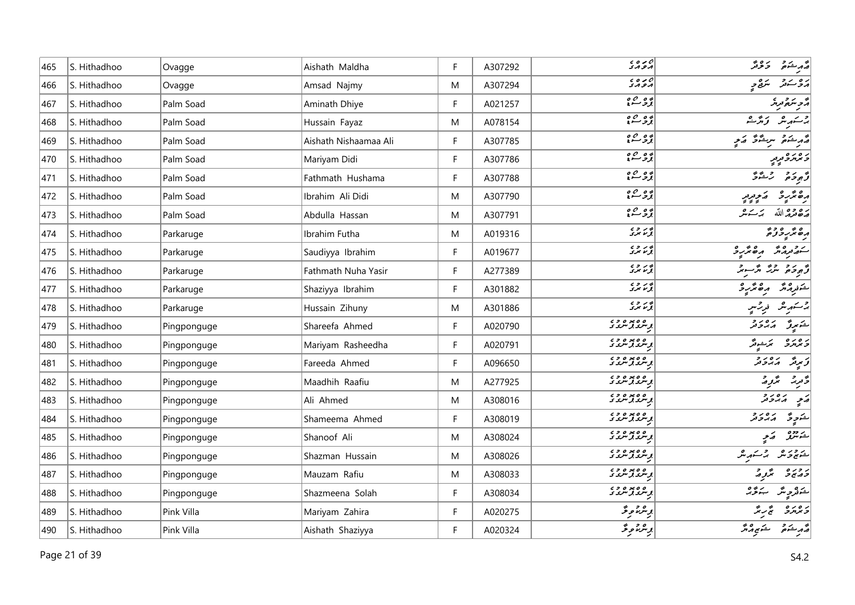| 465 | S. Hithadhoo | Ovagge      | Aishath Maldha        | F           | A307292 | 2000ء<br>محمدی                         | و دره ده وران<br>مرد شوه کارونو |
|-----|--------------|-------------|-----------------------|-------------|---------|----------------------------------------|---------------------------------|
| 466 | S. Hithadhoo | Ovagge      | Amsad Najmy           | M           | A307294 | ەرە ،<br>مەمەر                         | أره سرة متقاحي                  |
| 467 | S. Hithadhoo | Palm Soad   | Aminath Dhiye         | F           | A021257 | ېږه صوب <b>ه</b>                       | أأرمز سكرة مرمز                 |
| 468 | S. Hithadhoo | Palm Soad   | Hussain Fayaz         | M           | A078154 | ې <sub>چ</sub> و موه                   | ا <u>جرست</u> هر متر تر ترکت    |
| 469 | S. Hithadhoo | Palm Soad   | Aishath Nishaamaa Ali | F           | A307785 | ېږه صوبو                               |                                 |
| 470 | S. Hithadhoo | Palm Soad   | Mariyam Didi          | F           | A307786 | $\sqrt{2}$                             |                                 |
| 471 | S. Hithadhoo | Palm Soad   | Fathmath Hushama      | F           | A307788 | ېږه صوب <b>ه</b>                       | وَجِوحِمَ رَحْدَةً              |
| 472 | S. Hithadhoo | Palm Soad   | Ibrahim Ali Didi      | M           | A307790 | إزوجي                                  | أرە ئۇرۇ سەربىرىر               |
| 473 | S. Hithadhoo | Palm Soad   | Abdulla Hassan        | ${\sf M}$   | A307791 | ېږه صوبې                               | برە دە الله<br>برسەمىر          |
| 474 | S. Hithadhoo | Parkaruge   | Ibrahim Futha         | M           | A019316 | و بر چه په<br>د کرم سر په              | ە ئە ئەرە دە.<br>بەھ ئەرىر دىرى |
| 475 | S. Hithadhoo | Parkaruge   | Saudiyya Ibrahim      | F           | A019677 | و ر د ،<br>د ما بر ،                   | הניתות תפתיב                    |
| 476 | S. Hithadhoo | Parkaruge   | Fathmath Nuha Yasir   | F           | A277389 | و بر چې<br>بو تا سري                   | كو برد وجود كو ب                |
| 477 | S. Hithadhoo | Parkaruge   | Shaziyya Ibrahim      | $\mathsf F$ | A301882 | و بر چه په<br>د کرم سر په              | شورورو مەھكرىدى                 |
| 478 | S. Hithadhoo | Parkaruge   | Hussain Zihuny        | M           | A301886 | و بر چه په<br>د کرم سر په              | 2سكەرىنكە بۈرگىلىيە             |
| 479 | S. Hithadhoo | Pingponguge | Shareefa Ahmed        | F           | A020790 | ه ه مر ه د و و<br>بوسری بر مرد د       | شهرو" كەردىر                    |
| 480 | S. Hithadhoo | Pingponguge | Mariyam Rasheedha     | F           | A020791 | و ۵۶۵ تر ۵۶۵<br>بوسری بو               | د ۱۵ ده پر سونگر                |
| 481 | S. Hithadhoo | Pingponguge | Fareeda Ahmed         | F           | A096650 | و ۵ <i>۰</i> و ۶ و ۶<br>برسربر برسمه د | تو پر پر در د                   |
| 482 | S. Hithadhoo | Pingponguge | Maadhih Raafiu        | M           | A277925 | ر ۱۶۵ پورو دی<br>ابر ملندۍ مندې        | د تورژ گروړ                     |
| 483 | S. Hithadhoo | Pingponguge | Ali Ahmed             | M           | A308016 | و موجود <del>د و د پ</del>             |                                 |
| 484 | S. Hithadhoo | Pingponguge | Shameema Ahmed        | F           | A308019 | ه ه ه بر ه د و<br>بر سر بر سر د        | شَرْحٍ حُ<br>پرورو              |
| 485 | S. Hithadhoo | Pingponguge | Shanoof Ali           | ${\sf M}$   | A308024 | ه ه ه بر ه د و<br>بر سر بر سر د        | أخذ مترمي أرمني                 |
| 486 | S. Hithadhoo | Pingponguge | Shazman Hussain       | ${\sf M}$   | A308026 | ه ۵ مر ۵ و ۶<br>بر سر بر سر د          | شەردىش برىسكەرلىر               |
| 487 | S. Hithadhoo | Pingponguge | Mauzam Rafiu          | ${\sf M}$   | A308033 | و ۵ مه و ۵ و ۷<br>بر سربر تر سربر بر   | ر ور ه<br>د پرې<br>بخرورج       |
| 488 | S. Hithadhoo | Pingponguge | Shazmeena Solah       | $\mathsf F$ | A308034 | و ه و پر و د و<br>بر سر بر بر سر د     | شۇنرى ئىر ئەر                   |
| 489 | S. Hithadhoo | Pink Villa  | Mariyam Zahira        | F           | A020275 | وبثرة وقحه                             | دەرە ئېرىگە                     |
| 490 | S. Hithadhoo | Pink Villa  | Aishath Shaziyya      | F           | A020324 | ويثر بنموقحه                           | أقرم شكوة الشكوم والمر          |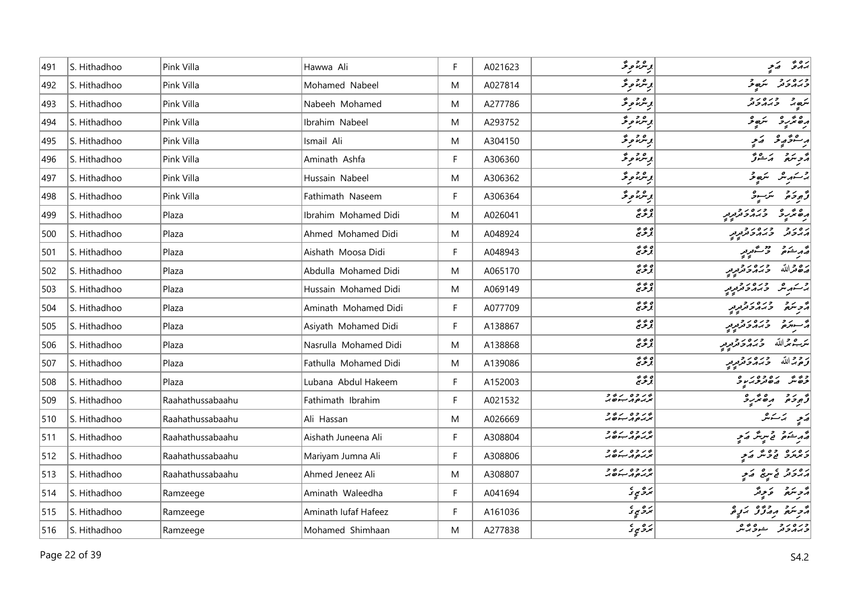| 491 | S. Hithadhoo  | Pink Villa       | Hawwa Ali             | F         | A021623 | ويثرة وقحه                             | پره څه کمنې                                                                                                         |
|-----|---------------|------------------|-----------------------|-----------|---------|----------------------------------------|---------------------------------------------------------------------------------------------------------------------|
| 492 | S. Hithadhoo  | Pink Villa       | Mohamed Nabeel        | M         | A027814 | وبثرة وقحه                             | ورەر دېھر                                                                                                           |
| 493 | S. Hithadhoo  | Pink Villa       | Nabeeh Mohamed        | M         | A277786 | برىثرىز وقر                            | و ره ر د<br><i>د ب</i> رگرفر<br>سرەپر                                                                               |
| 494 | S. Hithadhoo  | Pink Villa       | Ibrahim Nabeel        | M         | A293752 | وبثرة عرقحه                            |                                                                                                                     |
| 495 | S. Hithadhoo  | Pink Villa       | Ismail Ali            | M         | A304150 | ويثربنموقحه                            | وسنتور و مو                                                                                                         |
| 496 | lS. Hithadhoo | Pink Villa       | Aminath Ashfa         | F         | A306360 | برىثرىز موقر                           |                                                                                                                     |
| 497 | S. Hithadhoo  | Pink Villa       | Hussain Nabeel        | M         | A306362 | برىثرىز كوبخه                          | يزخير شهوقه                                                                                                         |
| 498 | S. Hithadhoo  | Pink Villa       | Fathimath Naseem      | F         | A306364 | ويثرة عرقحه                            | ۇ <sub>م</sub> وۋە ئىرسو                                                                                            |
| 499 | S. Hithadhoo  | Plaza            | Ibrahim Mohamed Didi  | M         | A026041 | وثريج                                  | رە ئەرە دىمەد ئورىر                                                                                                 |
| 500 | S. Hithadhoo  | Plaza            | Ahmed Mohamed Didi    | M         | A048924 | وثريج                                  | ره رو دورورو<br>גروتر وره دترترتر                                                                                   |
| 501 | S. Hithadhoo  | Plaza            | Aishath Moosa Didi    | F         | A048943 | ویژنج                                  | پ <sub>ر ش</sub> ره در په پېړن <i>ې</i><br>د پر شوه و څوړنې                                                         |
| 502 | S. Hithadhoo  | Plaza            | Abdulla Mohamed Didi  | M         | A065170 | ویږ                                    | ره والله - دره روبربر                                                                                               |
| 503 | S. Hithadhoo  | Plaza            | Hussain Mohamed Didi  | M         | A069149 | ە ئەتىج<br>بۇ ئىچ                      |                                                                                                                     |
| 504 | S. Hithadhoo  | Plaza            | Aminath Mohamed Didi  | F         | A077709 | وثريج                                  | ر<br>مرکز سره در مرکز در در در مرکز در مرکز در مرکز در مرکز در مرکز در مرکز در مرکز در مرکز در مرکز در مرکز در مرکز |
| 505 | S. Hithadhoo  | Plaza            | Asiyath Mohamed Didi  | F         | A138867 | ە ئەستىم<br>توخرىنى                    |                                                                                                                     |
| 506 | S. Hithadhoo  | Plaza            | Nasrulla Mohamed Didi | M         | A138868 | وثريج                                  | .<br>مرجوعه الله وبرو وترتربر<br>مرجوعه الله                                                                        |
| 507 | S. Hithadhoo  | Plaza            | Fathulla Mohamed Didi | M         | A139086 | ویژنج                                  | تروج الله وبره ودورور                                                                                               |
| 508 | S. Hithadhoo  | Plaza            | Lubana Abdul Hakeem   | F         | A152003 | ە ئەستىم<br>توخرىنى                    | وه شهر ده وه ژبر و                                                                                                  |
| 509 | S. Hithadhoo  | Raahathussabaahu | Fathimath Ibrahim     | F         | A021532 | 7.800000                               | و و ده مه پر د                                                                                                      |
| 510 | S. Hithadhoo  | Raahathussabaahu | Ali Hassan            | M         | A026669 | ء ر وه ب د و<br>بربره پر ښونه بر       | اړې پرېند                                                                                                           |
| 511 | lS. Hithadhoo | Raahathussabaahu | Aishath Juneena Ali   | F         | A308804 | پور وه در پور<br>محربر <i>و</i> ړ جوړن | و المستحقی فی سر است و کم که د                                                                                      |
| 512 | S. Hithadhoo  | Raahathussabaahu | Mariyam Jumna Ali     | F         | A308806 | ء ر وه ر ر و و<br>بربره پر سره بر      | נים נים כם מית הב                                                                                                   |
| 513 | S. Hithadhoo  | Raahathussabaahu | Ahmed Jeneez Ali      | M         | A308807 | پور وه در پور<br>محربر <i>و</i> ړ جوړن |                                                                                                                     |
| 514 | S. Hithadhoo  | Ramzeege         | Aminath Waleedha      | F         | A041694 | بره مي ځ<br>مرکز <sub>م</sub>          | أزويتم وتوقر                                                                                                        |
| 515 | S. Hithadhoo  | Ramzeege         | Aminath Iufaf Hafeez  | F         | A161036 | بره مي ځا                              | ג'קיים גברר ג'נָ                                                                                                    |
| 516 | S. Hithadhoo  | Ramzeege         | Mohamed Shimhaan      | ${\sf M}$ | A277838 | ىر ۋې <sub>م</sub> ئ                   | ورەرو ھەرەپە<br><i>دىد</i> ەرىر ھەرىگىر                                                                             |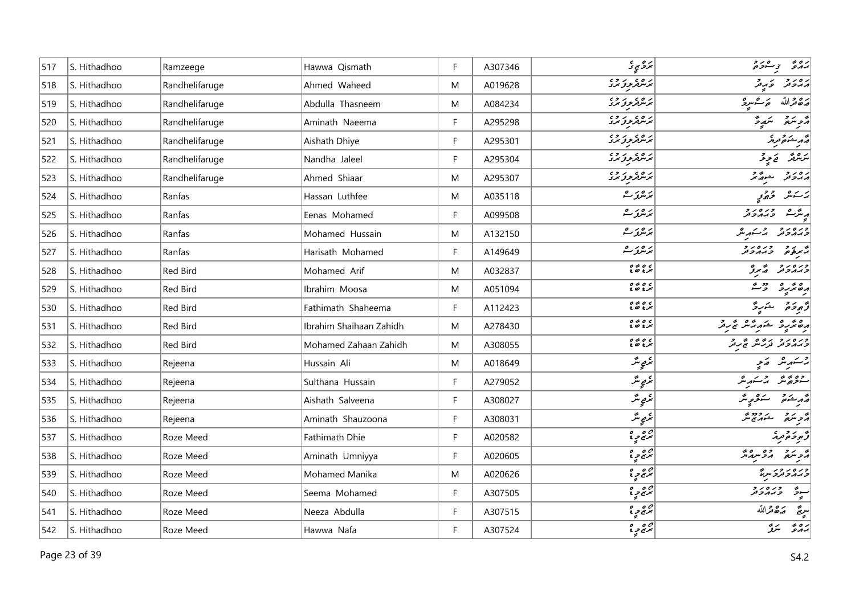| 517 | S. Hithadhoo | Ramzeege        | Hawwa Qismath           | F  | A307346 | بر ه<br>مرچ مې                                          | رە بە<br>برگەن<br>تر ڪرچ و             |
|-----|--------------|-----------------|-------------------------|----|---------|---------------------------------------------------------|----------------------------------------|
| 518 | S. Hithadhoo | Randhelifaruge  | Ahmed Waheed            | M  | A019628 | <br>  پژیوگرموتو مرد                                    | رەر ئەر                                |
| 519 | S. Hithadhoo | Randhelifaruge  | Abdulla Thasneem        | M  | A084234 | بر عروز بر د ،                                          | ە ئەسىرى<br>ەھىراللە                   |
| 520 | S. Hithadhoo | Randhelifaruge  | Aminath Naeema          | F. | A295298 | بر ۵ و بر د د و و<br>بر سرفر مو تر بر د                 | أرمز يتمده<br>سَمدِرٌ                  |
| 521 | S. Hithadhoo | Randhelifaruge  | Aishath Dhiye           | F  | A295301 | پر ه و پر و و<br>  پر پرور پر و                         | و گهر ڪو تو پر گر<br>م                 |
| 522 | S. Hithadhoo | Randhelifaruge  | Nandha Jaleel           | F  | A295304 | ر ۵ ، د د د د د<br>بر مرفر د د برد                      | برجوش فيخرقه                           |
| 523 | S. Hithadhoo | Randhelifaruge  | Ahmed Shiaar            | M  | A295307 | بر مرور و ،<br>بر مرفر پر بر                            | دەرو جەمج                              |
| 524 | S. Hithadhoo | Ranfas          | Hassan Luthfee          | M  | A035118 | ىر ھ <sub>ى</sub> تە ب                                  | بر يەش ئۇچ <sub>ۇ</sub> ر              |
| 525 | S. Hithadhoo | Ranfas          | Eenas Mohamed           | F. | A099508 | ىر ھ <sub>ى</sub> ز م                                   | وشرع ورەرو                             |
| 526 | S. Hithadhoo | Ranfas          | Mohamed Hussain         | M  | A132150 | ىر مىرى <i>مى</i> گە                                    | ورەرو ورىم                             |
| 527 | S. Hithadhoo | Ranfas          | Harisath Mohamed        | F. | A149649 | ىر شرىر مىشە                                            | شركة ورەرد                             |
| 528 | S. Hithadhoo | Red Bird        | Mohamed Arif            | M  | A032837 | $\begin{array}{c} 0 \neq 0 \leq\\ 2 \leq x \end{array}$ | ورەر د پرو                             |
| 529 | S. Hithadhoo | Red Bird        | Ibrahim Moosa           | M  | A051094 | ې ه پره<br>مرغ ځه <mark>ډ</mark>                        | د هم شه<br>ەر ھەترىر <i>ۋ</i>          |
| 530 | S. Hithadhoo | Red Bird        | Fathimath Shaheema      | F  | A112423 | ې ه پره<br>مرغ ځه <mark>ډ</mark>                        | ۇي <sub>م</sub> وڭ شېرۇ                |
| 531 | S. Hithadhoo | <b>Red Bird</b> | Ibrahim Shaihaan Zahidh | M  | A278430 | ې ه پره<br>مرغ ځه <mark>ډ</mark>                        | مەھەر ئەھمەر ئەس ئارىر                 |
| 532 | S. Hithadhoo | <b>Red Bird</b> | Mohamed Zahaan Zahidh   | M  | A308055 | ې ه ۶ ه<br>مرغ ځه <mark>ډ</mark>                        | وره رو بروه و گردگر                    |
| 533 | S. Hithadhoo | Rejeena         | Hussain Ali             | M  | A018649 | ترمو پٹر                                                | برسكهر شركر                            |
| 534 | S. Hithadhoo | Rejeena         | Sulthana Hussain        | F  | A279052 | ترمړ متر                                                | رەم بەر بەسىر                          |
| 535 | S. Hithadhoo | Rejeena         | Aishath Salveena        | F. | A308027 | ترمج متر                                                | ۇرىشقى سىۋې ئىگە                       |
| 536 | S. Hithadhoo | Rejeena         | Aminath Shauzoona       | F  | A308031 | ترمج متر                                                | پر 72.2 پیش<br>مشوہر ہی مئر<br>أأدبره  |
| 537 | S. Hithadhoo | Roze Meed       | Fathimath Dhie          | F  | A020582 | <br>  مرج ح ع                                           | و موځو مره<br>د کارو ک                 |
| 538 | S. Hithadhoo | Roze Meed       | Aminath Umniyya         | F  | A020605 | 0 ه ج ح و ۹<br>مربع ح و ۹                               | הכיתם הכיתה                            |
| 539 | S. Hithadhoo | Roze Meed       | Mohamed Manika          | M  | A020626 | <br>  مرج حي ؟<br>                                      | و ر ٥ ر و ر<br>تر <i>پر پر تر</i> تر س |
| 540 | S. Hithadhoo | Roze Meed       | Seema Mohamed           | F. | A307505 | 0 ه.<br>  مربع ح <sub>و</sub> ي                         | و ره ر و<br><i>د ب</i> رگرمر<br>استوقر |
| 541 | S. Hithadhoo | Roze Meed       | Neeza Abdulla           | F  | A307515 | 0 ه.<br>  مربع ح <sub>و</sub> ي                         | $\frac{2}{3}$<br>برە قراللە            |
| 542 | S. Hithadhoo | Roze Meed       | Hawwa Nafa              | F. | A307524 | 0 ه ج ح و ۹<br>مربع ح و ۹                               | $rac{20}{50}$<br>سرتر                  |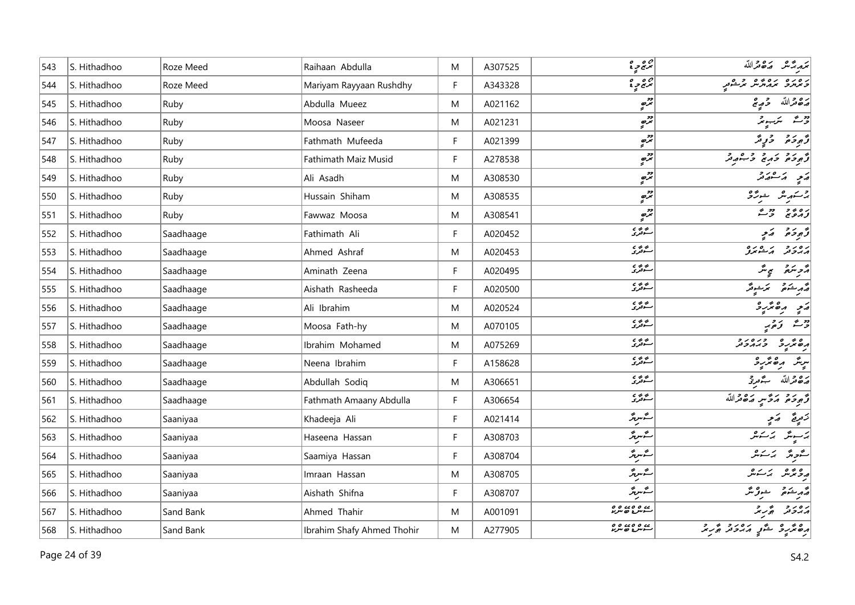| 543 | S. Hithadhoo | Roze Meed   | Raihaan Abdulla            | M           | A307525 | مرج ح <sub>و</sub> ء          | بتمهر شهر مقافرالله                                                              |
|-----|--------------|-------------|----------------------------|-------------|---------|-------------------------------|----------------------------------------------------------------------------------|
| 544 | S. Hithadhoo | Roze Meed   | Mariyam Rayyaan Rushdhy    | F           | A343328 | ە ھ<br>مرىخ ج <sub>و</sub> لا | ג 2010 גם 2014 בסבר                                                              |
| 545 | S. Hithadhoo | Ruby        | Abdulla Mueez              | M           | A021162 | دد<br>تنزیح                   | ره والله و دره                                                                   |
| 546 | S. Hithadhoo | Ruby        | Moosa Naseer               | M           | A021231 | ادد<br>مربع<br>-              | وحث الكرسولمي                                                                    |
| 547 | S. Hithadhoo | Ruby        | Fathmath Mufeeda           | F           | A021399 | $e^{\frac{27}{3}}$            | وً و د د و و د ک                                                                 |
| 548 | S. Hithadhoo | <b>Ruby</b> | Fathimath Maiz Musid       | F           | A278538 | ادد<br>مربع<br>پر             |                                                                                  |
| 549 | S. Hithadhoo | Ruby        | Ali Asadh                  | M           | A308530 | $\overline{\mathcal{P}}$      | أوسع والمستور                                                                    |
| 550 | S. Hithadhoo | Ruby        | Hussain Shiham             | ${\sf M}$   | A308535 | ود<br>بمرضح<br>پ              | 2سەر شەھرىتى                                                                     |
| 551 | S. Hithadhoo | Ruby        | Fawwaz Moosa               | M           | A308541 | دد<br>برخ<br>پ                | 27201                                                                            |
| 552 | S. Hithadhoo | Saadhaage   | Fathimath Ali              | F           | A020452 | ر د دی.<br>ستوتری             | ا تو پر چه د<br>ەتىر                                                             |
| 553 | S. Hithadhoo | Saadhaage   | Ahmed Ashraf               | M           | A020453 | ر میمزی<br>ستوتری             | بره رو بر ه ره<br>(بربروتر بر شوبرتر                                             |
| 554 | S. Hithadhoo | Saadhaage   | Aminath Zeena              | F           | A020495 | ر ژوي                         | أزوينتي بمجيش                                                                    |
| 555 | S. Hithadhoo | Saadhaage   | Aishath Rasheeda           | F           | A020500 | ر پیچه به                     | أقهر مشكاتهم المحرمشوقكر                                                         |
| 556 | S. Hithadhoo | Saadhaage   | Ali Ibrahim                | M           | A020524 | ر میمزی<br>سنگوری             |                                                                                  |
| 557 | S. Hithadhoo | Saadhaage   | Moosa Fath-hy              | M           | A070105 | ے پی ی<br>ستوتوری             | در مع به تر در به به تر در به به تر در به تر استفاده براسید<br>مردم به تر موسیقی |
| 558 | S. Hithadhoo | Saadhaage   | Ibrahim Mohamed            | M           | A075269 | ر پیچه به                     | دە ئەرە دىرەرد                                                                   |
| 559 | S. Hithadhoo | Saadhaage   | Neena Ibrahim              | $\mathsf F$ | A158628 | ے پی ی<br>ستوتوری             | ہریٹر برھنگرچ                                                                    |
| 560 | S. Hithadhoo | Saadhaage   | Abdullah Sodiq             | M           | A306651 | ر میمون<br>ستوتری             | ره والله گورد                                                                    |
| 561 | S. Hithadhoo | Saadhaage   | Fathmath Amaany Abdulla    | F           | A306654 | ر پیچه پ                      | وحدد مؤسر مقدالله                                                                |
| 562 | S. Hithadhoo | Saaniyaa    | Khadeeja Ali               | F           | A021414 | سەمبر                         |                                                                                  |
| 563 | S. Hithadhoo | Saaniyaa    | Haseena Hassan             | F           | A308703 | سەمبەر                        | ت <sup>ا</sup> مري <sup>ع</sup> الأم <sub>ج</sub><br>أياسياس أياسكان             |
| 564 | S. Hithadhoo | Saaniyaa    | Saamiya Hassan             | F           | A308704 | سەمبرىگر                      | سەۋەر ئەسەھ                                                                      |
| 565 | S. Hithadhoo | Saaniyaa    | Imraan Hassan              | M           | A308705 | ئەسەر                         | ەمەمەر ئەسەم                                                                     |
| 566 | S. Hithadhoo | Saaniyaa    | Aishath Shifna             | F           | A308707 | سەمبەر                        | أقهر مشكاة المسورة متر                                                           |
| 567 | S. Hithadhoo | Sand Bank   | Ahmed Thahir               | M           | A001091 | یره ویره و ه<br>سوس کا صربر   | رەرد پېرىر                                                                       |
| 568 | S. Hithadhoo | Sand Bank   | Ibrahim Shafy Ahmed Thohir | M           | A277905 | ړه وه ده وه<br>سوس کا سرد     |                                                                                  |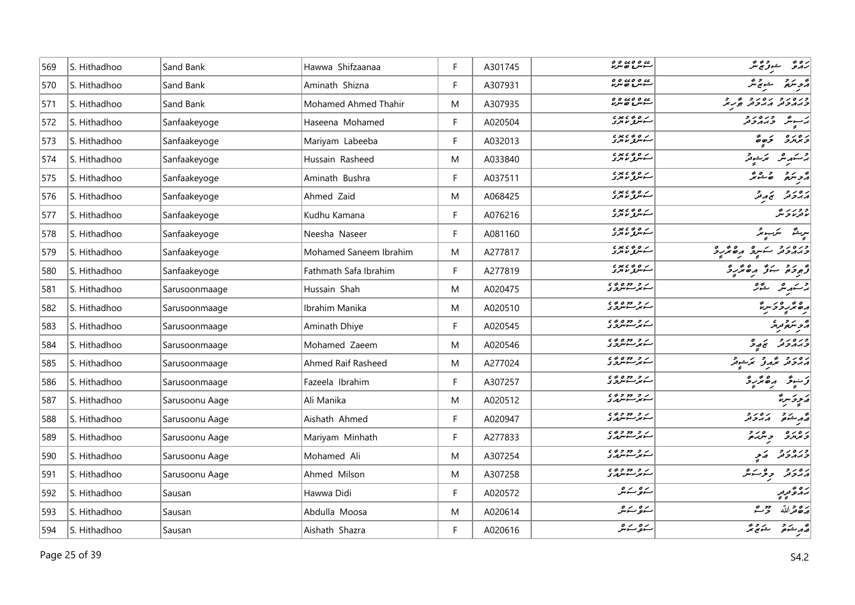| 569 | S. Hithadhoo   | Sand Bank      | Hawwa Shifzaanaa       | F. | A301745 | یره ویره و ه<br>سوس کاسرد          | رَمْرَةُ سُورْجٌ مَّرْ                          |
|-----|----------------|----------------|------------------------|----|---------|------------------------------------|-------------------------------------------------|
| 570 | S. Hithadhoo   | Sand Bank      | Aminath Shizna         | F  | A307931 | یره ویره و ه<br>سوس کا صربر        | أزويتهم سوتمتر                                  |
| 571 | S. Hithadhoo   | Sand Bank      | Mohamed Ahmed Thahir   | M  | A307935 | ی ه ه دی ه ه<br>سوس کا سرد         | כנסגב גםגב שגב<br>בגמבת מגבת הבגב               |
| 572 | S. Hithadhoo   | Sanfaakeyoge   | Haseena Mohamed        | F. | A020504 | ر په ده پاره ده<br>سه مرکز موجود د | و ر ه ر و<br><i>و پر</i> و تر<br>ئەسىپەتىر<br>ئ |
| 573 | S. Hithadhoo   | Sanfaakeyoge   | Mariyam Labeeba        | F. | A032013 | ر په ده پاره ده<br>سه مرکز موجود د | ره ره کرده                                      |
| 574 | l S. Hithadhoo | Sanfaakeyoge   | Hussain Rasheed        | M  | A033840 | ر ۱۵۵۵ ور د پر<br>سه مرکز موجود د  | برسكور كرجونز                                   |
| 575 | S. Hithadhoo   | Sanfaakeyoge   | Aminath Bushra         | F  | A037511 | ر ۵ پر ۲ پر ۲<br>سوسرتی بر در بر   | أرد سرد وه شركز                                 |
| 576 | S. Hithadhoo   | Sanfaakeyoge   | Ahmed Zaid             | M  | A068425 | ر ۱۵ ۵ مایو د<br>سه مرکز ما مرکز   | أرەر ئەرىر                                      |
| 577 | S. Hithadhoo   | Sanfaakeyoge   | Kudhu Kamana           | F  | A076216 | ر په ده پاره ده<br>سه مرکز موجود د | د در ر<br>برتوبر تر مگر                         |
| 578 | S. Hithadhoo   | Sanfaakeyoge   | Neesha Naseer          | F  | A081160 | ر ۱۵۵۵ ور د پر<br>سه مسرو کرد در د | سربك الكرسونمر                                  |
| 579 | S. Hithadhoo   | Sanfaakeyoge   | Mohamed Saneem Ibrahim | M  | A277817 | ر ۱۵ ۵ مایو د<br>سه مرکز ما مرکز   | כנסנב התפי תפתיב                                |
| 580 | S. Hithadhoo   | Sanfaakeyoge   | Fathmath Safa Ibrahim  | F  | A277819 | ر ۱۵ ۵ مایو د<br>سه مربی موجود ی   | ژُودَهْ ٤٠ رەټرد                                |
| 581 | S. Hithadhoo   | Sarusoonmaage  | Hussain Shah           | M  | A020475 | ر د دره و د ،                      | يز سكر مشر ه مشرح                               |
| 582 | S. Hithadhoo   | Sarusoonmaage  | Ibrahim Manika         | M  | A020510 | ر د دوه و د ،                      | ە ھەمگە 2 كەنىدىگە<br>م                         |
| 583 | S. Hithadhoo   | Sarusoonmaage  | Aminath Dhiye          | F  | A020545 | ر د ده ه پر<br>سرپرسوبرو د         | ە ئە ئە ئەرەر                                   |
| 584 | S. Hithadhoo   | Sarusoonmaage  | Mohamed Zaeem          | M  | A020546 | ر د دوه و د ،                      |                                                 |
| 585 | S. Hithadhoo   | Sarusoonmaage  | Ahmed Raif Rasheed     | M  | A277024 | ر د دره و د ،                      | גפלב תוק תוכנת                                  |
| 586 | S. Hithadhoo   | Sarusoonmaage  | Fazeela Ibrahim        | F. | A307257 | ر د دوه و د ،                      | ۇ ئىبۇ مەھرىر                                   |
| 587 | S. Hithadhoo   | Sarusoonu Aage | Ali Manika             | M  | A020512 | ر د دد ده د                        | وَمُرِدَ مَرِينٌ                                |
| 588 | S. Hithadhoo   | Sarusoonu Aage | Aishath Ahmed          | F. | A020947 | ر د دد د پ                         | پر<br>دگرم شومی<br>بر 2 پر 15<br>مرکز فر        |
| 589 | S. Hithadhoo   | Sarusoonu Aage | Mariyam Minhath        | F  | A277833 | ر د دو ده د                        | ر ه ر ه<br><del>د</del> بربرگر<br>ح سر د حر     |
| 590 | S. Hithadhoo   | Sarusoonu Aage | Mohamed Ali            | M  | A307254 | ر و دو و پر د<br>سوپرستوسرو د      | و ر ه ر د<br>د بر پر تر<br>ەئىسى                |
| 591 | S. Hithadhoo   | Sarusoonu Aage | Ahmed Milson           | M  | A307258 | ر د دد ده د                        | ىر 2 دىر<br>مەندى قىر<br>ىر بۇ سەبىر            |
| 592 | S. Hithadhoo   | Sausan         | Hawwa Didi             | F. | A020572 | ئەۋسەپىر                           | <br> بروگ <sup>و</sup> نونو                     |
| 593 | S. Hithadhoo   | Sausan         | Abdulla Moosa          | M  | A020614 | يەھ ئەبىر                          | برە تراللە<br>ديو مشر                           |
| 594 | S. Hithadhoo   | Sausan         | Aishath Shazra         | F  | A020616 | يەھ يەنگە                          | مەر شىمى ئىستى ئىر                              |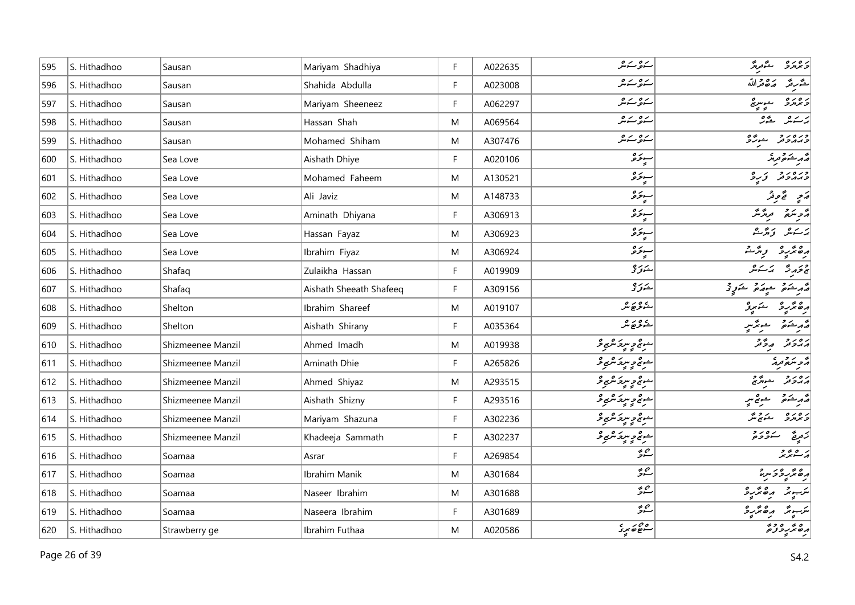| 595 | S. Hithadhoo | Sausan            | Mariyam Shadhiya        | F           | A022635 | ىە ئەھرىشىر                                                       | وبروره شمرور                                   |
|-----|--------------|-------------------|-------------------------|-------------|---------|-------------------------------------------------------------------|------------------------------------------------|
| 596 | S. Hithadhoo | Sausan            | Shahida Abdulla         | F           | A023008 | يەھ يەنىر                                                         | شَرِيرُ مَصْعَرِ اللَّهُ                       |
| 597 | S. Hithadhoo | Sausan            | Mariyam Sheeneez        | F           | A062297 | يەھ يەيىر                                                         | ر ه ر ه<br><del>و</del> بود و<br>شوسرچ<br>==== |
| 598 | S. Hithadhoo | Sausan            | Hassan Shah             | M           | A069564 | يەھ ئەبىر                                                         | برَسەپىر<br>ستذر                               |
| 599 | S. Hithadhoo | Sausan            | Mohamed Shiham          | ${\sf M}$   | A307476 | يەھ يەيىر                                                         | ورەرو ھورو                                     |
| 600 | S. Hithadhoo | Sea Love          | Aishath Dhiye           | $\mathsf F$ | A020106 | سوخره                                                             | و محمد مشخص <sup>5</sup> مرم <sup>و</sup><br>م |
| 601 | S. Hithadhoo | Sea Love          | Mohamed Faheem          | M           | A130521 | سوځو<br>په                                                        | ورەرو كەرە                                     |
| 602 | S. Hithadhoo | Sea Love          | Ali Javiz               | M           | A148733 | – پخره<br>په                                                      | د سم ديگر ديگر<br>مشير سم ديگر                 |
| 603 | S. Hithadhoo | Sea Love          | Aminath Dhiyana         | F           | A306913 | سيخره                                                             | أأدمني والألك                                  |
| 604 | S. Hithadhoo | Sea Love          | Hassan Fayaz            | M           | A306923 | سيخره                                                             | يز کند و تر مگر شه                             |
| 605 | S. Hithadhoo | Sea Love          | Ibrahim Fiyaz           | M           | A306924 | سيخره                                                             | وەغرىرو بەر ئە                                 |
| 606 | S. Hithadhoo | Shafaq            | Zulaikha Hassan         | $\mathsf F$ | A019909 | شەر ۋ                                                             | ەنزىر ئەسەئىر<br>ئ                             |
| 607 | S. Hithadhoo | Shafaq            | Aishath Sheeath Shafeeq | F           | A309156 | شتوتو بى                                                          | وكرم شوكر في الشرائع                           |
| 608 | S. Hithadhoo | Shelton           | Ibrahim Shareef         | M           | A019107 | ے <i>و</i> یے مر                                                  | رەپرىر خېرۇ                                    |
| 609 | S. Hithadhoo | Shelton           | Aishath Shirany         | F           | A035364 | ے <i>و</i> ے ش                                                    |                                                |
| 610 | S. Hithadhoo | Shizmeenee Manzil | Ahmed Imadh             | M           | A019938 | مەم <i>ۋېرى مىڭ بى</i><br>مەم                                     | גפגב בכבר<br>הגבב בכבר                         |
| 611 | S. Hithadhoo | Shizmeenee Manzil | Aminath Dhie            | F           | A265826 | ىش <sub>و</sub> غ <sub>تو</sub> سرى مىرى<br>مە                    | أأرمز سرة ورم                                  |
| 612 | S. Hithadhoo | Shizmeenee Manzil | Ahmed Shiyaz            | M           | A293515 | <sub>شو</sub> چ <sub>تر سرچ مگرم و<br/>مراجع تر مرکز مگرم</sub>   |                                                |
| 613 | S. Hithadhoo | Shizmeenee Manzil | Aishath Shizny          | F           | A293516 | <sub>شو</sub> چ <sub>جو</sub> سرچ سر <sub>م</sub> و<br>مر         | وگرېشو شوچ س                                   |
| 614 | S. Hithadhoo | Shizmeenee Manzil | Mariyam Shazuna         | F           | A302236 | <sub>ىشو</sub> چ <sub>جو</sub> س <sub>رى</sub> شر <sub>ى</sub> جە | ىر 2 بىر 2<br>شەم ئىر                          |
| 615 | S. Hithadhoo | Shizmeenee Manzil | Khadeeja Sammath        | F           | A302237 | <sub>شو</sub> چ <sub>چ</sub> سر كەنگىرى ئى                        | سەدىرە<br>رَ مَرِيَّ<br>*                      |
| 616 | S. Hithadhoo | Soamaa            | Asrar                   | $\mathsf F$ | A269854 | جوجو                                                              | ر ئەبۇر                                        |
| 617 | S. Hithadhoo | Soamaa            | Ibrahim Manik           | M           | A301684 | حيو                                                               | ەھ ئەر 25 سرىر<br>م                            |
| 618 | S. Hithadhoo | Soamaa            | Naseer Ibrahim          | M           | A301688 | مشوشح                                                             |                                                |
| 619 | S. Hithadhoo | Soamaa            | Naseera Ibrahim         | F           | A301689 | حدثته                                                             | ە ھەمئەر 2<br>برەنمىر بە                       |
| 620 | S. Hithadhoo | Strawberry ge     | Ibrahim Futhaa          | M           | A020586 | ے جاتھ تیمبر<br>سنجھ تیمبری                                       | ە ھېڭرىدى.<br>رەپرىردى                         |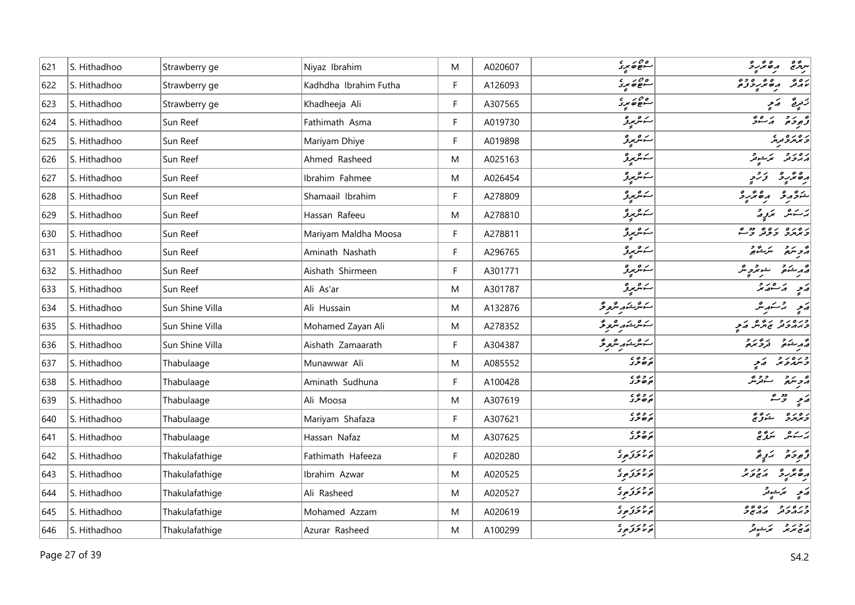| 621 | S. Hithadhoo | Strawberry ge   | Niyaz Ibrahim         | M         | A020607 | ه جي هم دي.<br>سرچ که مورد               | ە ھەترىرى<br>م<br>سرگرمج                      |
|-----|--------------|-----------------|-----------------------|-----------|---------|------------------------------------------|-----------------------------------------------|
| 622 | S. Hithadhoo | Strawberry ge   | Kadhdha Ibrahim Futha | F         | A126093 | $rac{1}{3}$                              | ئەرىتىر<br>ە ئەترىر ۋە ئەتە<br>بەھ ئىرىر ئەتە |
| 623 | S. Hithadhoo | Strawberry ge   | Khadheeja Ali         | F         | A307565 | $rac{1}{2}$                              | تزمريعٌ = صَحٍ                                |
| 624 | S. Hithadhoo | Sun Reef        | Fathimath Asma        | F         | A019730 | ئەنگە <i>بىر</i> ۇ                       | توموخي<br>برمەيچ                              |
| 625 | S. Hithadhoo | Sun Reef        | Mariyam Dhiye         | F         | A019898 | ئەمىرى <sub>د</sub> ۇ                    | ر ه ر ه ر ه<br>د <del>ب</del> ر پر پر پر      |
| 626 | S. Hithadhoo | Sun Reef        | Ahmed Rasheed         | M         | A025163 | ئەنگە <i>بېر</i> ۇ                       | أرور و مردو                                   |
| 627 | S. Hithadhoo | Sun Reef        | Ibrahim Fahmee        | ${\sf M}$ | A026454 | ئەنگە <i>پېر</i> ۇ                       | وەتترىر زرې                                   |
| 628 | S. Hithadhoo | Sun Reef        | Shamaail Ibrahim      | F         | A278809 | سەمىرى <sub>ر</sub> و                    |                                               |
| 629 | S. Hithadhoo | Sun Reef        | Hassan Rafeeu         | M         | A278810 | ئەنگە <i>بىر</i> ۇ                       | يَرَسَدُ يَرَوٍ وَ                            |
| 630 | S. Hithadhoo | Sun Reef        | Mariyam Maldha Moosa  | F         | A278811 | ئەمىر پور<br>مەسىر                       | رەرە رەپ دە<br><i>دى</i> رىرى دىرىر دىس       |
| 631 | S. Hithadhoo | Sun Reef        | Aminath Nashath       | F         | A296765 | ئەمى <i>رى</i> ر                         | أترجم مترجع                                   |
| 632 | S. Hithadhoo | Sun Reef        | Aishath Shirmeen      | F         | A301771 | ئەمىرىر ۋ                                | وكرمشكم والمردم                               |
| 633 | S. Hithadhoo | Sun Reef        | Ali As'ar             | ${\sf M}$ | A301787 | ئەنگە بىر بۇ                             | أقسم فالمتحدث                                 |
| 634 | S. Hithadhoo | Sun Shine Villa | Ali Hussain           | M         | A132876 | سەم <sub>ى</sub> شىھەر مىرى <i>مۇ قە</i> | أەيب برجستىرىنى                               |
| 635 | S. Hithadhoo | Sun Shine Villa | Mohamed Zayan Ali     | M         | A278352 | سەم <i>رىشەم</i> رىتر <i>ە ق</i>         | وره رو روه کرد                                |
| 636 | S. Hithadhoo | Sun Shine Villa | Aishath Zamaarath     | F         | A304387 | سەمى <i>رىشىم بىر بىر بىر</i>            | ه د د و د و د و                               |
| 637 | S. Hithadhoo | Thabulaage      | Munawwar Ali          | M         | A085552 | ر د د »<br>می ځر                         | ورەرو كەير                                    |
| 638 | S. Hithadhoo | Thabulaage      | Aminath Sudhuna       | F         | A100428 | ر و د »<br>می ت تر د                     | سەدرىتر<br>أثرحر سرحه                         |
| 639 | S. Hithadhoo | Thabulaage      | Ali Moosa             | M         | A307619 | ر و د »<br>می ه <del>گ</del> ری          | $23 - 24$                                     |
| 640 | S. Hithadhoo | Thabulaage      | Mariyam Shafaza       | F         | A307621 | پر و پر پر<br>  پی ه محر پر              | ر ه ر ه<br><del>د</del> بر بر<br>ىشتىق تىتج   |
| 641 | S. Hithadhoo | Thabulaage      | Hassan Nafaz          | ${\sf M}$ | A307625 | ر و د ،<br>می خور                        | ىر سەش سىرتى                                  |
| 642 | S. Hithadhoo | Thakulafathige  | Fathimath Hafeeza     | F         | A020280 | ىر 3 ئەركىي تى                           | قُ و حَمْدَ مَ مَ مِ مَّ                      |
| 643 | S. Hithadhoo | Thakulafathige  | Ibrahim Azwar         | ${\sf M}$ | A020525 | ر و پر پر پ<br>مونډ څرونو                | , 02, 07, 07, 07                              |
| 644 | S. Hithadhoo | Thakulafathige  | Ali Rasheed           | ${\sf M}$ | A020527 | ر و پرې ءِ<br>حوم <del>مرکز</del> مو ته  | أركمني المركب وتر                             |
| 645 | S. Hithadhoo | Thakulafathige  | Mohamed Azzam         | M         | A020619 | ر ور په <sub>ې</sub>                     | و ر ه ر د<br>د بر بر تر تر<br>0.601           |
| 646 | S. Hithadhoo | Thakulafathige  | Azurar Rasheed        | ${\sf M}$ | A100299 | ر در در ،<br>مونو څونو د                 | كالمحاكم للمركب المركب والمراكب               |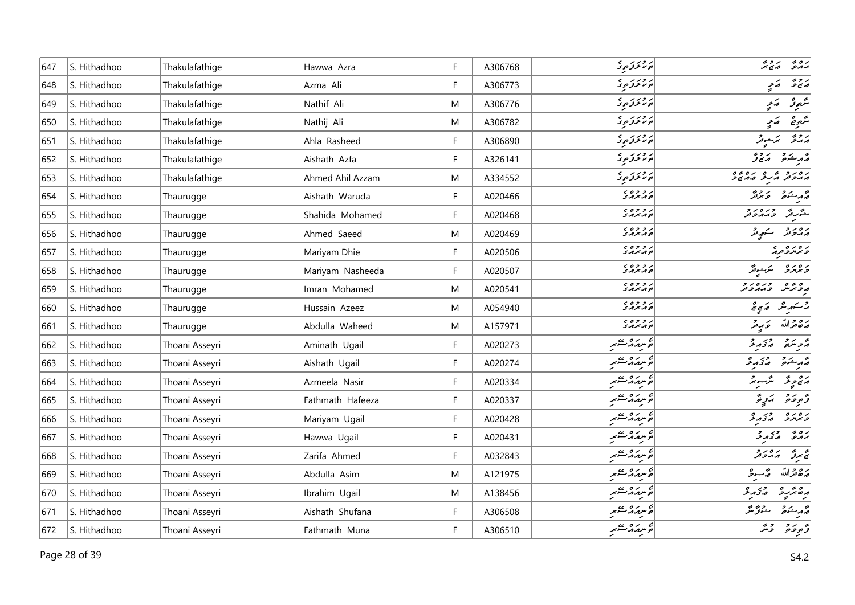| 647 | S. Hithadhoo | Thakulafathige | Hawwa Azra       | F  | A306768 | پر دېږيد په<br>  په ترکونونو ک                           | برەپچ<br>ەيرىم                             |
|-----|--------------|----------------|------------------|----|---------|----------------------------------------------------------|--------------------------------------------|
| 648 | S. Hithadhoo | Thakulafathige | Azma Ali         | F. | A306773 | ر و پر پر پ<br>حرم څوکوبو ت                              | پر بر بح<br>  پر برخ<br>ەئىي               |
| 649 | S. Hithadhoo | Thakulafathige | Nathif Ali       | M  | A306776 | پر دې په دي<br>  پر تر ټورنو                             | ىئ <sub>ى</sub> جوز<br>رځمنو               |
| 650 | S. Hithadhoo | Thakulafathige | Nathij Ali       | M  | A306782 | پر حرمز مو <sup>ي</sup>                                  | يت <sub>عرفع</sub><br>ەنىيە                |
| 651 | S. Hithadhoo | Thakulafathige | Ahla Rasheed     | F  | A306890 | پر دېږي دي.<br>  په برغو تو د                            | $\frac{2}{3}$<br>ىمەسىيەتىر                |
| 652 | S. Hithadhoo | Thakulafathige | Aishath Azfa     | F  | A326141 | پر حرمہ میں<br>  حو <sup>م</sup> محرکہ حو <sup>م</sup> ہ | وكرم شكوته وكروح                           |
| 653 | S. Hithadhoo | Thakulafathige | Ahmed Ahil Azzam | M  | A334552 | پر <i>دې</i> دې دي                                       | גפיד ג'יפ ג'ם בים                          |
| 654 | S. Hithadhoo | Thaurugge      | Aishath Waruda   | F  | A020466 | ر د ده ه<br>محمد بر د                                    |                                            |
| 655 | S. Hithadhoo | Thaurugge      | Shahida Mohamed  | F  | A020468 | 59990                                                    | شركة ورەرد                                 |
| 656 | S. Hithadhoo | Thaurugge      | Ahmed Saeed      | M  | A020469 | ג כ כ ם ג<br>ס ה ינה ב                                   | أرەر دىر ئەر                               |
| 657 | S. Hithadhoo | Thaurugge      | Mariyam Dhie     | F  | A020506 | 59990                                                    | د ه بر ه په                                |
| 658 | S. Hithadhoo | Thaurugge      | Mariyam Nasheeda | F  | A020507 | נ כ כ ם ג<br>ס <i>בו ינונ</i> ב                          | و مروح سرشوش                               |
| 659 | S. Hithadhoo | Thaurugge      | Imran Mohamed    | M  | A020541 | 59990                                                    |                                            |
| 660 | S. Hithadhoo | Thaurugge      | Hussain Azeez    | M  | A054940 | ק כ כ ם ג<br>ס ג ינג צ                                   | جاسكويش ككمج مح                            |
| 661 | S. Hithadhoo | Thaurugge      | Abdulla Waheed   | M  | A157971 | ر د د ه ه<br>محمد محمد د                                 | پره قرالله ځ برقر                          |
| 662 | S. Hithadhoo | Thoani Asseyri | Aminath Ugail    | F  | A020273 | ە بىرە ئەتمە<br>م                                        | ومحر المتواريخ والمحر ومراجح               |
| 663 | S. Hithadhoo | Thoani Asseyri | Aishath Ugail    | F  | A020274 | م<br>مريد <sub>م</sub> ريد سومبر                         | أقهر شكافه المتحارف                        |
| 664 | S. Hithadhoo | Thoani Asseyri | Azmeela Nasir    | F. | A020334 | ە بىرە مەر                                               | ر ه چ چ <sup>ی</sup> څه<br>مترسونر         |
| 665 | S. Hithadhoo | Thoani Asseyri | Fathmath Hafeeza | F  | A020337 | م سره مه<br>مسر                                          | ۇ بوخ <sub>ى</sub><br>برَوٍخٌ              |
| 666 | S. Hithadhoo | Thoani Asseyri | Mariyam Ugail    | F  | A020428 | ە بىرى مەسىر<br>مەسىر كەنتىسى                            | ر ه پر ه<br><del>د</del> بربرگ<br>ەتزىر بى |
| 667 | S. Hithadhoo | Thoani Asseyri | Hawwa Ugail      | F  | A020431 | م سره مه .<br>مريد <sub>م</sub> رسمبر                    | برە ئەتەرى                                 |
| 668 | S. Hithadhoo | Thoani Asseyri | Zarifa Ahmed     | F  | A032843 | م<br>مرید مرکز مشمر                                      | ەر دىر<br>ئج موقر                          |
| 669 | S. Hithadhoo | Thoani Asseyri | Abdulla Asim     | M  | A121975 | ە بىرىدە مىي<br>م                                        | ەھىراللە<br>رژىبەد                         |
| 670 | S. Hithadhoo | Thoani Asseyri | Ibrahim Ugail    | M  | A138456 | ە بىر ە مەب                                              | ە ھەترىر <sup>ە</sup><br>ەتىمەنى           |
| 671 | S. Hithadhoo | Thoani Asseyri | Aishath Shufana  | F  | A306508 | ە بىرە مەر                                               | وأمرينهم<br>شۇ ئۇ ئىگر                     |
| 672 | S. Hithadhoo | Thoani Asseyri | Fathmath Muna    | F  | A306510 | <sup>چ</sup> سرمره شوبېر                                 | وٌمودَهُ دُيرٌ                             |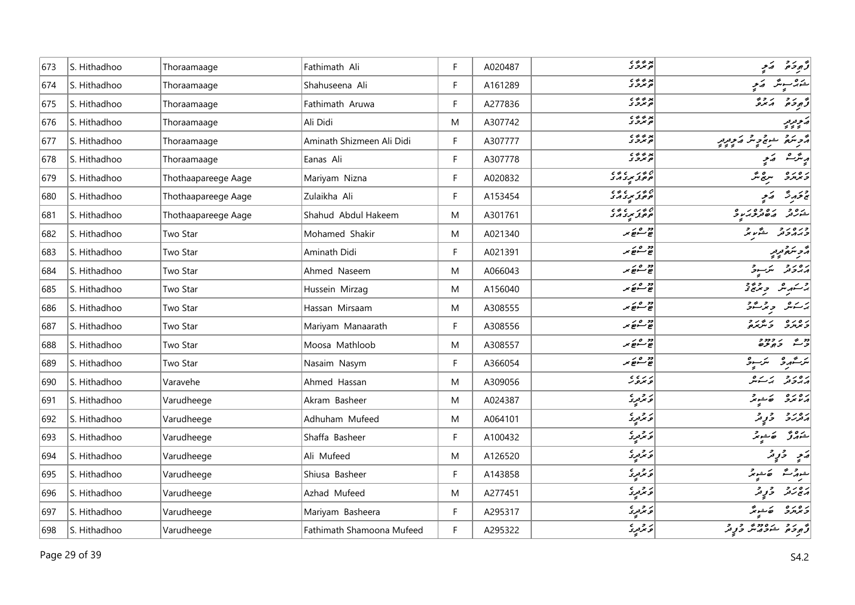| 673 | S. Hithadhoo | Thoraamaage         | Fathimath Ali             | F  | A020487 | پر پر پر پر<br>حو پھر پر ي                        | وٌجودَ حَدِ                                            |
|-----|--------------|---------------------|---------------------------|----|---------|---------------------------------------------------|--------------------------------------------------------|
| 674 | S. Hithadhoo | Thoraamaage         | Shahuseena Ali            | F. | A161289 | پر پر پر پر<br>حو مگرمر <sub>ک</sub>              | الشور سورش الأمير                                      |
| 675 | S. Hithadhoo | Thoraamaage         | Fathimath Aruwa           | F. | A277836 | پر پر پر پر<br>حو مگرمر <sub>ک</sub>              | و مر د<br>تر موح <sup>م</sup><br>ەر بەر                |
| 676 | S. Hithadhoo | Thoraamaage         | Ali Didi                  | M  | A307742 | پر پر پر پر<br>حو <i>پر پ</i> ر پر                | ړ و در در<br>په پ                                      |
| 677 | S. Hithadhoo | Thoraamaage         | Aminath Shizmeen Ali Didi | F  | A307777 | پر پر پر پر<br>حو پھر پر ي                        | و و سره شوه و و د و دور<br>و و سره شوه و د و د و د د د |
| 678 | S. Hithadhoo | Thoraamaage         | Eanas Ali                 | F  | A307778 | پر پر پر پر<br>حو <i>پر پر</i> پر                 |                                                        |
| 679 | S. Hithadhoo | Thothaapareege Aage | Mariyam Nizna             | F  | A020832 | م و بر پر و و پر<br><mark>حوج تر</mark> بر د ار د | $rac{\circ}{\circ}$<br>سرچ مٿر                         |
| 680 | S. Hithadhoo | Thothaapareege Aage | Zulaikha Ali              | F. | A153454 | م و بر پر و و پر<br><mark>حوج تر</mark> بر د ار د | ة د مركز مركز<br>محمد مركز                             |
| 681 | S. Hithadhoo | Thothaapareege Aage | Shahud Abdul Hakeem       | M  | A301761 | ه د د د د د د د<br>  د د تر تر د د د              | ره و بره وه بر ه<br>شرکتر های تروبر بر                 |
| 682 | S. Hithadhoo | Two Star            | Mohamed Shakir            | M  | A021340 | دو ره پر                                          | ورەرو شەر                                              |
| 683 | S. Hithadhoo | Two Star            | Aminath Didi              | F. | A021391 | دد صر<br>ح                                        | ړٌ د سَره نوروړ                                        |
| 684 | S. Hithadhoo | Two Star            | Ahmed Naseem              | M  | A066043 | دد ه پر<br>چ سونچ سر                              |                                                        |
| 685 | S. Hithadhoo | Two Star            | Hussein Mirzag            | M  | A156040 | دد صريح پر                                        | جرسكور ومرجمة                                          |
| 686 | S. Hithadhoo | Two Star            | Hassan Mirsaam            | M  | A308555 | دد ه پر                                           | برسك وبرسمو                                            |
| 687 | S. Hithadhoo | Two Star            | Mariyam Manaarath         | F  | A308556 | دد ه پر                                           | גפגם גבגב                                              |
| 688 | S. Hithadhoo | Two Star            | Moosa Mathloob            | M  | A308557 | دد ه پر                                           | وو دوود                                                |
| 689 | S. Hithadhoo | Two Star            | Nasaim Nasym              | F. | A366054 | دد ره نو پر                                       | لترتشروا الترسوى                                       |
| 690 | S. Hithadhoo | Varavehe            | Ahmed Hassan              | M  | A309056 | ر ر ، ،<br>ح <del>م</del> رح ر                    | رەرد ئەسكىر                                            |
| 691 | S. Hithadhoo | Varudheege          | Akram Basheer             | M  | A024387 | ئە تەرىخ<br>  قەسمەسىرى                           | $\begin{bmatrix} 2 & 0 & 0 \\ 0 & 0 & 0 \end{bmatrix}$ |
| 692 | S. Hithadhoo | Varudheege          | Adhuham Mufeed            | M  | A064101 | پر چ <sub>رمو</sub> ر<br>  چرموری                 | تر تو تر<br>پروژبر                                     |
| 693 | S. Hithadhoo | Varudheege          | Shaffa Basheer            | F  | A100432 | <br> ع <sup>ر</sup> مرمریز                        | أشروق كالشومر                                          |
| 694 | S. Hithadhoo | Varudheege          | Ali Mufeed                | M  | A126520 | ر ج<br>حو بمرتور ک                                | أأدمج وتحمي                                            |
| 695 | S. Hithadhoo | Varudheege          | Shiusa Basheer            | F  | A143858 | ر و<br>حرموری                                     | شور <sup>و</sup> شهر که کشور<br>مر                     |
| 696 | S. Hithadhoo | Varudheege          | Azhad Mufeed              | M  | A277451 | ر و<br>حرمرمړ                                     | أرورو ورو                                              |
| 697 | S. Hithadhoo | Varudheege          | Mariyam Basheera          | F. | A295317 | <br> ع <sup>ر</sup> مرمریز                        | رەرە ھىدىگە                                            |
| 698 | S. Hithadhoo | Varudheege          | Fathimath Shamoona Mufeed | F  | A295322 | ر ج مرد ري<br>حر مرد پر                           | و د د ده ده د د د                                      |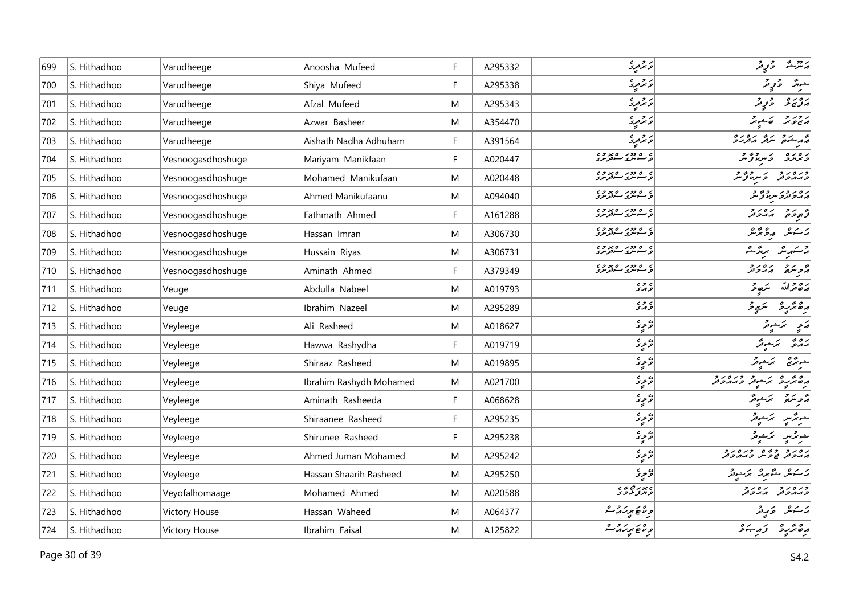| 699 | S. Hithadhoo | Varudheege           | Anoosha Mufeed          | F. | A295332 | د چروگر                                  | أرشيش ورمر                                       |
|-----|--------------|----------------------|-------------------------|----|---------|------------------------------------------|--------------------------------------------------|
| 700 | S. Hithadhoo | Varudheege           | Shiya Mufeed            | F. | A295338 | پر چ<br>  تو تعری                        | شورگر و و و تر                                   |
| 701 | S. Hithadhoo | Varudheege           | Afzal Mufeed            | M  | A295343 | ر ج در پ<br>  حر مرد پر                  | پرونو و تحری تر                                  |
| 702 | S. Hithadhoo | Varudheege           | Azwar Basheer           | M  | A354470 | ر جەنبەي<br>ج                            | برور و کا کار                                    |
| 703 | S. Hithadhoo | Varudheege           | Aishath Nadha Adhuham   | F  | A391564 | ر جەنبەي<br>ج                            | و در در در در در در در د                         |
| 704 | S. Hithadhoo | Vesnoogasdhoshuge    | Mariyam Manikfaan       | F  | A020447 | ه ۱۵ وور ۵ پر و ۹<br>حرکسوسری سوترمرد    | גפגם ביתונצית                                    |
| 705 | S. Hithadhoo | Vesnoogasdhoshuge    | Mohamed Manikufaan      | M  | A020448 | ے ۔ ہ دور ۔ ہ یو و ے<br>حرکسوسری سوتوروی | ورەرو كەردۇر                                     |
| 706 | S. Hithadhoo | Vesnoogasdhoshuge    | Ahmed Manikufaanu       | M  | A094040 | ے ۔ ہ دور ۔ ہ یو و ے<br>حرکسوسری سوتوروی | ىرە بەر <i>جەنىرى تەرەپى</i> گە                  |
| 707 | S. Hithadhoo | Vesnoogasdhoshuge    | Fathmath Ahmed          | F. | A161288 | ه ره دوبر ره پوره په<br>درسوسري سوتورنوي | أوجود برورد                                      |
| 708 | S. Hithadhoo | Vesnoogasdhoshuge    | Hassan Imran            | M  | A306730 | ه ۱۵ وور ۲۵ و و د<br>حرکسوسری سوتوروی    | برےنگر الہوائیں                                  |
| 709 | S. Hithadhoo | Vesnoogasdhoshuge    | Hussain Riyas           | M  | A306731 | ه ره دور ره پو و ه<br>در سوسری سوترمرد   | جرسكور مروشة                                     |
| 710 | S. Hithadhoo | Vesnoogasdhoshuge    | Aminath Ahmed           | F  | A379349 | ه ره دور ره پوره<br>در سوسري سوتوبرو     | ەر دەر<br>ړځ سرچ                                 |
| 711 | S. Hithadhoo | Veuge                | Abdulla Nabeel          | Μ  | A019793 | ې و ،<br>و د د                           | مَە قىراللە سَرَجە خَر                           |
| 712 | S. Hithadhoo | Veuge                | Ibrahim Nazeel          | M  | A295289 |                                          | رە ئەر ئىي ئى                                    |
| 713 | S. Hithadhoo | Veyleege             | Ali Rasheed             | M  | A018627 | ە،<br>جۇ ئە                              | أركمني المخرجين                                  |
| 714 | S. Hithadhoo | Veyleege             | Hawwa Rashydha          | F  | A019719 | ئەمەيە<br>  قەمۇرى                       | رەپ كەنبەگ                                       |
| 715 | S. Hithadhoo | Veyleege             | Shiraaz Rasheed         | M  | A019895 | ە جەيجە<br>جۇم                           | لشوندهي التركشوند                                |
| 716 | S. Hithadhoo | Veyleege             | Ibrahim Rashydh Mohamed | Μ  | A021700 | ەر ج<br>حويى                             | مەھەر كەن كەن ئەمدەر د                           |
| 717 | S. Hithadhoo | Veyleege             | Aminath Rasheeda        | F  | A068628 | ە بەر<br>جۇمۇ                            | أأترجم أتركني                                    |
| 718 | S. Hithadhoo | Veyleege             | Shiraanee Rasheed       | F. | A295235 | ە جەيجە<br>جۇم                           | جريكس الكرجون                                    |
| 719 | S. Hithadhoo | Veyleege             | Shirunee Rasheed        | F  | A295238 | ە جەيجە<br>جۇم                           | جونژس انگرچونژ                                   |
| 720 | S. Hithadhoo | Veyleege             | Ahmed Juman Mohamed     | M  | A295242 | ړې د<br>خومنو                            | ג סג כ כ זים כגם ג כ<br>הגב נג יז כ יית כגא ב נג |
| 721 | S. Hithadhoo | Veyleege             | Hassan Shaarih Rasheed  | M  | A295250 | ئەمەيە<br>  قۇمۇيى                       | ىرىكىقى ئىقتىرى ئىرتىدىگى<br>ئىسكىمى             |
| 722 | S. Hithadhoo | Veyofalhomaage       | Mohamed Ahmed           | M  | A020588 | ړ پر دره پر ړ<br>تو برتو تر تر           | כנסנכ נסנכ<br>כגמכת הגכת                         |
| 723 | S. Hithadhoo | <b>Victory House</b> | Hassan Waheed           | Μ  | A064377 | <i>و ما ھَ برِرَ مْر</i> ْ               | <br> يركسكر التحرير                              |
| 724 | S. Hithadhoo | <b>Victory House</b> | Ibrahim Faisal          | M  | A125822 | ە ئەھ ئىرى <i>نە قە</i> ر                | رەپرىر زېربىق                                    |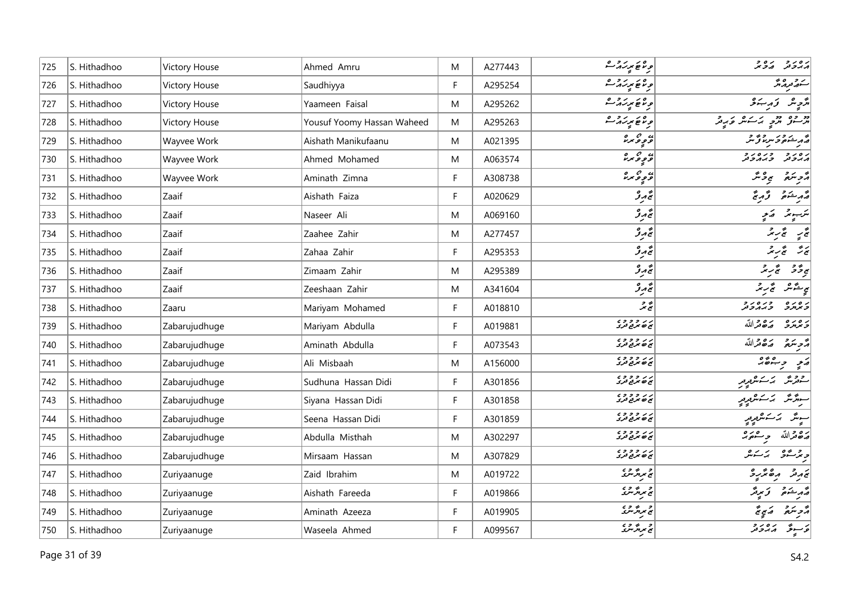| 725 | S. Hithadhoo | <b>Victory House</b> | Ahmed Amru                 | M         | A277443 | ە ئەغ بېرى <i>دۇ</i> ب                   | 201 222                                                   |
|-----|--------------|----------------------|----------------------------|-----------|---------|------------------------------------------|-----------------------------------------------------------|
| 726 | S. Hithadhoo | Victory House        | Saudhiyya                  | E         | A295254 | ە ئەھ بېرىر قىسىم                        | سنڌ مره پڙ                                                |
| 727 | S. Hithadhoo | <b>Victory House</b> | Yaameen Faisal             | ${\sf M}$ | A295262 | ە ئەن <i>غە بېرىدۇ</i> ب                 | أأدوش وكرجو                                               |
| 728 | S. Hithadhoo | Victory House        | Yousuf Yoomy Hassan Waheed | M         | A295263 | ە ئەيغە بىر <i>ئە</i> ر م                | دو وه دو بر کند کار د                                     |
| 729 | S. Hithadhoo | Wayvee Work          | Aishath Manikufaanu        | M         | A021395 |                                          | ۇ مەسەھ <i>جەسرىدۇ</i> بىر                                |
| 730 | S. Hithadhoo | Wayvee Work          | Ahmed Mohamed              | M         | A063574 | اء ۾ جو برند<br>حو چو برند               | ره رو وره رو<br>مدرونر وبرمرونر                           |
| 731 | S. Hithadhoo | Wayvee Work          | Aminath Zimna              | F         | A308738 |                                          | أأزجتم بإدام                                              |
| 732 | S. Hithadhoo | Zaaif                | Aishath Faiza              | F         | A020629 | پج مر ژ                                  | أشهر شدة وتجاريح                                          |
| 733 | S. Hithadhoo | Zaaif                | Naseer Ali                 | ${\sf M}$ | A069160 | لچ مرب <sup>9</sup>                      | لترسوير<br>ەخىر                                           |
| 734 | S. Hithadhoo | Zaaif                | Zaahee Zahir               | M         | A277457 | پروگر<br>م                               | $\frac{2}{3}$ $\frac{2}{3}$ $\frac{2}{3}$                 |
| 735 | S. Hithadhoo | Zaaif                | Zahaa Zahir                | F         | A295353 | پر وي<br>م                               | ى ئەستى بىر                                               |
| 736 | S. Hithadhoo | Zaaif                | Zimaam Zahir               | M         | A295389 | پر<br>محمر                               | پرځه ځې تخه                                               |
| 737 | S. Hithadhoo | Zaaif                | Zeeshaan Zahir             | ${\sf M}$ | A341604 | لتج مر ثر<br> <br>ح                      | ىپ مەنگەن ئىچ <i>رى</i> تى                                |
| 738 | S. Hithadhoo | Zaaru                | Mariyam Mohamed            | F         | A018810 | یز جر<br>سیمبر                           | و ر ه ر د<br>تر پر تر تر<br>ر ه ر ه<br><del>ر</del> بربرو |
| 739 | S. Hithadhoo | Zabarujudhuge        | Mariyam Abdulla            | F         | A019881 | ر ر د د د د .<br>پخ ن نتربی              | ر ه ر ه<br><del>ر</del> بربر ژ<br>برەقراللە               |
| 740 | S. Hithadhoo | Zabarujudhuge        | Aminath Abdulla            | F         | A073543 | ر ر د د د د<br>پخ ن نگرۍ تور             | ەكە قىراللە<br>ړ د سرچ                                    |
| 741 | S. Hithadhoo | Zabarujudhuge        | Ali Misbaah                | ${\sf M}$ | A156000 | ر ر د د د د<br>پخ ن نگرۍ تور             | $rac{1}{20}$                                              |
| 742 | S. Hithadhoo | Zabarujudhuge        | Sudhuna Hassan Didi        | F         | A301856 | ر ر د د د د<br>  پخ ن نرو                | ر در دیگر در میگردید<br>سورتر در سومبرور                  |
| 743 | S. Hithadhoo | Zabarujudhuge        | Siyana Hassan Didi         | F         | A301858 | ر ر د د د د<br>پخ ن نتربی تری            | سىزىگە<br>ر کے مارور<br>بر کے مارور میر                   |
| 744 | S. Hithadhoo | Zabarujudhuge        | Seena Hassan Didi          | F         | A301859 | ر ر د د د د<br>  پخ ن نرو                | سېنگر انکسکوپولو<br>سېنگر انگسکوپولو                      |
| 745 | S. Hithadhoo | Zabarujudhuge        | Abdulla Misthah            | ${\sf M}$ | A302297 | ر ر د د د د .<br>پخ ن نربی نربی          | رەقراللە مەم                                              |
| 746 | S. Hithadhoo | Zabarujudhuge        | Mirsaam Hassan             | ${\sf M}$ | A307829 | ر ر د د د د<br>پخ ن نگرۍ تور             | دىر شۇھ بەسكىلگە                                          |
| 747 | S. Hithadhoo | Zuriyaanuge          | Zaid Ibrahim               | ${\sf M}$ | A019722 | د<br>بم <sub>مر</sub> مز سربر            | عرمر رەئرىرى                                              |
| 748 | S. Hithadhoo | Zuriyaanuge          | Aishath Fareeda            | F         | A019866 | ح <sub>مح</sub> رچر شریحه <mark> </mark> | وكركوه وترمر                                              |
| 749 | S. Hithadhoo | Zuriyaanuge          | Aminath Azeeza             | F         | A019905 | ح سر پر شریحه<br>  س                     | أثربه تبعج<br>ەسى ئى                                      |
| 750 | S. Hithadhoo | Zuriyaanuge          | Waseela Ahmed              | F         | A099567 | د<br>بم <sub>مر</sub> مز سر <sub>ک</sub> | ق سوقت الابراد وراد                                       |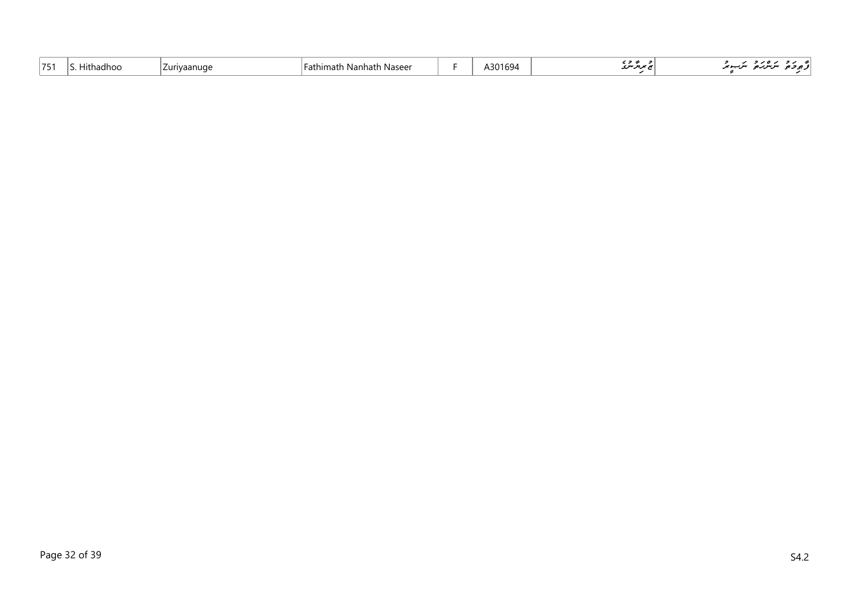| $-7E1$<br>╯ | adhoo<br>чин. | ∠urivaanude | athimath.<br>Nanhath<br>Naseer |  | A301694 | א אות אי | - 0<br>وجوحي<br>۔ سرسر پر ر |
|-------------|---------------|-------------|--------------------------------|--|---------|----------|-----------------------------|
|-------------|---------------|-------------|--------------------------------|--|---------|----------|-----------------------------|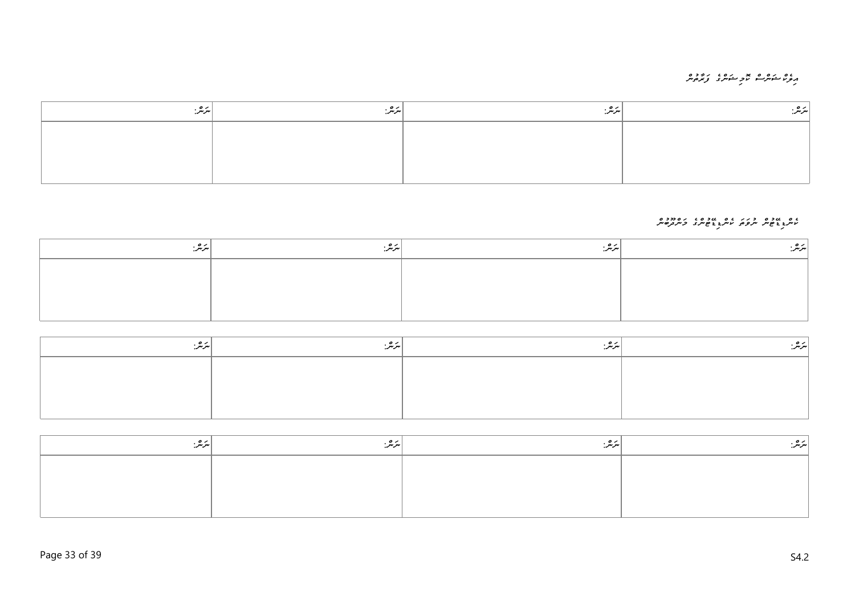## *w7qAn8m? sCw7mRo>u; wEw7mRw;sBo<*

| ' مرمر | 'يئرىثر: |
|--------|----------|
|        |          |
|        |          |
|        |          |

## *w7q9r@w7m> sCw7qHtFoFw7s; mAm=q7 w7qHtFoFw7s;*

| ىر تە | $\mathcal{O} \times$<br>$\sim$ | $\sim$<br>. . | لترنثر |
|-------|--------------------------------|---------------|--------|
|       |                                |               |        |
|       |                                |               |        |
|       |                                |               |        |

| $\frac{\partial}{\partial x}$ | $^{\circ}$ | $\frac{2}{n}$ | $^{\circ}$<br>سرسر. |
|-------------------------------|------------|---------------|---------------------|
|                               |            |               |                     |
|                               |            |               |                     |
|                               |            |               |                     |

| ' ئىرتىر: | سر سر |  |
|-----------|-------|--|
|           |       |  |
|           |       |  |
|           |       |  |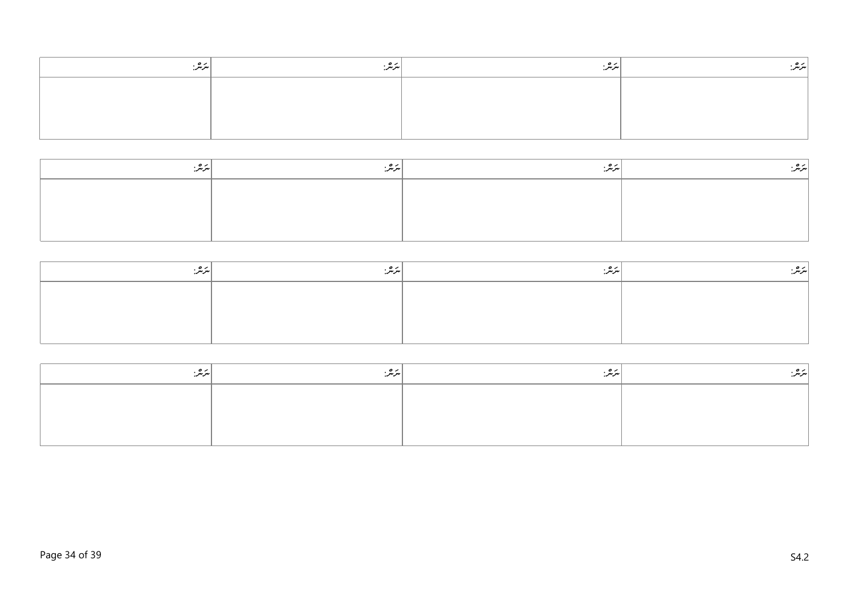| يزهر | $^{\circ}$ | ىئرىتر: |  |
|------|------------|---------|--|
|      |            |         |  |
|      |            |         |  |
|      |            |         |  |

| متريثر به | 。<br>'سرسر'۔ | يتزيترا | سرسر |
|-----------|--------------|---------|------|
|           |              |         |      |
|           |              |         |      |
|           |              |         |      |

| ىئرىتر. | $\sim$ | ا بر هه. | لىرىش |
|---------|--------|----------|-------|
|         |        |          |       |
|         |        |          |       |
|         |        |          |       |

| 。<br>مرس. | $\overline{\phantom{a}}$<br>مر مىر | يتريثر |
|-----------|------------------------------------|--------|
|           |                                    |        |
|           |                                    |        |
|           |                                    |        |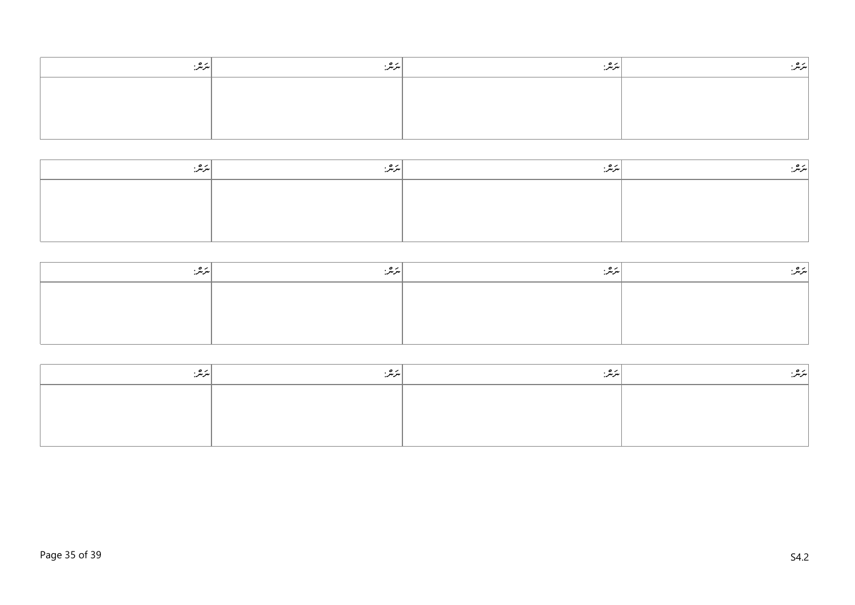| ير هو . | $\overline{\phantom{a}}$ | يرمر | اير هنه. |
|---------|--------------------------|------|----------|
|         |                          |      |          |
|         |                          |      |          |
|         |                          |      |          |

| ىر تىر: | $\circ$ $\sim$<br>" سرسر . | يبرحه | o . |
|---------|----------------------------|-------|-----|
|         |                            |       |     |
|         |                            |       |     |
|         |                            |       |     |

| الترنثر: | ' مرتكز: | الترنثر: | .,<br>سرسر. |
|----------|----------|----------|-------------|
|          |          |          |             |
|          |          |          |             |
|          |          |          |             |

|  | . ه |
|--|-----|
|  |     |
|  |     |
|  |     |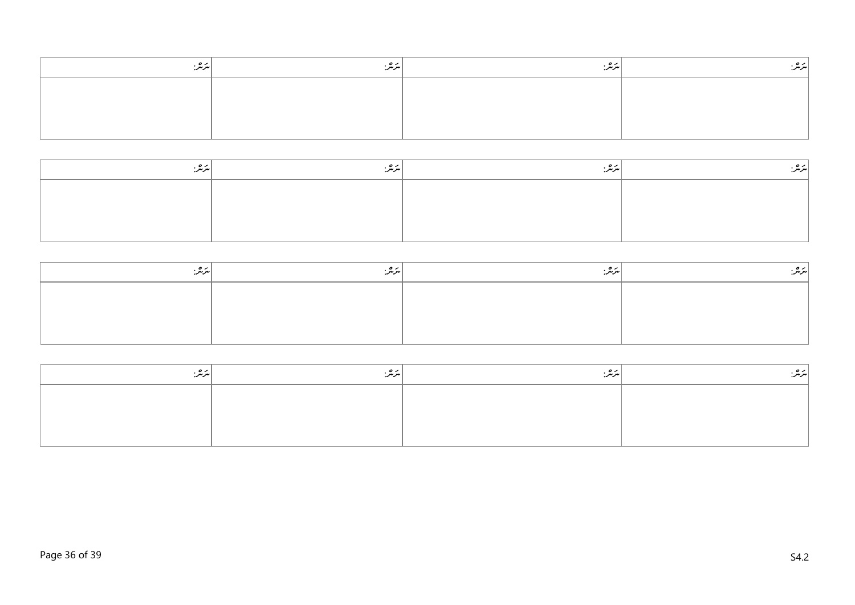| ير هو . | $\overline{\phantom{a}}$ | يرمر | اير هنه. |
|---------|--------------------------|------|----------|
|         |                          |      |          |
|         |                          |      |          |
|         |                          |      |          |

| ىر تىر: | $\circ$ $\sim$<br>" سرسر . | يبرحه | o . |
|---------|----------------------------|-------|-----|
|         |                            |       |     |
|         |                            |       |     |
|         |                            |       |     |

| انترنثر: | ر ه |  |
|----------|-----|--|
|          |     |  |
|          |     |  |
|          |     |  |

|  | . ه |
|--|-----|
|  |     |
|  |     |
|  |     |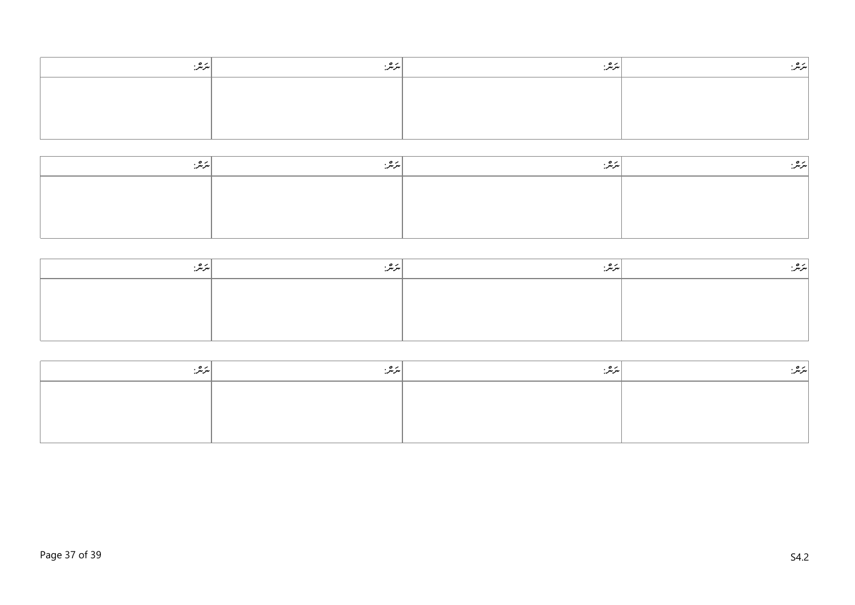| $\cdot$ | ο. | $\frac{\circ}{\cdot}$ | $\sim$<br>سرسر |
|---------|----|-----------------------|----------------|
|         |    |                       |                |
|         |    |                       |                |
|         |    |                       |                |

| ايرعر: | ر ه<br>. . |  |
|--------|------------|--|
|        |            |  |
|        |            |  |
|        |            |  |

| بر ه | 。 | $\overline{\phantom{0}}$<br>َ سومس. |  |
|------|---|-------------------------------------|--|
|      |   |                                     |  |
|      |   |                                     |  |
|      |   |                                     |  |

| 。<br>. س | ىرىىر |  |
|----------|-------|--|
|          |       |  |
|          |       |  |
|          |       |  |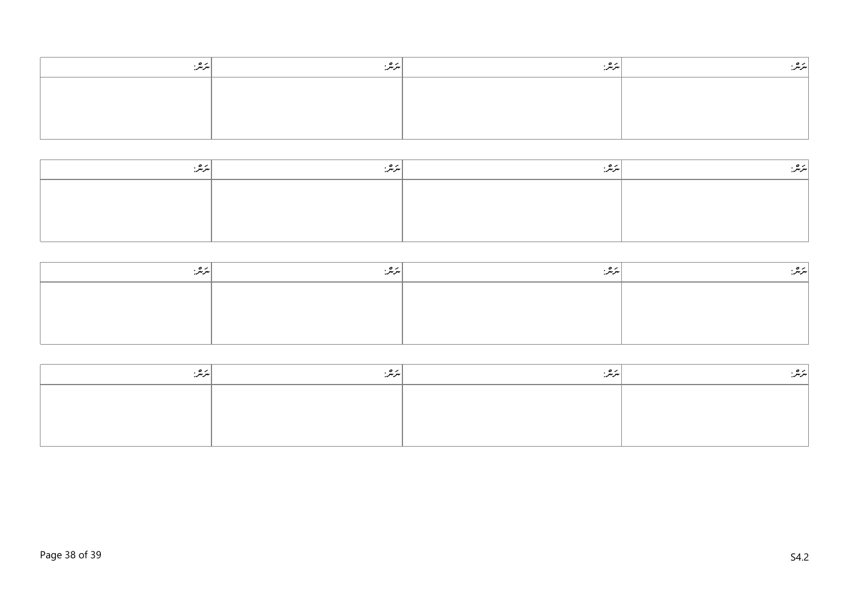| ير هو . | $\overline{\phantom{a}}$ | يرمر | لتزمثن |
|---------|--------------------------|------|--------|
|         |                          |      |        |
|         |                          |      |        |
|         |                          |      |        |

| ىر تىر: | $\circ$ $\sim$<br>" سرسر . | يبرحه | o . |
|---------|----------------------------|-------|-----|
|         |                            |       |     |
|         |                            |       |     |
|         |                            |       |     |

| الترنثر: | ' مرتكز: | الترنثر: | .,<br>سرسر. |
|----------|----------|----------|-------------|
|          |          |          |             |
|          |          |          |             |
|          |          |          |             |

|  | . ه |
|--|-----|
|  |     |
|  |     |
|  |     |